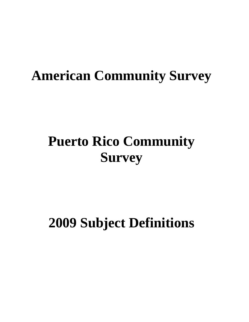# **American Community Survey**

# **Puerto Rico Community Survey**

# **2009 Subject Definitions**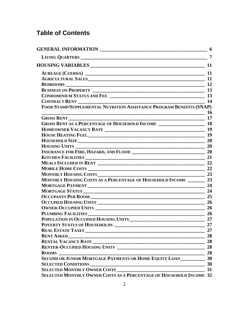# **Table of Contents**

| BEDROOMS 12<br>BUSINESS ON PROPERTY 13                                 |    |
|------------------------------------------------------------------------|----|
|                                                                        |    |
|                                                                        |    |
| FOOD STAMP/SUPPLEMENTAL NUTRITION ASSISTANCE PROGRAM BENEFITS (SNAP)   |    |
| $\sim$ 16<br>GROSS RENT 17                                             |    |
|                                                                        |    |
|                                                                        |    |
|                                                                        |    |
| HOUSEHOLD SIZE 20                                                      |    |
|                                                                        |    |
|                                                                        |    |
|                                                                        |    |
|                                                                        |    |
|                                                                        |    |
|                                                                        |    |
| MONTHLY HOUSING COSTS AS A PERCENTAGE OF HOUSEHOLD INCOME _________ 23 |    |
|                                                                        |    |
|                                                                        |    |
| OCCUPANTS PER ROOM 235                                                 |    |
|                                                                        |    |
|                                                                        |    |
| PLUMBING FACILITIES 26                                                 |    |
|                                                                        |    |
|                                                                        |    |
|                                                                        | 27 |
| <b>RENT ASKED</b> 28                                                   |    |
|                                                                        | 28 |
|                                                                        |    |
| $\frac{1}{1}$ 28<br>$\frac{1}{1}$ ROOMS                                |    |
| SECOND OR JUNIOR MORTGAGE PAYMENTS OR HOME EQUITY LOAN 30              |    |
|                                                                        |    |
|                                                                        |    |
| SELECTED MONTHLY OWNER COSTS AS A PERCENTAGE OF HOUSEHOLD INCOME 32    |    |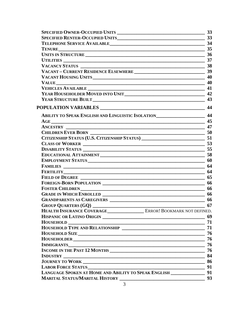|                                                                                      | 33 |
|--------------------------------------------------------------------------------------|----|
|                                                                                      |    |
|                                                                                      |    |
| TENURE 35                                                                            |    |
|                                                                                      |    |
|                                                                                      |    |
|                                                                                      |    |
|                                                                                      |    |
|                                                                                      |    |
|                                                                                      |    |
| VALUE 40<br>VEHICLES AVAILABLE 41                                                    |    |
| YEAR HOUSEHOLDER MOVED INTO UNIT                                                     |    |
|                                                                                      |    |
|                                                                                      |    |
| ABILITY TO SPEAK ENGLISH AND LINGUISTIC ISOLATION________________________________ 44 |    |
|                                                                                      |    |
|                                                                                      |    |
|                                                                                      |    |
|                                                                                      |    |
|                                                                                      |    |
|                                                                                      |    |
|                                                                                      |    |
|                                                                                      |    |
|                                                                                      |    |
| <b>FERTILITY</b> 64                                                                  |    |
|                                                                                      |    |
|                                                                                      |    |
| FOSTER CHILDREN 66                                                                   |    |
|                                                                                      |    |
|                                                                                      |    |
|                                                                                      |    |
| HEALTH INSURANCE COVERAGE<br>ERROR! BOOKMARK NOT DEFINED.                            |    |
|                                                                                      |    |
| $H\text{o}$ USEHOLD $\qquad \qquad \qquad$ 71                                        |    |
|                                                                                      |    |
| HOUSEHOLD SIZE 2000                                                                  |    |
| <b>HOUSEHOLDER</b> 76                                                                |    |
| $\overline{76}$<br><b>IMMIGRANTS</b>                                                 |    |
|                                                                                      |    |
|                                                                                      |    |
|                                                                                      |    |
|                                                                                      |    |
| LANGUAGE SPOKEN AT HOME AND ABILITY TO SPEAK ENGLISH _______________________91       |    |
|                                                                                      | 93 |
|                                                                                      |    |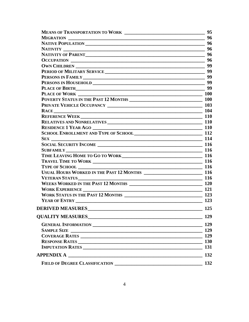|                                                              | 95  |
|--------------------------------------------------------------|-----|
|                                                              |     |
|                                                              |     |
|                                                              |     |
|                                                              |     |
|                                                              |     |
|                                                              |     |
|                                                              |     |
|                                                              |     |
|                                                              |     |
|                                                              |     |
|                                                              |     |
|                                                              |     |
|                                                              |     |
| RACE 104                                                     |     |
| <b>REFERENCE WEEK</b><br><u> <b>REFERENCE</b></u> <b>110</b> |     |
|                                                              |     |
|                                                              |     |
|                                                              |     |
|                                                              |     |
|                                                              |     |
|                                                              |     |
|                                                              |     |
|                                                              |     |
|                                                              |     |
|                                                              |     |
|                                                              |     |
|                                                              |     |
| WORK EXPERIENCE 121                                          |     |
|                                                              |     |
| <b>YEAR OF ENTRY</b> 123                                     |     |
|                                                              |     |
| <b>OUALITY MEASURES</b>                                      | 129 |
|                                                              | 129 |
|                                                              |     |
|                                                              |     |
| RESPONSE RATES 130                                           |     |
|                                                              | 131 |
| $APPENDIX A$ 132                                             |     |
|                                                              | 132 |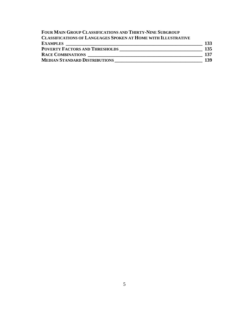| <b>FOUR MAIN GROUP CLASSIFICATIONS AND THIRTY-NINE SUBGROUP</b>      |     |
|----------------------------------------------------------------------|-----|
| <b>CLASSIFICATIONS OF LANGUAGES SPOKEN AT HOME WITH ILLUSTRATIVE</b> |     |
| <b>EXAMPLES</b>                                                      | 133 |
| <b>POVERTY FACTORS AND THRESHOLDS</b>                                | 135 |
| <b>RACE COMBINATIONS</b>                                             | 137 |
| <b>MEDIAN STANDARD DISTRIBUTIONS</b>                                 | 139 |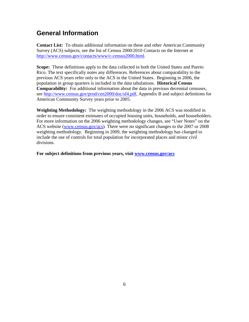# <span id="page-5-0"></span>**General Information**

**Contact List:** To obtain additional information on these and other American Community Survey (ACS) subjects, see the list of Census 2000/2010 Contacts on the Internet at [http://www.census.gov/contacts/www/c-census2000.html.](http://www.census.gov/contacts/www/c-census2000.html)

**Scope:** These definitions apply to the data collected in both the United States and Puerto Rico. The text specifically notes any differences. References about comparability to the previous ACS years refer only to the ACS in the United States. Beginning in 2006, the population in group quarters is included in the data tabulations. **Historical Census Comparability:** For additional information about the data in previous decennial censuses, see [http://www.census.gov/prod/cen2000/doc/sf4.pdf,](http://www.census.gov/prod/cen2000/doc/sf4.pdf) Appendix B and subject definitions for American Community Survey years prior to 2005.

**Weighting Methodology:** The weighting methodology in the 2006 ACS was modified in order to ensure consistent estimates of occupied housing units, households, and householders. For more information on the 2006 weighting methodology changes, see "User Notes" on the ACS website (www.census.gov/acs). There were no significant changes to the 2007 or 2008 weighting methodology. Beginning in 2009, the weighting methodology has changed to include the use of controls for total population for incorporated places and minor civil divisions.

**For subject definitions from previous years, visit www.census.gov/acs**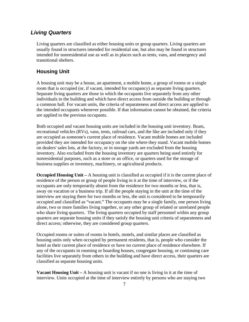### <span id="page-6-0"></span>*Living Quarters*

Living quarters are classified as either housing units or group quarters. Living quarters are usually found in structures intended for residential use, but also may be found in structures intended for nonresidential use as well as in places such as tents, vans, and emergency and transitional shelters.

## **Housing Unit**

A housing unit may be a house, an apartment, a mobile home, a group of rooms or a single room that is occupied (or, if vacant, intended for occupancy) as separate living quarters. Separate living quarters are those in which the occupants live separately from any other individuals in the building and which have direct access from outside the building or through a common hall. For vacant units, the criteria of separateness and direct access are applied to the intended occupants whenever possible. If that information cannot be obtained, the criteria are applied to the previous occupants.

Both occupied and vacant housing units are included in the housing unit inventory. Boats, recreational vehicles (RVs), vans, tents, railroad cars, and the like are included only if they are occupied as someone's current place of residence. Vacant mobile homes are included provided they are intended for occupancy on the site where they stand. Vacant mobile homes on dealers' sales lots, at the factory, or in storage yards are excluded from the housing inventory. Also excluded from the housing inventory are quarters being used entirely for nonresidential purposes, such as a store or an office, or quarters used for the storage of business supplies or inventory, machinery, or agricultural products.

**Occupied Housing Unit** – A housing unit is classified as occupied if it is the current place of residence of the person or group of people living in it at the time of interview, or if the occupants are only temporarily absent from the residence for two months or less, that is, away on vacation or a business trip. If all the people staying in the unit at the time of the interview are staying there for two months or less, the unit is considered to be temporarily occupied and classified as "vacant." The occupants may be a single family, one person living alone, two or more families living together, or any other group of related or unrelated people who share living quarters. The living quarters occupied by staff personnel within any group quarters are separate housing units if they satisfy the housing unit criteria of separateness and direct access; otherwise, they are considered group quarters.

Occupied rooms or suites of rooms in hotels, motels, and similar places are classified as housing units only when occupied by permanent residents, that is, people who consider the hotel as their current place of residence or have no current place of residence elsewhere. If any of the occupants in rooming or boarding houses, congregate housing, or continuing care facilities live separately from others in the building and have direct access, their quarters are classified as separate housing units.

**Vacant Housing Unit –** A housing unit is vacant if no one is living in it at the time of interview. Units occupied at the time of interview entirely by persons who are staying two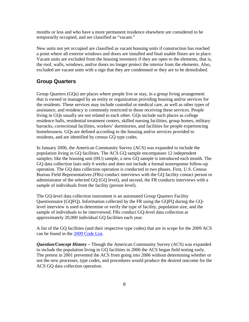months or less and who have a more permanent residence elsewhere are considered to be temporarily occupied, and are classified as "vacant."

New units not yet occupied are classified as vacant housing units if construction has reached a point where all exterior windows and doors are installed and final usable floors are in place. Vacant units are excluded from the housing inventory if they are open to the elements, that is, the roof, walls, windows, and/or doors no longer protect the interior from the elements. Also, excluded are vacant units with a sign that they are condemned or they are to be demolished.

#### **Group Quarters**

Group Quarters (GQs) are places where people live or stay, in a group living arrangement that is owned or managed by an entity or organization providing housing and/or services for the residents. These services may include custodial or medical care, as well as other types of assistance, and residency is commonly restricted to those receiving these services. People living in GQs usually are not related to each other. GQs include such places as college residence halls, residential treatment centers, skilled nursing facilities, group homes, military barracks, correctional facilities, workers' dormitories, and facilities for people experiencing homelessness. GQs are defined according to the housing and/or services provided to residents, and are identified by census GQ type codes.

In January 2006, the American Community Survey (ACS) was expanded to include the population living in GQ facilities. The ACS GQ sample encompasses 12 independent samples; like the housing unit (HU) sample, a new GQ sample is introduced each month. The GQ data collection lasts only 6 weeks and does not include a formal nonresponse follow-up operation. The GQ data collection operation is conducted in two phases. First, U.S. Census Bureau Field Representatives (FRs) conduct interviews with the GQ facility contact person or administrator of the selected GQ (GQ level), and second, the FR conducts interviews with a sample of individuals from the facility (person level).

The GQ-level data collection instrument is an automated Group Quarters Facility Questionnaire (GQFQ). Information collected by the FR using the GQFQ during the GQlevel interview is used to determine or verify the type of facility, population size, and the sample of individuals to be interviewed. FRs conduct GQ-level data collection at approximately 20,000 individual GQ facilities each year.

A list of the GQ facilities (and their respective type codes) that are in scope for the 2009 ACS can be found in the [2009 Code List.](http://www.census.gov/acs/www/Downloads/data_documentation/CodeLists/2009_ACS_Code_Lists.pdf)

*Question/Concept History –* Though the American Community Survey (ACS) was expanded to include the population living in GQ facilities in 2006 the ACS began field testing early. The pretest in 2001 prevented the ACS from going into 2006 without determining whether or not the new processes, type codes, and procedures would produce the desired outcome for the ACS GQ data collection operation.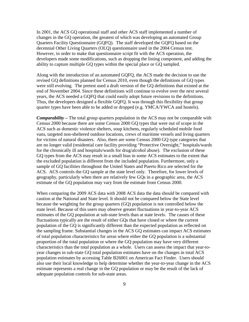In 2001, the ACS GQ operational staff and other ACS staff implemented a number of changes in the GQ operation, the greatest of which was developing an automated Group Quarters Facility Questionnaire (GQFQ). The staff developed the GQFQ based on the decennial Other Living Quarters (OLQ) questionnaire used in the 2004 Census test. However, in order to make that questionnaire script fit with the ACS operation, the developers made some modifications, such as dropping the listing component, and adding the ability to capture multiple GQ types within the special place or GQ sampled.

Along with the introduction of an automated GQFQ, the ACS made the decision to use the revised GQ definitions planned for Census 2010, even though the definitions of GQ types were still evolving. The pretest used a draft version of the GQ definitions that existed at the end of November 2004. Since these definitions will continue to evolve over the next several years, the ACS needed a GQFQ that could easily adopt future revisions to the definitions. Thus, the developers designed a flexible GQFQ. It was through this flexibility that group quarter types have been able to be added or dropped (e.g. YMCA/YWCA and hostels).

*Comparability –* The total group quarters population in the ACS may not be comparable with Census 2000 because there are some Census 2000 GQ types that were out of scope in the ACS such as domestic violence shelters, soup kitchens, regularly scheduled mobile food vans, targeted non-sheltered outdoor locations, crews of maritime vessels and living quarters for victims of natural disasters. Also, there are some Census 2000 GQ type categories that are no longer valid (residential care facility providing "Protective Oversight," hospitals/wards for the chronically ill and hospitals/wards for drug/alcohol abuse). The exclusion of these GQ types from the ACS may result in a small bias in some ACS estimates to the extent that the excluded population is different from the included population. Furthermore, only a sample of GQ facilities throughout the United States and Puerto Rico are selected for the ACS. ACS controls the GQ sample at the state level only. Therefore, for lower levels of geography, particularly when there are relatively few GQs in a geographic area, the ACS estimate of the GQ population may vary from the estimate from Census 2000.

When comparing the 2009 ACS data with 2008 ACS data the data should be compared with caution at the National and State level. It should not be compared below the State level because the weighting for the group quarters (GQ) population is not controlled below the state level. Because of this users may observe greater fluctuations in year-to-year ACS estimates of the GQ population at sub-state levels than at state levels. The causes of these fluctuations typically are the result of either GQs that have closed or where the current population of the GQ is significantly different than the expected population as reflected on the sampling frame. Substantial changes in the ACS GQ estimates can impact ACS estimates of total population characteristics for areas where either the GQ population is a substantial proportion of the total population or where the GQ population may have very different characteristics than the total population as a whole. Users can assess the impact that year-toyear changes in sub-state GQ total population estimates have on the changes in total ACS population estimates by accessing Table B26001 on American Fact Finder. Users should also use their local knowledge to help determine whether the year-to-year change in the ACS estimate represents a real change in the GQ population or may be the result of the lack of adequate population controls for sub-state areas.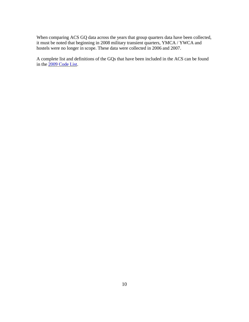When comparing ACS GQ data across the years that group quarters data have been collected, it must be noted that beginning in 2008 military transient quarters, YMCA / YWCA and hostels were no longer in scope. These data were collected in 2006 and 2007.

A complete list and definitions of the GQs that have been included in the ACS can be found in the [2009 Code List.](http://www.census.gov/acs/www/Downloads/data_documentation/CodeLists/2009_ACS_Code_Lists.pdf)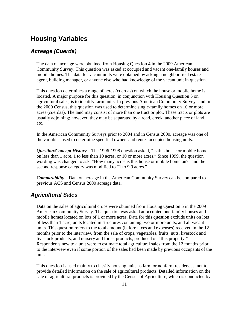# <span id="page-10-0"></span>**Housing Variables**

# <span id="page-10-1"></span>*Acreage (Cuerda)*

The data on acreage were obtained from Housing Question 4 in the 2009 American Community Survey. This question was asked at occupied and vacant one-family houses and mobile homes. The data for vacant units were obtained by asking a neighbor, real estate agent, building manager, or anyone else who had knowledge of the vacant unit in question.

This question determines a range of acres (cuerdas) on which the house or mobile home is located. A major purpose for this question, in conjunction with Housing Question 5 on agricultural sales, is to identify farm units. In previous American Community Surveys and in the 2000 Census, this question was used to determine single-family homes on 10 or more acres (cuerdas). The land may consist of more than one tract or plot. These tracts or plots are usually adjoining; however, they may be separated by a road, creek, another piece of land, etc.

In the American Community Surveys prior to 2004 and in Census 2000, acreage was one of the variables used to determine specified owner- and renter-occupied housing units.

*Question/Concept History –* The 1996-1998 question asked, "Is this house or mobile home on less than 1 acre, 1 to less than 10 acres, or 10 or more acres." Since 1999, the question wording was changed to ask, "How many acres is this house or mobile home on?" and the second response category was modified to "1 to 9.9 acres."

*Comparability –* Data on acreage in the American Community Survey can be compared to previous ACS and Census 2000 acreage data.

#### <span id="page-10-2"></span>*Agricultural Sales*

Data on the sales of agricultural crops were obtained from Housing Question 5 in the 2009 American Community Survey. The question was asked at occupied one-family houses and mobile homes located on lots of 1 or more acres. Data for this question exclude units on lots of less than 1 acre, units located in structures containing two or more units, and all vacant units. This question refers to the total amount (before taxes and expenses) received in the 12 months prior to the interview, from the sale of crops, vegetables, fruits, nuts, livestock and livestock products, and nursery and forest products, produced on "this property." Respondents new to a unit were to estimate total agricultural sales from the 12 months prior to the interview even if some portion of the sales had been made by previous occupants of the unit.

This question is used mainly to classify housing units as farm or nonfarm residences, not to provide detailed information on the sale of agricultural products. Detailed information on the sale of agricultural products is provided by the Census of Agriculture, which is conducted by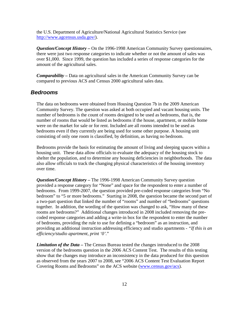the U.S. Department of Agriculture/National Agricultural Statistics Service (see [http://www.agcensus.usda.gov/\)](http://www.agcensus.usda.gov/).

*Question/Concept History –* On the 1996-1998 American Community Survey questionnaires, there were just two response categories to indicate whether or not the amount of sales was over \$1,000. Since 1999, the question has included a series of response categories for the amount of the agricultural sales.

*Comparability –* Data on agricultural sales in the American Community Survey can be compared to previous ACS and Census 2000 agricultural sales data.

#### <span id="page-11-0"></span>*Bedrooms*

The data on bedrooms were obtained from Housing Question 7b in the 2009 American Community Survey. The question was asked at both occupied and vacant housing units. The number of bedrooms is the count of rooms designed to be used as bedrooms, that is, the number of rooms that would be listed as bedrooms if the house, apartment, or mobile home were on the market for sale or for rent. Included are all rooms intended to be used as bedrooms even if they currently are being used for some other purpose. A housing unit consisting of only one room is classified, by definition, as having no bedroom.

Bedrooms provide the basis for estimating the amount of living and sleeping spaces within a housing unit. These data allow officials to evaluate the adequacy of the housing stock to shelter the population, and to determine any housing deficiencies in neighborhoods. The data also allow officials to track the changing physical characteristics of the housing inventory over time.

*Question/Concept History* **–** The 1996-1998 American Community Survey question provided a response category for "None" and space for the respondent to enter a number of bedrooms. From 1999-2007, the question provided pre-coded response categories from "No bedroom" to "5 or more bedrooms." Starting in 2008, the question became the second part of a two-part question that linked the number of "rooms" and number of "bedrooms" questions together. In addition, the wording of the question was changed to ask, "How many of these rooms are bedrooms?" Additional changes introduced in 2008 included removing the precoded response categories and adding a write-in box for the respondent to enter the number of bedrooms, providing the rule to use for defining a "bedroom" as an instruction, and providing an additional instruction addressing efficiency and studio apartments - *"If this is an efficiency/studio apartment, print '0'.*"

*Limitation of the Data* – The Census Bureau tested the changes introduced to the 2008 version of the bedrooms question in the 2006 ACS Content Test. The results of this testing show that the changes may introduce an inconsistency in the data produced for this question as observed from the years 2007 to 2008, see "2006 ACS Content Test Evaluation Report Covering Rooms and Bedrooms" on the ACS website (www.census.gov/acs).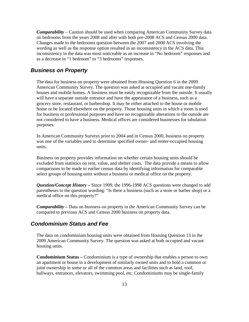*Comparability* – Caution should be used when comparing American Community Survey data on bedrooms from the years 2008 and after with both pre-2008 ACS and Census 2000 data. Changes made to the bedrooms question between the 2007 and 2008 ACS involving the wording as well as the response option resulted in an inconsistency in the ACS data. This inconsistency in the data was most noticeable as an increase in "No bedroom" responses and as a decrease in "1 bedroom" to "3 bedrooms" responses.

# <span id="page-12-0"></span>*Business on Property*

The data for business on property were obtained from Housing Question 6 in the 2009 American Community Survey. The question was asked at occupied and vacant one-family houses and mobile homes. A business must be easily recognizable from the outside. It usually will have a separate outside entrance and have the appearance of a business, such as a grocery store, restaurant, or barbershop. It may be either attached to the house or mobile home or be located elsewhere on the property. Those housing units in which a room is used for business or professional purposes and have no recognizable alterations to the outside are not considered to have a business. Medical offices are considered businesses for tabulation purposes.

In American Community Surveys prior to 2004 and in Census 2000, business on property was one of the variables used to determine specified owner- and renter-occupied housing units.

Business on property provides information on whether certain housing units should be excluded from statistics on rent, value, and shelter costs. The data provide a means to allow comparisons to be made to earlier census data by identifying information for comparable select groups of housing units without a business or medical office on the property.

*Question/Concept History* **–** Since 1999, the 1996-1998 ACS questions were changed to add parentheses to the question wording: "Is there a business (such as a store or barber shop) or a medical office on this property?"

*Comparability –* Data on business on property in the American Community Survey can be compared to previous ACS and Census 2000 business on property data.

# <span id="page-12-1"></span>*Condominium Status and Fee*

The data on condominium housing units were obtained from Housing Question 13 in the 2009 American Community Survey. The question was asked at both occupied and vacant housing units.

**Condominium Status –** Condominium is a type of ownership that enables a person to own an apartment or house in a development of similarly owned units and to hold a common or joint ownership in some or all of the common areas and facilities such as land, roof, hallways, entrances, elevators, swimming pool, etc. Condominiums may be single-family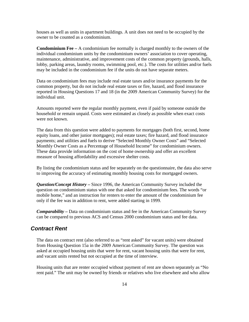houses as well as units in apartment buildings. A unit does not need to be occupied by the owner to be counted as a condominium.

**Condominium Fee –** A condominium fee normally is charged monthly to the owners of the individual condominium units by the condominium owners' association to cover operating, maintenance, administrative, and improvement costs of the common property (grounds, halls, lobby, parking areas, laundry rooms, swimming pool, etc.). The costs for utilities and/or fuels may be included in the condominium fee if the units do not have separate meters.

Data on condominium fees may include real estate taxes and/or insurance payments for the common property, but do not include real estate taxes or fire, hazard, and flood insurance reported in Housing Questions 17 and 18 (in the 2009 American Community Survey) for the individual unit.

Amounts reported were the regular monthly payment, even if paid by someone outside the household or remain unpaid. Costs were estimated as closely as possible when exact costs were not known.

The data from this question were added to payments for mortgages (both first, second, home equity loans, and other junior mortgages); real estate taxes; fire hazard, and flood insurance payments; and utilities and fuels to derive "Selected Monthly Owner Costs" and "Selected Monthly Owner Costs as a Percentage of Household Income" for condominium owners. These data provide information on the cost of home ownership and offer an excellent measure of housing affordability and excessive shelter costs.

By listing the condominium status and fee separately on the questionnaire, the data also serve to improving the accuracy of estimating monthly housing costs for mortgaged owners.

*Question/Concept History* **–** Since 1996, the American Community Survey included the question on condominium status with one that asked for condominium fees. The words "or mobile home," and an instruction for renters to enter the amount of the condominium fee only if the fee was in addition to rent, were added starting in 1999.

*Comparability –* Data on condominium status and fee in the American Community Survey can be compared to previous ACS and Census 2000 condominium status and fee data.

#### <span id="page-13-0"></span>*Contract Rent*

The data on contract rent (also referred to as "rent asked" for vacant units) were obtained from Housing Question 15a in the 2009 American Community Survey. The question was asked at occupied housing units that were for rent, vacant housing units that were for rent, and vacant units rented but not occupied at the time of interview.

Housing units that are renter occupied without payment of rent are shown separately as "No rent paid." The unit may be owned by friends or relatives who live elsewhere and who allow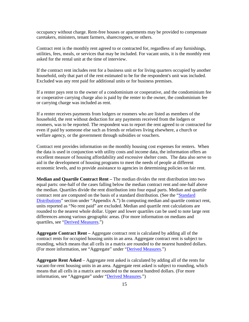occupancy without charge. Rent-free houses or apartments may be provided to compensate caretakers, ministers, tenant farmers, sharecroppers, or others.

Contract rent is the monthly rent agreed to or contracted for, regardless of any furnishings, utilities, fees, meals, or services that may be included. For vacant units, it is the monthly rent asked for the rental unit at the time of interview.

If the contract rent includes rent for a business unit or for living quarters occupied by another household, only that part of the rent estimated to be for the respondent's unit was included. Excluded was any rent paid for additional units or for business premises.

If a renter pays rent to the owner of a condominium or cooperative, and the condominium fee or cooperative carrying charge also is paid by the renter to the owner, the condominium fee or carrying charge was included as rent.

If a renter receives payments from lodgers or roomers who are listed as members of the household, the rent without deduction for any payments received from the lodgers or roomers, was to be reported. The respondent was to report the rent agreed to or contracted for even if paid by someone else such as friends or relatives living elsewhere, a church or welfare agency, or the government through subsidies or vouchers.

Contract rent provides information on the monthly housing cost expenses for renters. When the data is used in conjunction with utility costs and income data, the information offers an excellent measure of housing affordability and excessive shelter costs. The data also serve to aid in the development of housing programs to meet the needs of people at different economic levels, and to provide assistance to agencies in determining policies on fair rent.

**Median and Quartile Contract Rent –** The median divides the rent distribution into two equal parts: one-half of the cases falling below the median contract rent and one-half above the median. Quartiles divide the rent distribution into four equal parts. Median and quartile contract rent are computed on the basis of a standard distribution. (See the ["Standard](#page-138-0)  [Distributions"](#page-138-0) section under "Appendix A.") In computing median and quartile contract rent, units reported as "No rent paid" are excluded. Median and quartile rent calculations are rounded to the nearest whole dollar. Upper and lower quartiles can be used to note large rent differences among various geographic areas. (For more information on medians and quartiles, see ["Derived Measures.](#page-124-0)")

**Aggregate Contract Rent –** Aggregate contract rent is calculated by adding all of the contract rents for occupied housing units in an area. Aggregate contract rent is subject to rounding, which means that all cells in a matrix are rounded to the nearest hundred dollars. (For more information, see "Aggregate" under ["Derived Measures.](#page-124-0)")

**Aggregate Rent Asked** – Aggregate rent asked is calculated by adding all of the rents for vacant-for-rent housing units in an area. Aggregate rent asked is subject to rounding, which means that all cells in a matrix are rounded to the nearest hundred dollars. (For more information, see "Aggregate" under ["Derived Measures.](#page-124-0)")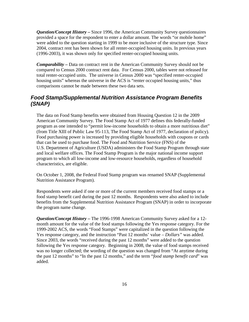*Question/Concept History* **–** Since 1996, the American Community Survey questionnaires provided a space for the respondent to enter a dollar amount. The words "or mobile home" were added to the question starting in 1999 to be more inclusive of the structure type. Since 2004, contract rent has been shown for all renter-occupied housing units. In previous years (1996-2003), it was shown only for specified renter-occupied housing units.

*Comparability –* Data on contract rent in the American Community Survey should not be compared to Census 2000 contract rent data. For Census 2000, tables were not released for total renter-occupied units. The universe in Census 2000 was "specified renter-occupied housing units" whereas the universe in the ACS is "renter occupied housing units," thus comparisons cannot be made between these two data sets.

# <span id="page-15-0"></span>*Food Stamp/Supplemental Nutrition Assistance Program Benefits (SNAP)*

The data on Food Stamp benefits were obtained from Housing Question 12 in the 2009 American Community Survey. The Food Stamp Act of 1977 defines this federally-funded program as one intended to "permit low-income households to obtain a more nutritious diet" (from Title XIII of Public Law 95-113, The Food Stamp Act of 1977, declaration of policy). Food purchasing power is increased by providing eligible households with coupons or cards that can be used to purchase food. The Food and Nutrition Service (FNS) of the U.S. Department of Agriculture (USDA) administers the Food Stamp Program through state and local welfare offices. The Food Stamp Program is the major national income support program to which all low-income and low-resource households, regardless of household characteristics, are eligible.

On October 1, 2008, the Federal Food Stamp program was renamed SNAP (Supplemental Nutrition Assistance Program).

Respondents were asked if one or more of the current members received food stamps or a food stamp benefit card during the past 12 months. Respondents were also asked to include benefits from the Supplemental Nutrition Assistance Program (SNAP) in order to incorporate the program name change.

*Question/Concept History –* The 1996-1998 American Community Survey asked for a 12 month amount for the value of the food stamps following the Yes response category. For the 1999-2002 ACS, the words "Food Stamps" were capitalized in the question following the Yes response category, and the instruction "Past 12 months' value – *Dollars"* was added. Since 2003, the words "received during the past 12 months" were added to the question following the Yes response category. Beginning in 2008, the value of food stamps received was no longer collected; the wording of the question was changed from "At anytime during the past 12 months" to "In the past 12 months," and the term "*food stamp benefit card*" was added.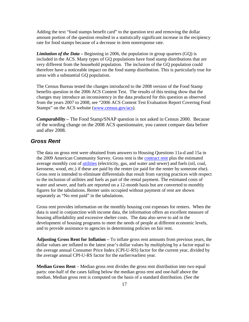Adding the text "food stamps benefit card" to the question text and removing the dollar amount portion of the question resulted in a statistically significant increase in the recipiency rate for food stamps because of a decrease in item nonresponse rate.

*Limitation of the Data* – Beginning in 2006, the population in group quarters (GQ) is included in the ACS. Many types of GQ populations have food stamp distributions that are very different from the household population. The inclusion of the GQ population could therefore have a noticeable impact on the food stamp distribution. This is particularly true for areas with a substantial GQ population.

The Census Bureau tested the changes introduced to the 2008 version of the Food Stamp benefits question in the 2006 ACS Content Test. The results of this testing show that the changes may introduce an inconsistency in the data produced for this question as observed from the years 2007 to 2008, see "2006 ACS Content Test Evaluation Report Covering Food Stamps" on the ACS website (www.census.gov/acs).

*Comparability –* The Food Stamp/SNAP question is not asked in Census 2000. Because of the wording change on the 2008 ACS questionnaire, you cannot compare data before and after 2008.

#### <span id="page-16-0"></span>*Gross Rent*

The data on gross rent were obtained from answers to Housing Questions 11a-d and 15a in the 2009 American Community Survey. Gross rent is the [contract rent](#page-13-0) plus the estimated average monthly cost of [utilities](#page-36-0) (electricity, gas, and water and sewer) and fuels (oil, coal, kerosene, wood, etc.) if these are paid by the renter (or paid for the renter by someone else). Gross rent is intended to eliminate differentials that result from varying practices with respect to the inclusion of utilities and fuels as part of the rental payment. The estimated costs of water and sewer, and fuels are reported on a 12-month basis but are converted to monthly figures for the tabulations. Renter units occupied without payment of rent are shown separately as "No rent paid" in the tabulations.

Gross rent provides information on the monthly housing cost expenses for renters. When the data is used in conjunction with income data, the information offers an excellent measure of housing affordability and excessive shelter costs. The data also serve to aid in the development of housing programs to meet the needs of people at different economic levels, and to provide assistance to agencies in determining policies on fair rent.

**Adjusting Gross Rent for Inflation –** To inflate gross rent amounts from previous years, the dollar values are inflated to the latest year's dollar values by multiplying by a factor equal to the average annual Consumer Price Index (CPI-U-RS) factor for the current year, divided by the average annual CPI-U-RS factor for the earlier/earliest year.

**Median Gross Rent** – Median gross rent divides the gross rent distribution into two equal parts: one-half of the cases falling below the median gross rent and one-half above the median. Median gross rent is computed on the basis of a standard distribution. (See the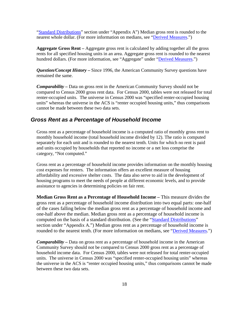["Standard Distributions"](#page-138-0) section under "Appendix A") Median gross rent is rounded to the nearest whole dollar. (For more information on medians, see ["Derived Measures.](#page-124-0)")

**Aggregate Gross Rent –** Aggregate gross rent is calculated by adding together all the gross rents for all specified housing units in an area. Aggregate gross rent is rounded to the nearest hundred dollars. (For more information, see "Aggregate" under ["Derived Measures.](#page-124-0)")

*Question/Concept History* **–** Since 1996, the American Community Survey questions have remained the same.

*Comparability –* Data on gross rent in the American Community Survey should not be compared to Census 2000 gross rent data. For Census 2000, tables were not released for total renter-occupied units. The universe in Census 2000 was "specified renter-occupied housing units" whereas the universe in the ACS is "renter occupied housing units," thus comparisons cannot be made between these two data sets.

#### <span id="page-17-0"></span>*Gross Rent as a Percentage of Household Income*

Gross rent as a percentage of household income is a computed ratio of monthly gross rent to monthly household income (total household income divided by 12). The ratio is computed separately for each unit and is rounded to the nearest tenth. Units for which no rent is paid and units occupied by households that reported no income or a net loss comprise the category, "Not computed."

Gross rent as a percentage of household income provides information on the monthly housing cost expenses for renters. The information offers an excellent measure of housing affordability and excessive shelter costs. The data also serve to aid in the development of housing programs to meet the needs of people at different economic levels, and to provide assistance to agencies in determining policies on fair rent.

**Median Gross Rent as a Percentage of Household Income –** This measure divides the gross rent as a percentage of household income distribution into two equal parts: one-half of the cases falling below the median gross rent as a percentage of household income and one-half above the median. Median gross rent as a percentage of household income is computed on the basis of a standard distribution. (See the ["Standard Distributions"](#page-138-0) section under "Appendix A.") Median gross rent as a percentage of household income is rounded to the nearest tenth. (For more information on medians, see ["Derived Measures.](#page-124-0)")

*Comparability –* Data on gross rent as a percentage of household income in the American Community Survey should not be compared to Census 2000 gross rent as a percentage of household income data. For Census 2000, tables were not released for total renter-occupied units. The universe in Census 2000 was "specified renter-occupied housing units" whereas the universe in the ACS is "renter occupied housing units," thus comparisons cannot be made between these two data sets.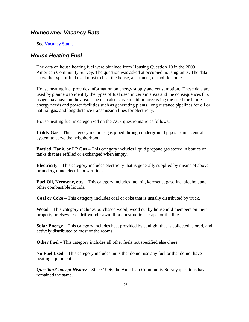#### <span id="page-18-0"></span>*Homeowner Vacancy Rate*

See [Vacancy Status.](#page-37-0)

## <span id="page-18-1"></span>*House Heating Fuel*

The data on house heating fuel were obtained from Housing Question 10 in the 2009 American Community Survey. The question was asked at occupied housing units. The data show the type of fuel used most to heat the house, apartment, or mobile home.

House heating fuel provides information on energy supply and consumption. These data are used by planners to identify the types of fuel used in certain areas and the consequences this usage may have on the area. The data also serve to aid in forecasting the need for future energy needs and power facilities such as generating plants, long distance pipelines for oil or natural gas, and long distance transmission lines for electricity.

House heating fuel is categorized on the ACS questionnaire as follows:

**Utility Gas –** This category includes gas piped through underground pipes from a central system to serve the neighborhood.

**Bottled, Tank, or LP Gas** – This category includes liquid propane gas stored in bottles or tanks that are refilled or exchanged when empty.

**Electricity –** This category includes electricity that is generally supplied by means of above or underground electric power lines.

**Fuel Oil, Kerosene, etc. –** This category includes fuel oil, kerosene, gasoline, alcohol, and other combustible liquids.

**Coal or Coke –** This category includes coal or coke that is usually distributed by truck.

**Wood –** This category includes purchased wood, wood cut by household members on their property or elsewhere, driftwood, sawmill or construction scraps, or the like.

**Solar Energy –** This category includes heat provided by sunlight that is collected, stored, and actively distributed to most of the rooms.

**Other Fuel –** This category includes all other fuels not specified elsewhere.

**No Fuel Used –** This category includes units that do not use any fuel or that do not have heating equipment.

*Question/Concept History* **–** Since 1996, the American Community Survey questions have remained the same.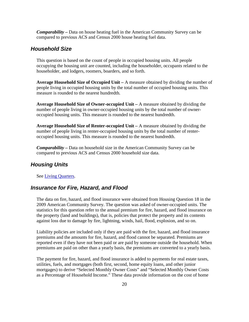*Comparability –* Data on house heating fuel in the American Community Survey can be compared to previous ACS and Census 2000 house heating fuel data.

### <span id="page-19-0"></span>*Household Size*

This question is based on the count of people in occupied housing units. All people occupying the housing unit are counted, including the householder, occupants related to the householder, and lodgers, roomers, boarders, and so forth.

**Average Household Size of Occupied Unit –** A measure obtained by dividing the number of people living in occupied housing units by the total number of occupied housing units. This measure is rounded to the nearest hundredth.

**Average Household Size of Owner-occupied Unit –** A measure obtained by dividing the number of people living in owner-occupied housing units by the total number of owneroccupied housing units. This measure is rounded to the nearest hundredth.

**Average Household Size of Renter-occupied Unit –** A measure obtained by dividing the number of people living in renter-occupied housing units by the total number of renteroccupied housing units. This measure is rounded to the nearest hundredth.

*Comparability –* Data on household size in the American Community Survey can be compared to previous ACS and Census 2000 household size data.

#### <span id="page-19-1"></span>*Housing Units*

See [Living Quarters.](#page-6-0)

#### <span id="page-19-2"></span>*Insurance for Fire, Hazard, and Flood*

The data on fire, hazard, and flood insurance were obtained from Housing Question 18 in the 2009 American Community Survey. The question was asked of owner-occupied units. The statistics for this question refer to the annual premium for fire, hazard, and flood insurance on the property (land and buildings), that is, policies that protect the property and its contents against loss due to damage by fire, lightning, winds, hail, flood, explosion, and so on.

Liability policies are included only if they are paid with the fire, hazard, and flood insurance premiums and the amounts for fire, hazard, and flood cannot be separated. Premiums are reported even if they have not been paid or are paid by someone outside the household. When premiums are paid on other than a yearly basis, the premiums are converted to a yearly basis.

The payment for fire, hazard, and flood insurance is added to payments for real estate taxes, utilities, fuels, and mortgages (both first, second, home equity loans, and other junior mortgages) to derive "Selected Monthly Owner Costs" and "Selected Monthly Owner Costs as a Percentage of Household Income." These data provide information on the cost of home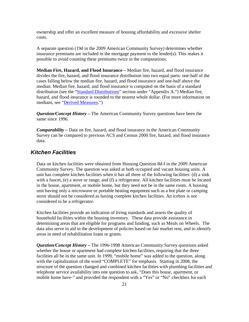ownership and offer an excellent measure of housing affordability and excessive shelter costs.

A separate question (19d in the 2009 American Community Survey) determines whether insurance premiums are included in the mortgage payment to the lender(s). This makes it possible to avoid counting these premiums twice in the computations.

**Median Fire, Hazard, and Flood Insurance –** Median fire, hazard, and flood insurance divides the fire, hazard, and flood insurance distribution into two equal parts: one-half of the cases falling below the median fire, hazard, and flood insurance and one-half above the median. Median fire, hazard, and flood insurance is computed on the basis of a standard distribution (see the ["Standard Distributions"](#page-138-0) section under "Appendix A.") Median fire, hazard, and flood insurance is rounded to the nearest whole dollar. (For more information on medians, see ["Derived Measures.](#page-124-0)")

*Question/Concept History* **–** The American Community Survey questions have been the same since 1996.

*Comparability –* Data on fire, hazard, and flood insurance in the American Community Survey can be compared to previous ACS and Census 2000 fire, hazard, and flood insurance data.

# <span id="page-20-0"></span>*Kitchen Facilities*

Data on kitchen facilities were obtained from Housing Question 8d-f in the 2009 American Community Survey. The question was asked at both occupied and vacant housing units. A unit has complete kitchen facilities when it has all three of the following facilities: (d) a sink with a faucet, (e) a stove or range, and (f) a refrigerator. All kitchen facilities must be located in the house, apartment, or mobile home, but they need not be in the same room. A housing unit having only a microwave or portable heating equipment such as a hot plate or camping stove should not be considered as having complete kitchen facilities. An icebox is not considered to be a refrigerator.

Kitchen facilities provide an indication of living standards and assess the quality of household facilities within the housing inventory. These data provide assistance in determining areas that are eligible for programs and funding, such as Meals on Wheels. The data also serve to aid in the development of policies based on fair market rent, and to identify areas in need of rehabilitation loans or grants.

*Question/Concept History* **–** The 1996-1998 American Community Survey questions asked whether the house or apartment had complete kitchen facilities, requiring that the three facilities all be in the same unit. In 1999, "mobile home" was added to the question, along with the capitalization of the word "COMPLETE" for emphasis. Starting in 2008, the structure of the question changed and combined kitchen facilities with plumbing facilities and telephone service availability into one question to ask, "Does this house, apartment, or mobile home have-" and provided the respondent with a "Yes" or "No" checkbox for each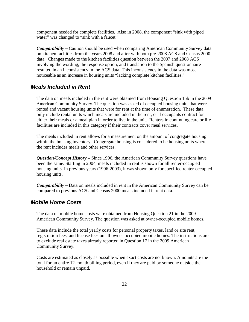component needed for complete facilities. Also in 2008, the component "sink with piped water" was changed to "sink with a faucet."

*Comparability –* Caution should be used when comparing American Community Survey data on kitchen facilities from the years 2008 and after with both pre-2008 ACS and Census 2000 data. Changes made to the kitchen facilities question between the 2007 and 2008 ACS involving the wording, the response option, and translation to the Spanish questionnaire resulted in an inconsistency in the ACS data. This inconsistency in the data was most noticeable as an increase in housing units "lacking complete kitchen facilities."

#### <span id="page-21-0"></span>*Meals Included in Rent*

The data on meals included in the rent were obtained from Housing Question 15b in the 2009 American Community Survey. The question was asked of occupied housing units that were rented and vacant housing units that were for rent at the time of enumeration. These data only include rental units which meals are included in the rent, or if occupants contract for either their meals or a meal plan in order to live in the unit. Renters in continuing care or life facilities are included in this category if their contracts cover meal services.

The meals included in rent allows for a measurement on the amount of congregate housing within the housing inventory. Congregate housing is considered to be housing units where the rent includes meals and other services.

*Question/Concept History* **–** Since 1996, the American Community Survey questions have been the same. Starting in 2004, meals included in rent is shown for all renter-occupied housing units. In previous years (1996-2003), it was shown only for specified renter-occupied housing units.

*Comparability –* Data on meals included in rent in the American Community Survey can be compared to previous ACS and Census 2000 meals included in rent data.

#### <span id="page-21-1"></span>*Mobile Home Costs*

The data on mobile home costs were obtained from Housing Question 21 in the 2009 American Community Survey. The question was asked at owner-occupied mobile homes.

These data include the total yearly costs for personal property taxes, land or site rent, registration fees, and license fees on all owner-occupied mobile homes. The instructions are to exclude real estate taxes already reported in Question 17 in the 2009 American Community Survey.

Costs are estimated as closely as possible when exact costs are not known. Amounts are the total for an entire 12-month billing period, even if they are paid by someone outside the household or remain unpaid.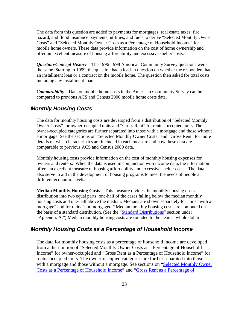The data from this question are added to payments for mortgages; real estate taxes; fire, hazard, and flood insurance payments; utilities; and fuels to derive "Selected Monthly Owner Costs" and "Selected Monthly Owner Costs as a Percentage of Household Income" for mobile home owners. These data provide information on the cost of home ownership and offer an excellent measure of housing affordability and excessive shelter costs.

*Question/Concept History* **–** The 1996-1998 American Community Survey questions were the same. Starting in 1999, the question had a lead-in question on whether the respondent had an installment loan or a contract on the mobile home. The question then asked for total costs including any installment loan.

*Comparability –* Data on mobile home costs in the American Community Survey can be compared to previous ACS and Census 2000 mobile home costs data.

## <span id="page-22-0"></span>*Monthly Housing Costs*

The data for monthly housing costs are developed from a distribution of "Selected Monthly Owner Costs" for owner-occupied units and "Gross Rent" for renter-occupied units. The owner-occupied categories are further separated into those with a mortgage and those without a mortgage. See the sections on "Selected Monthly Owner Costs" and "Gross Rent" for more details on what characteristics are included in each measure and how these data are comparable to previous ACS and Census 2000 data.

Monthly housing costs provide information on the cost of monthly housing expenses for owners and renters. When the data is used in conjunction with income data, the information offers an excellent measure of housing affordability and excessive shelter costs. The data also serve to aid in the development of housing programs to meet the needs of people at different economic levels.

**Median Monthly Housing Costs –** This measure divides the monthly housing costs distribution into two equal parts: one-half of the cases falling below the median monthly housing costs and one-half above the median. Medians are shown separately for units "with a mortgage" and for units "not mortgaged." Median monthly housing costs are computed on the basis of a standard distribution. (See the ["Standard Distributions"](#page-138-0) section under "Appendix A.") Median monthly housing costs are rounded to the nearest whole dollar.

#### <span id="page-22-1"></span>*Monthly Housing Costs as a Percentage of Household Income*

The data for monthly housing costs as a percentage of household income are developed from a distribution of "Selected Monthly Owner Costs as a Percentage of Household Income" for owner-occupied and "Gross Rent as a Percentage of Household Income" for renter-occupied units. The owner-occupied categories are further separated into those with a mortgage and those without a mortgage. See sections on "Selected Monthly Owner" [Costs as a Percentage of Household Income"](#page-31-0) and "Gross [Rent as a Percentage of](#page-17-0)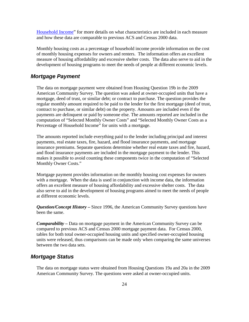Household Income" for more details on what characteristics are included in each measure and how these data are comparable to previous ACS and Census 2000 data.

Monthly housing costs as a percentage of household income provide information on the cost of monthly housing expenses for owners and renters. The information offers an excellent measure of housing affordability and excessive shelter costs. The data also serve to aid in the development of housing programs to meet the needs of people at different economic levels.

#### <span id="page-23-0"></span>*Mortgage Payment*

The data on mortgage payment were obtained from Housing Question 19b in the 2009 American Community Survey. The question was asked at owner-occupied units that have a mortgage, deed of trust, or similar debt; or contract to purchase. The question provides the regular monthly amount required to be paid to the lender for the first mortgage (deed of trust, contract to purchase, or similar debt) on the property. Amounts are included even if the payments are delinquent or paid by someone else. The amounts reported are included in the computation of "Selected Monthly Owner Costs" and "Selected Monthly Owner Costs as a Percentage of Household Income" for units with a mortgage.

The amounts reported include everything paid to the lender including principal and interest payments, real estate taxes, fire, hazard, and flood insurance payments, and mortgage insurance premiums. Separate questions determine whether real estate taxes and fire, hazard, and flood insurance payments are included in the mortgage payment to the lender. This makes it possible to avoid counting these components twice in the computation of "Selected Monthly Owner Costs."

Mortgage payment provides information on the monthly housing cost expenses for owners with a mortgage. When the data is used in conjunction with income data, the information offers an excellent measure of housing affordability and excessive shelter costs. The data also serve to aid in the development of housing programs aimed to meet the needs of people at different economic levels.

*Question/Concept History* **–** Since 1996, the American Community Survey questions have been the same.

*Comparability –* Data on mortgage payment in the American Community Survey can be compared to previous ACS and Census 2000 mortgage payment data. For Census 2000, tables for both total owner-occupied housing units and specified owner-occupied housing units were released, thus comparisons can be made only when comparing the same universes between the two data sets.

#### <span id="page-23-1"></span>*Mortgage Status*

The data on mortgage status were obtained from Housing Questions 19a and 20a in the 2009 American Community Survey. The questions were asked at owner-occupied units.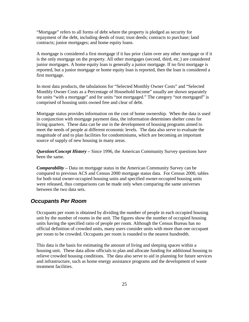"Mortgage" refers to all forms of debt where the property is pledged as security for repayment of the debt, including deeds of trust; trust deeds; contracts to purchase; land contracts; junior mortgages; and home equity loans.

A mortgage is considered a first mortgage if it has prior claim over any other mortgage or if it is the only mortgage on the property. All other mortgages (second, third, etc.) are considered junior mortgages. A home equity loan is generally a junior mortgage. If no first mortgage is reported, but a junior mortgage or home equity loan is reported, then the loan is considered a first mortgage.

In most data products, the tabulations for "Selected Monthly Owner Costs" and "Selected Monthly Owner Costs as a Percentage of Household Income" usually are shown separately for units "with a mortgage" and for units "not mortgaged." The category "not mortgaged" is comprised of housing units owned free and clear of debt.

Mortgage status provides information on the cost of home ownership. When the data is used in conjunction with mortgage payment data, the information determines shelter costs for living quarters. These data can be use in the development of housing programs aimed to meet the needs of people at different economic levels. The data also serve to evaluate the magnitude of and to plan facilities for condominiums, which are becoming an important source of supply of new housing in many areas.

*Question/Concept History* **–** Since 1996, the American Community Survey questions have been the same.

*Comparability –* Data on mortgage status in the American Community Survey can be compared to previous ACS and Census 2000 mortgage status data. For Census 2000, tables for both total owner-occupied housing units and specified owner-occupied housing units were released, thus comparisons can be made only when comparing the same universes between the two data sets.

### <span id="page-24-0"></span>*Occupants Per Room*

Occupants per room is obtained by dividing the number of people in each occupied housing unit by the number of rooms in the unit. The figures show the number of occupied housing units having the specified ratio of people per room. Although the Census Bureau has no official definition of crowded units, many users consider units with more than one occupant per room to be crowded. Occupants per room is rounded to the nearest hundredth.

This data is the basis for estimating the amount of living and sleeping spaces within a housing unit. These data allow officials to plan and allocate funding for additional housing to relieve crowded housing conditions. The data also serve to aid in planning for future services and infrastructure, such as home energy assistance programs and the development of waste treatment facilities.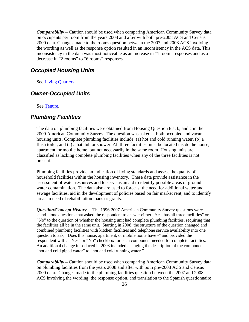*Comparability* – Caution should be used when comparing American Community Survey data on occupants per room from the years 2008 and after with both pre-2008 ACS and Census 2000 data. Changes made to the rooms question between the 2007 and 2008 ACS involving the wording as well as the response option resulted in an inconsistency in the ACS data. This inconsistency in the data was most noticeable as an increase in "1 room" responses and as a decrease in "2 rooms" to "6 rooms" responses.

# <span id="page-25-0"></span>*Occupied Housing Units*

See [Living Quarters.](#page-6-0)

#### <span id="page-25-1"></span>*Owner-Occupied Units*

See [Tenure.](#page-34-0)

#### <span id="page-25-2"></span>*Plumbing Facilities*

The data on plumbing facilities were obtained from Housing Question 8 a, b, and c in the 2009 American Community Survey. The question was asked at both occupied and vacant housing units. Complete plumbing facilities include: (a) hot and cold running water, (b) a flush toilet, and (c) a bathtub or shower. All three facilities must be located inside the house, apartment, or mobile home, but not necessarily in the same room. Housing units are classified as lacking complete plumbing facilities when any of the three facilities is not present.

Plumbing facilities provide an indication of living standards and assess the quality of household facilities within the housing inventory. These data provide assistance in the assessment of water resources and to serve as an aid to identify possible areas of ground water contamination. The data also are used to forecast the need for additional water and sewage facilities, aid in the development of policies based on fair market rent, and to identify areas in need of rehabilitation loans or grants.

*Question/Concept History –* The 1996-2007 American Community Survey questions were stand-alone questions that asked the respondent to answer either "Yes, has all three facilities" or "No" to the question of whether the housing unit had complete plumbing facilities, requiring that the facilities all be in the same unit. Starting in 2008, the structure of the question changed and combined plumbing facilities with kitchen facilities and telephone service availability into one question to ask, "Does this house, apartment, or mobile home have -" and provided the respondent with a "Yes" or "No" checkbox for each component needed for complete facilities. An additional change introduced in 2008 included changing the description of the component "hot and cold piped water" to "hot and cold running water."

*Comparability –* Caution should be used when comparing American Community Survey data on plumbing facilities from the years 2008 and after with both pre-2008 ACS and Census 2000 data. Changes made to the plumbing facilities question between the 2007 and 2008 ACS involving the wording, the response option, and translation to the Spanish questionnaire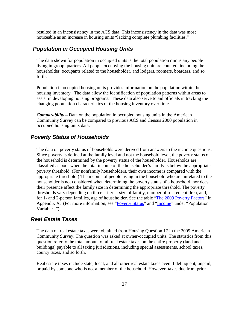resulted in an inconsistency in the ACS data. This inconsistency in the data was most noticeable as an increase in housing units "lacking complete plumbing facilities."

# <span id="page-26-0"></span>*Population in Occupied Housing Units*

The data shown for population in occupied units is the total population minus any people living in group quarters. All people occupying the housing unit are counted, including the householder, occupants related to the householder, and lodgers, roomers, boarders, and so forth.

Population in occupied housing units provides information on the population within the housing inventory. The data allow the identification of population patterns within areas to assist in developing housing programs. These data also serve to aid officials in tracking the changing population characteristics of the housing inventory over time.

*Comparability –* Data on the population in occupied housing units in the American Community Survey can be compared to previous ACS and Census 2000 population in occupied housing units data.

## <span id="page-26-1"></span>*Poverty Status of Households*

The data on poverty status of households were derived from answers to the income questions. Since poverty is defined at the family level and not the household level, the poverty status of the household is determined by the poverty status of the householder. Households are classified as poor when the total income of the householder's family is below the appropriate poverty threshold. (For nonfamily householders, their own income is compared with the appropriate threshold.) The income of people living in the household who are unrelated to the householder is not considered when determining the poverty status of a household, nor does their presence affect the family size in determining the appropriate threshold. The poverty thresholds vary depending on three criteria: size of family, number of related children, and, for 1- and 2-person families, age of householder. See the table ["The 2009 Poverty Factors"](#page-134-0) in Appendix A. (For more information, see ["Poverty Status"](#page-99-1) and ["Income"](#page-75-3) under "Population Variables.")

# <span id="page-26-2"></span>*Real Estate Taxes*

The data on real estate taxes were obtained from Housing Question 17 in the 2009 American Community Survey. The question was asked at owner-occupied units. The statistics from this question refer to the total amount of all real estate taxes on the entire property (land and buildings) payable to all taxing jurisdictions, including special assessments, school taxes, county taxes, and so forth.

Real estate taxes include state, local, and all other real estate taxes even if delinquent, unpaid, or paid by someone who is not a member of the household. However, taxes due from prior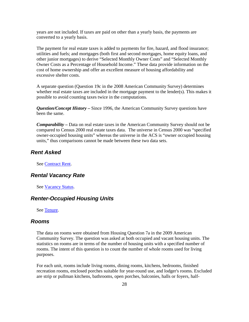years are not included. If taxes are paid on other than a yearly basis, the payments are converted to a yearly basis.

The payment for real estate taxes is added to payments for fire, hazard, and flood insurance; utilities and fuels; and mortgages (both first and second mortgages, home equity loans, and other junior mortgages) to derive "Selected Monthly Owner Costs" and "Selected Monthly Owner Costs as a Percentage of Household Income." These data provide information on the cost of home ownership and offer an excellent measure of housing affordability and excessive shelter costs.

A separate question (Question 19c in the 2008 American Community Survey) determines whether real estate taxes are included in the mortgage payment to the lender(s). This makes it possible to avoid counting taxes twice in the computations.

*Question/Concept History – Since 1996, the American Community Survey questions have* been the same.

*Comparability –* Data on real estate taxes in the American Community Survey should not be compared to Census 2000 real estate taxes data. The universe in Census 2000 was "specified owner-occupied housing units" whereas the universe in the ACS is "owner occupied housing units," thus comparisons cannot be made between these two data sets.

# <span id="page-27-0"></span>*Rent Asked*

See [Contract Rent.](#page-13-0)

#### <span id="page-27-1"></span>*Rental Vacancy Rate*

See [Vacancy Status.](#page-37-0)

## <span id="page-27-2"></span>*Renter-Occupied Housing Units*

See [Tenure.](#page-34-0)

### <span id="page-27-3"></span>*Rooms*

The data on rooms were obtained from Housing Question 7a in the 2009 American Community Survey. The question was asked at both occupied and vacant housing units. The statistics on rooms are in terms of the number of housing units with a specified number of rooms. The intent of this question is to count the number of whole rooms used for living purposes.

For each unit, rooms include living rooms, dining rooms, kitchens, bedrooms, finished recreation rooms, enclosed porches suitable for year-round use, and lodger's rooms. Excluded are strip or pullman kitchens, bathrooms, open porches, balconies, halls or foyers, half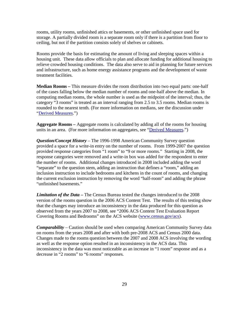rooms, utility rooms, unfinished attics or basements, or other unfinished space used for storage. A partially divided room is a separate room only if there is a partition from floor to ceiling, but not if the partition consists solely of shelves or cabinets.

Rooms provide the basis for estimating the amount of living and sleeping spaces within a housing unit. These data allow officials to plan and allocate funding for additional housing to relieve crowded housing conditions. The data also serve to aid in planning for future services and infrastructure, such as home energy assistance programs and the development of waste treatment facilities.

**Median Rooms –** This measure divides the room distribution into two equal parts: one-half of the cases falling below the median number of rooms and one-half above the median. In computing median rooms, the whole number is used as the midpoint of the interval; thus, the category "3 rooms" is treated as an interval ranging from 2.5 to 3.5 rooms. Median rooms is rounded to the nearest tenth. (For more information on medians, see the discussion under ["Derived Measures.](#page-124-0)")

**Aggregate Rooms –** Aggregate rooms is calculated by adding all of the rooms for housing units in an area. (For more information on aggregates, see ["Derived Measures.](#page-124-0)")

*Question/Concept History* – The 1996-1998 American Community Survey question provided a space for a write-in entry on the number of rooms. From 1999-2007 the question provided response categories from "1 room" to "9 or more rooms." Starting in 2008, the response categories were removed and a write-in box was added for the respondent to enter the number of rooms. Additional changes introduced in 2008 included adding the word "separate" to the question stem, adding an instruction that defines a "room," adding an inclusion instruction to include bedrooms and kitchens in the count of rooms, and changing the current exclusion instruction by removing the word "half-room" and adding the phrase "unfinished basements."

**Limitation of the Data** – The Census Bureau tested the changes introduced to the 2008 version of the rooms question in the 2006 ACS Content Test. The results of this testing show that the changes may introduce an inconsistency in the data produced for this question as observed from the years 2007 to 2008, see "2006 ACS Content Test Evaluation Report Covering Rooms and Bedrooms" on the ACS website (www.census.gov/acs).

*Comparability* – Caution should be used when comparing American Community Survey data on rooms from the years 2008 and after with both pre-2008 ACS and Census 2000 data. Changes made to the rooms question between the 2007 and 2008 ACS involving the wording as well as the response option resulted in an inconsistency in the ACS data. This inconsistency in the data was most noticeable as an increase in "1 room" response and as a decrease in "2 rooms" to "6 rooms" responses.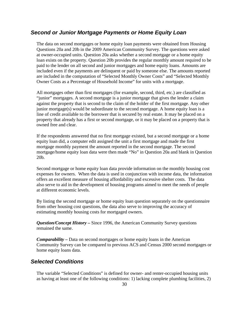### <span id="page-29-0"></span>*Second or Junior Mortgage Payments or Home Equity Loan*

The data on second mortgages or home equity loan payments were obtained from Housing Questions 20a and 20b in the 2009 American Community Survey. The questions were asked at owner-occupied units. Question 20a asks whether a second mortgage or a home equity loan exists on the property. Question 20b provides the regular monthly amount required to be paid to the lender on all second and junior mortgages and home equity loans. Amounts are included even if the payments are delinquent or paid by someone else. The amounts reported are included in the computation of "Selected Monthly Owner Costs" and "Selected Monthly Owner Costs as a Percentage of Household Income" for units with a mortgage.

All mortgages other than first mortgages (for example, second, third, etc.) are classified as "junior" mortgages. A second mortgage is a junior mortgage that gives the lender a claim against the property that is second to the claim of the holder of the first mortgage. Any other junior mortgage $(s)$  would be subordinate to the second mortgage. A home equity loan is a line of credit available to the borrower that is secured by real estate. It may be placed on a property that already has a first or second mortgage, or it may be placed on a property that is owned free and clear.

If the respondents answered that no first mortgage existed, but a second mortgage or a home equity loan did, a computer edit assigned the unit a first mortgage and made the first mortgage monthly payment the amount reported in the second mortgage. The second mortgage/home equity loan data were then made "No" in Question 20a and blank in Question 20b.

Second mortgage or home equity loan data provide information on the monthly housing cost expenses for owners. When the data is used in conjunction with income data, the information offers an excellent measure of housing affordability and excessive shelter costs. The data also serve to aid in the development of housing programs aimed to meet the needs of people at different economic levels.

By listing the second mortgage or home equity loan question separately on the questionnaire from other housing cost questions, the data also serve to improving the accuracy of estimating monthly housing costs for mortgaged owners.

*Question/Concept History –* Since 1996, the American Community Survey questions remained the same.

*Comparability –* Data on second mortgages or home equity loans in the American Community Survey can be compared to previous ACS and Census 2000 second mortgages or home equity loans data.

# <span id="page-29-1"></span>*Selected Conditions*

The variable "Selected Conditions" is defined for owner- and renter-occupied housing units as having at least one of the following conditions: 1) lacking complete plumbing facilities, 2)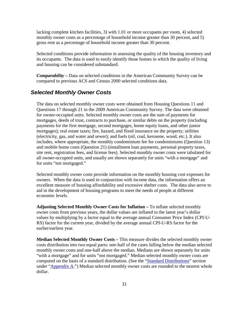lacking complete kitchen facilities, 3) with 1.01 or more occupants per room, 4) selected monthly owner costs as a percentage of household income greater than 30 percent, and 5) gross rent as a percentage of household income greater than 30 percent.

Selected conditions provide information in assessing the quality of the housing inventory and its occupants. The data is used to easily identify those homes in which the quality of living and housing can be considered substandard.

*Comparability –* Data on selected conditions in the American Community Survey can be compared to previous ACS and Census 2000 selected conditions data.

# <span id="page-30-0"></span>*Selected Monthly Owner Costs*

The data on selected monthly owner costs were obtained from Housing Questions 11 and Questions 17 through 21 in the 2009 American Community Survey. The data were obtained for owner-occupied units. Selected monthly owner costs are the sum of payments for mortgages, deeds of trust, contracts to purchase, or similar debts on the property (including payments for the first mortgage, second mortgages, home equity loans, and other junior mortgages); real estate taxes; fire, hazard, and flood insurance on the property; utilities (electricity, gas, and water and sewer); and fuels (oil, coal, kerosene, wood, etc.). It also includes, where appropriate, the monthly condominium fee for condominiums (Question 13) and mobile home costs (Question 21) (installment loan payments, personal property taxes, site rent, registration fees, and license fees). Selected monthly owner costs were tabulated for all owner-occupied units, and usually are shown separately for units "with a mortgage" and for units "not mortgaged."

Selected monthly owner costs provide information on the monthly housing cost expenses for owners. When the data is used in conjunction with income data, the information offers an excellent measure of housing affordability and excessive shelter costs. The data also serve to aid in the development of housing programs to meet the needs of people at different economic levels.

**Adjusting Selected Monthly Owner Costs for Inflation –** To inflate selected monthly owner costs from previous years, the dollar values are inflated to the latest year's dollar values by multiplying by a factor equal to the average annual Consumer Price Index (CPI-U-RS) factor for the current year, divided by the average annual CPI-U-RS factor for the earlier/earliest year.

**Median Selected Monthly Owner Costs –** This measure divides the selected monthly owner costs distribution into two equal parts: one-half of the cases falling below the median selected monthly owner costs and one-half above the median. Medians are shown separately for units "with a mortgage" and for units "not mortgaged." Median selected monthly owner costs are computed on the basis of a standard distribution. (See the ["Standard Distributions"](#page-138-0) section under ["Appendix A.](#page-131-0)") Median selected monthly owner costs are rounded to the nearest whole dollar.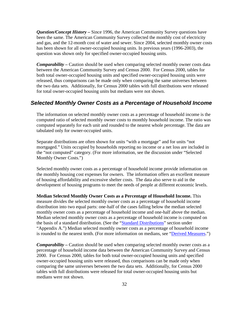*Question/Concept History –* Since 1996, the American Community Survey questions have been the same. The American Community Survey collected the monthly cost of electricity and gas, and the 12-month cost of water and sewer. Since 2004, selected monthly owner costs has been shown for all owner-occupied housing units. In previous years (1996-2003), the question was shown only for specified owner-occupied housing units.

*Comparability –* Caution should be used when comparing selected monthly owner costs data between the American Community Survey and Census 2000. For Census 2000, tables for both total owner-occupied housing units and specified owner-occupied housing units were released, thus comparisons can be made only when comparing the same universes between the two data sets. Additionally, for Census 2000 tables with full distributions were released for total owner-occupied housing units but medians were not shown.

#### <span id="page-31-0"></span>*Selected Monthly Owner Costs as a Percentage of Household Income*

The information on selected monthly owner costs as a percentage of household income is the computed ratio of selected monthly owner costs to monthly household income. The ratio was computed separately for each unit and rounded to the nearest whole percentage. The data are tabulated only for owner-occupied units.

Separate distributions are often shown for units "with a mortgage" and for units "not mortgaged." Units occupied by households reporting no income or a net loss are included in the "not computed" category. (For more information, see the discussion under "Selected Monthly Owner Costs.")

Selected monthly owner costs as a percentage of household income provide information on the monthly housing cost expenses for owners. The information offers an excellent measure of housing affordability and excessive shelter costs. The data also serve to aid in the development of housing programs to meet the needs of people at different economic levels.

**Median Selected Monthly Owner Costs as a Percentage of Household Income.** This measure divides the selected monthly owner costs as a percentage of household income distribution into two equal parts: one-half of the cases falling below the median selected monthly owner costs as a percentage of household income and one-half above the median. Median selected monthly owner costs as a percentage of household income is computed on the basis of a standard distribution. (See the ["Standard Distributions"](#page-138-0) section under "Appendix A.") Median selected monthly owner costs as a percentage of household income is rounded to the nearest tenth. (For more information on medians, see ["Derived Measures.](#page-124-0)")

*Comparability –* Caution should be used when comparing selected monthly owner costs as a percentage of household income data between the American Community Survey and Census 2000. For Census 2000, tables for both total owner-occupied housing units and specified owner-occupied housing units were released, thus comparisons can be made only when comparing the same universes between the two data sets. Additionally, for Census 2000 tables with full distributions were released for total owner-occupied housing units but medians were not shown.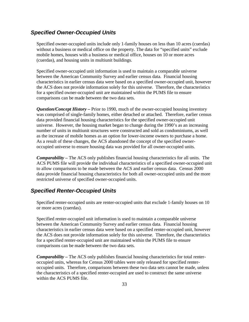# <span id="page-32-0"></span>*Specified Owner-Occupied Units*

Specified owner-occupied units include only 1-family houses on less than 10 acres (cuerdas) without a business or medical office on the property. The data for "specified units" exclude mobile homes, houses with a business or medical office, houses on 10 or more acres (cuerdas), and housing units in multiunit buildings.

Specified owner-occupied unit information is used to maintain a comparable universe between the American Community Survey and earlier census data. Financial housing characteristics in earlier census data were based on a specified owner-occupied unit, however the ACS does not provide information solely for this universe. Therefore, the characteristics for a specified owner-occupied unit are maintained within the PUMS file to ensure comparisons can be made between the two data sets.

*Question/Concept History* – Prior to 1990, much of the owner-occupied housing inventory was comprised of single-family homes, either detached or attached. Therefore, earlier census data provided financial housing characteristics for the specified owner-occupied unit universe. However, the housing market began to change during the 1990's as an increasing number of units in multiunit structures were constructed and sold as condominiums, as well as the increase of mobile homes as an option for lower-income owners to purchase a home. As a result of these changes, the ACS abandoned the concept of the specified owneroccupied universe to ensure housing data was provided for all owner-occupied units.

*Comparability –* The ACS only publishes financial housing characteristics for all units. The ACS PUMS file will provide the individual characteristics of a specified owner-occupied unit to allow comparisons to be made between the ACS and earlier census data. Census 2000 data provide financial housing characteristics for both all owner-occupied units and the more restricted universe of specified owner-occupied units.

# <span id="page-32-1"></span>*Specified Renter-Occupied Units*

Specified renter-occupied units are renter-occupied units that exclude 1-family houses on 10 or more acres (cuerdas).

Specified renter-occupied unit information is used to maintain a comparable universe between the American Community Survey and earlier census data. Financial housing characteristics in earlier census data were based on a specified renter-occupied unit, however the ACS does not provide information solely for this universe. Therefore, the characteristics for a specified renter-occupied unit are maintained within the PUMS file to ensure comparisons can be made between the two data sets.

*Comparability –* The ACS only publishes financial housing characteristics for total renteroccupied units, whereas for Census 2000 tables were only released for specified renteroccupied units. Therefore, comparisons between these two data sets cannot be made, unless the characteristics of a specified renter-occupied are used to construct the same universe within the ACS PUMS file.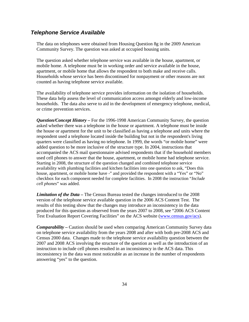#### <span id="page-33-0"></span>*Telephone Service Available*

The data on telephones were obtained from Housing Question 8g in the 2009 American Community Survey. The question was asked at occupied housing units.

The question asked whether telephone service was available in the house, apartment, or mobile home. A telephone must be in working order and service available in the house, apartment, or mobile home that allows the respondent to both make and receive calls. Households whose service has been discontinued for nonpayment or other reasons are not counted as having telephone service available.

The availability of telephone service provides information on the isolation of households. These data help assess the level of communication access amongst elderly and low-income households. The data also serve to aid in the development of emergency telephone, medical, or crime prevention services.

*Question/Concept History –* For the 1996-1998 American Community Survey, the question asked whether there was a telephone in the house or apartment. A telephone must be inside the house or apartment for the unit to be classified as having a telephone and units where the respondent used a telephone located inside the building but not in the respondent's living quarters were classified as having no telephone. In 1999, the words "or mobile home" were added question to be more inclusive of the structure type. In 2004, instructions that accompanied the ACS mail questionnaire advised respondents that if the household members used cell phones to answer that the house, apartment, or mobile home had telephone service. Starting in 2008, the structure of the question changed and combined telephone service availability with plumbing facilities and kitchen facilities into one question to ask, "Does this house, apartment, or mobile home have -" and provided the respondent with a "Yes" or "No" checkbox for each component needed for complete facilities. In 2008 the instruction "*Include cell phones*" was added.

*Limitation of the Data* – The Census Bureau tested the changes introduced to the 2008 version of the telephone service available question in the 2006 ACS Content Test. The results of this testing show that the changes may introduce an inconsistency in the data produced for this question as observed from the years 2007 to 2008, see "2006 ACS Content Test Evaluation Report Covering Facilities" on the ACS website (www.census.gov/acs).

*Comparability –* Caution should be used when comparing American Community Survey data on telephone service availability from the years 2008 and after with both pre-2008 ACS and Census 2000 data. Changes made to the telephone service availability question between the 2007 and 2008 ACS involving the structure of the question as well as the introduction of an instruction to include cell phones resulted in an inconsistency in the ACS data. This inconsistency in the data was most noticeable as an increase in the number of respondents answering "yes" to the question.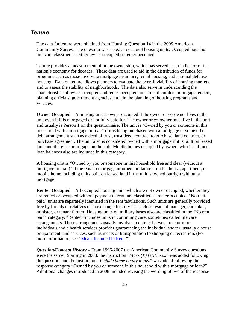#### <span id="page-34-0"></span>*Tenure*

The data for tenure were obtained from Housing Question 14 in the 2009 American Community Survey. The question was asked at occupied housing units. Occupied housing units are classified as either owner occupied or renter occupied.

Tenure provides a measurement of home ownership, which has served as an indicator of the nation's economy for decades. These data are used to aid in the distribution of funds for programs such as those involving mortgage insurance, rental housing, and national defense housing. Data on tenure allows planners to evaluate the overall viability of housing markets and to assess the stability of neighborhoods. The data also serve in understanding the characteristics of owner occupied and renter occupied units to aid builders, mortgage lenders, planning officials, government agencies, etc., in the planning of housing programs and services.

**Owner Occupied** – A housing unit is owner occupied if the owner or co-owner lives in the unit even if it is mortgaged or not fully paid for. The owner or co-owner must live in the unit and usually is Person 1 on the questionnaire. The unit is "Owned by you or someone in this household with a mortgage or loan" if it is being purchased with a mortgage or some other debt arrangement such as a deed of trust, trust deed, contract to purchase, land contract, or purchase agreement. The unit also is considered owned with a mortgage if it is built on leased land and there is a mortgage on the unit. Mobile homes occupied by owners with installment loan balances also are included in this category.

A housing unit is "Owned by you or someone in this household free and clear (without a mortgage or loan)" if there is no mortgage or other similar debt on the house, apartment, or mobile home including units built on leased land if the unit is owned outright without a mortgage.

**Renter Occupied** – All occupied housing units which are not owner occupied, whether they are rented or occupied without payment of rent, are classified as renter occupied. "No rent paid" units are separately identified in the rent tabulations. Such units are generally provided free by friends or relatives or in exchange for services such as resident manager, caretaker, minister, or tenant farmer. Housing units on military bases also are classified in the "No rent paid" category. "Rented" includes units in continuing care, sometimes called life care arrangements. These arrangements usually involve a contract between one or more individuals and a health services provider guaranteeing the individual shelter, usually a house or apartment, and services, such as meals or transportation to shopping or recreation. (For more information, see ["Meals Included in Rent.](#page-21-0)")

*Question/Concept History –* From 1996-2007 the American Community Survey questions were the same. Starting in 2008, the instruction "*Mark (X) ONE box.*" was added following the question, and the instruction "*Include home equity loans.*" was added following the response category "Owned by you or someone in this household with a mortgage or loan?" Additional changes introduced in 2008 included revising the wording of two of the response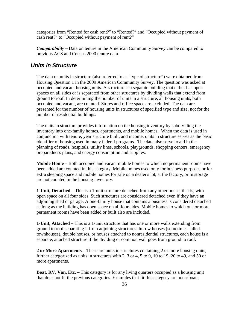categories from "Rented for cash rent?" to "Rented?" and "Occupied without payment of cash rent?" to "Occupied without payment of rent?"

*Comparability –* Data on tenure in the American Community Survey can be compared to previous ACS and Census 2000 tenure data.

# <span id="page-35-0"></span>*Units in Structure*

The data on units in structure (also referred to as "type of structure") were obtained from Housing Question 1 in the 2009 American Community Survey. The question was asked at occupied and vacant housing units. A structure is a separate building that either has open spaces on all sides or is separated from other structures by dividing walls that extend from ground to roof. In determining the number of units in a structure, all housing units, both occupied and vacant, are counted. Stores and office space are excluded. The data are presented for the number of housing units in structures of specified type and size, not for the number of residential buildings.

The units in structure provides information on the housing inventory by subdividing the inventory into one-family homes, apartments, and mobile homes. When the data is used in conjunction with tenure, year structure built, and income, units in structure serves as the basic identifier of housing used in many federal programs. The data also serve to aid in the planning of roads, hospitals, utility lines, schools, playgrounds, shopping centers, emergency preparedness plans, and energy consumption and supplies.

**Mobile Home –** Both occupied and vacant mobile homes to which no permanent rooms have been added are counted in this category. Mobile homes used only for business purposes or for extra sleeping space and mobile homes for sale on a dealer's lot, at the factory, or in storage are not counted in the housing inventory.

**1-Unit, Detached –** This is a 1-unit structure detached from any other house, that is, with open space on all four sides. Such structures are considered detached even if they have an adjoining shed or garage. A one-family house that contains a business is considered detached as long as the building has open space on all four sides. Mobile homes to which one or more permanent rooms have been added or built also are included.

**1-Unit, Attached –** This is a 1-unit structure that has one or more walls extending from ground to roof separating it from adjoining structures. In row houses (sometimes called townhouses), double houses, or houses attached to nonresidential structures, each house is a separate, attached structure if the dividing or common wall goes from ground to roof.

**2 or More Apartments –** These are units in structures containing 2 or more housing units, further categorized as units in structures with 2, 3 or 4, 5 to 9, 10 to 19, 20 to 49, and 50 or more apartments.

**Boat, RV, Van, Etc. –** This category is for any living quarters occupied as a housing unit that does not fit the previous categories. Examples that fit this category are houseboats,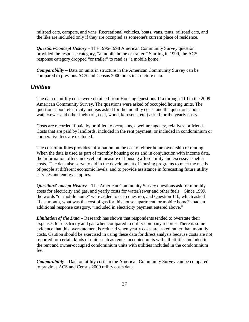railroad cars, campers, and vans. Recreational vehicles, boats, vans, tents, railroad cars, and the like are included only if they are occupied as someone's current place of residence.

*Question/Concept History –* The 1996-1998 American Community Survey question provided the response category, "a mobile home or trailer." Starting in 1999, the ACS response category dropped "or trailer" to read as "a mobile home."

*Comparability –* Data on units in structure in the American Community Survey can be compared to previous ACS and Census 2000 units in structure data.

# *Utilities*

The data on utility costs were obtained from Housing Questions 11a through 11d in the 2009 American Community Survey. The questions were asked of occupied housing units. The questions about electricity and gas asked for the monthly costs, and the questions about water/sewer and other fuels (oil, coal, wood, kerosene, etc.) asked for the yearly costs.

Costs are recorded if paid by or billed to occupants, a welfare agency, relatives, or friends. Costs that are paid by landlords, included in the rent payment, or included in condominium or cooperative fees are excluded.

The cost of utilities provides information on the cost of either home ownership or renting. When the data is used as part of monthly housing costs and in conjunction with income data, the information offers an excellent measure of housing affordability and excessive shelter costs. The data also serve to aid in the development of housing programs to meet the needs of people at different economic levels, and to provide assistance in forecasting future utility services and energy supplies.

*Question/Concept History –* The American Community Survey questions ask for monthly costs for electricity and gas, and yearly costs for water/sewer and other fuels. Since 1999, the words "or mobile home" were added to each question, and Question 11b, which asked "Last month, what was the cost of gas for this house, apartment, or mobile home?" had an additional response category, "included in electricity payment entered above."

**Limitation of the Data** – Research has shown that respondents tended to overstate their expenses for electricity and gas when compared to utility company records. There is some evidence that this overstatement is reduced when yearly costs are asked rather than monthly costs. Caution should be exercised in using these data for direct analysis because costs are not reported for certain kinds of units such as renter-occupied units with all utilities included in the rent and owner-occupied condominium units with utilities included in the condominium fee.

*Comparability –* Data on utility costs in the American Community Survey can be compared to previous ACS and Census 2000 utility costs data.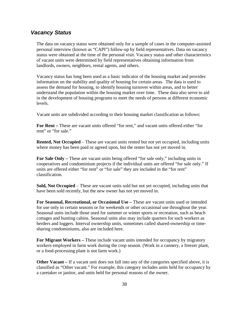#### *Vacancy Status*

The data on vacancy status were obtained only for a sample of cases in the computer-assisted personal interview (known as "CAPI") follow-up by field representatives. Data on vacancy status were obtained at the time of the personal visit. Vacancy status and other characteristics of vacant units were determined by field representatives obtaining information from landlords, owners, neighbors, rental agents, and others.

Vacancy status has long been used as a basic indicator of the housing market and provides information on the stability and quality of housing for certain areas. The data is used to assess the demand for housing, to identify housing turnover within areas, and to better understand the population within the housing market over time. These data also serve to aid in the development of housing programs to meet the needs of persons at different economic levels.

Vacant units are subdivided according to their housing market classification as follows:

**For Rent –** These are vacant units offered "for rent," and vacant units offered either "for rent" or "for sale."

**Rented, Not Occupied** – These are vacant units rented but not yet occupied, including units where money has been paid or agreed upon, but the renter has not yet moved in.

**For Sale Only –** These are vacant units being offered "for sale only," including units in cooperatives and condominium projects if the individual units are offered "for sale only." If units are offered either "for rent" or "for sale" they are included in the "for rent" classification.

**Sold, Not Occupied** – These are vacant units sold but not yet occupied, including units that have been sold recently, but the new owner has not yet moved in.

**For Seasonal, Recreational, or Occasional Use –** These are vacant units used or intended for use only in certain seasons or for weekends or other occasional use throughout the year. Seasonal units include those used for summer or winter sports or recreation, such as beach cottages and hunting cabins. Seasonal units also may include quarters for such workers as herders and loggers. Interval ownership units, sometimes called shared-ownership or timesharing condominiums, also are included here.

**For Migrant Workers –** These include vacant units intended for occupancy by migratory workers employed in farm work during the crop season. (Work in a cannery, a freezer plant, or a food-processing plant is not farm work.)

**Other Vacant –** If a vacant unit does not fall into any of the categories specified above, it is classified as "Other vacant." For example, this category includes units held for occupancy by a caretaker or janitor, and units held for personal reasons of the owner.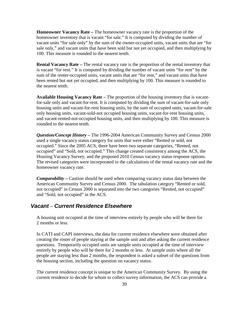**Homeowner Vacancy Rate –** The homeowner vacancy rate is the proportion of the homeowner inventory that is vacant "for sale." It is computed by dividing the number of vacant units "for sale only" by the sum of the owner-occupied units, vacant units that are "for sale only," and vacant units that have been sold but not yet occupied, and then multiplying by 100. This measure is rounded to the nearest tenth.

**Rental Vacancy Rate –** The rental vacancy rate is the proportion of the rental inventory that is vacant "for rent." It is computed by dividing the number of vacant units "for rent" by the sum of the renter-occupied units, vacant units that are "for rent," and vacant units that have been rented but not yet occupied, and then multiplying by 100. This measure is rounded to the nearest tenth.

**Available Housing Vacancy Rate –** The proportion of the housing inventory that is vacantfor-sale only and vacant-for-rent. It is computed by dividing the sum of vacant-for-sale only housing units and vacant-for-rent housing units, by the sum of occupied units, vacant-for-sale only housing units, vacant-sold-not occupied housing units, vacant-for-rent housing units, and vacant-rented-not-occupied housing units, and then multiplying by 100. This measure is rounded to the nearest tenth.

*Question/Concept History –* The 1996-2004 American Community Survey and Census 2000 used a single vacancy status category for units that were either "Rented or sold, not occupied." Since the 2005 ACS, there have been two separate categories, "Rented, not occupied" and "Sold, not occupied." This change created consistency among the ACS, the Housing Vacancy Survey, and the proposed 2010 Census vacancy status response options. The revised categories were incorporated in the calculations of the rental vacancy rate and the homeowner vacancy rate.

*Comparability –* Caution should be used when comparing vacancy status data between the American Community Survey and Census 2000. The tabulation category "Rented or sold, not occupied" in Census 2000 is separated into the two categories "Rented, not occupied" and "Sold, not occupied" in the ACS.

# *Vacant – Current Residence Elsewhere*

A housing unit occupied at the time of interview entirely by people who will be there for 2 months or less.

In CATI and CAPI interviews, the data for current residence elsewhere were obtained after creating the roster of people staying at the sample unit and after asking the current residence questions. Temporarily occupied units are sample units occupied at the time of interview entirely by people who will be there for 2 months or less. At sample units where all the people are staying less than 2 months, the respondent is asked a subset of the questions from the housing section, including the question on vacancy status.

The current residence concept is unique to the American Community Survey. By using the current residence to decide for whom to collect survey information, the ACS can provide a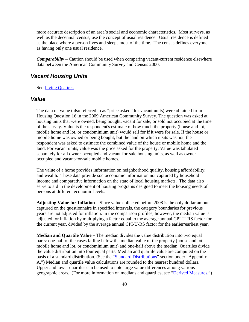more accurate description of an area's social and economic characteristics. Most surveys, as well as the decennial census, use the concept of usual residence. Usual residence is defined as the place where a person lives and sleeps most of the time. The census defines everyone as having only one usual residence.

*Comparability* – Caution should be used when comparing vacant-current residence elsewhere data between the American Community Survey and Census 2000.

#### *Vacant Housing Units*

See Living [Quarters.](#page-6-0)

### *Value*

The data on value (also referred to as "price asked" for vacant units) were obtained from Housing Question 16 in the 2009 American Community Survey. The question was asked at housing units that were owned, being bought, vacant for sale, or sold not occupied at the time of the survey. Value is the respondent's estimate of how much the property (house and lot, mobile home and lot, or condominium unit) would sell for if it were for sale. If the house or mobile home was owned or being bought, but the land on which it sits was not, the respondent was asked to estimate the combined value of the house or mobile home and the land. For vacant units, value was the price asked for the property. Value was tabulated separately for all owner-occupied and vacant-for-sale housing units, as well as owneroccupied and vacant-for-sale mobile homes.

The value of a home provides information on neighborhood quality, housing affordability, and wealth. These data provide socioeconomic information not captured by household income and comparative information on the state of local housing markets. The data also serve to aid in the development of housing programs designed to meet the housing needs of persons at different economic levels.

**Adjusting Value for Inflation –** Since value collected before 2008 is the only dollar amount captured on the questionnaire in specified intervals, the category boundaries for previous years are not adjusted for inflation. In the comparison profiles, however, the median value is adjusted for inflation by multiplying a factor equal to the average annual CPI-U-RS factor for the current year, divided by the average annual CPI-U-RS factor for the earlier/earliest year.

**Median and Quartile Value –** The median divides the value distribution into two equal parts: one-half of the cases falling below the median value of the property (house and lot, mobile home and lot, or condominium unit) and one-half above the median. Quartiles divide the value distribution into four equal parts. Median and quartile value are computed on the basis of a standard distribution. (See the ["Standard Distributions"](#page-138-0) section under "Appendix A.") Median and quartile value calculations are rounded to the nearest hundred dollars. Upper and lower quartiles can be used to note large value differences among various geographic areas. (For more information on medians and quartiles, see ["Derived Measures.](#page-124-0)")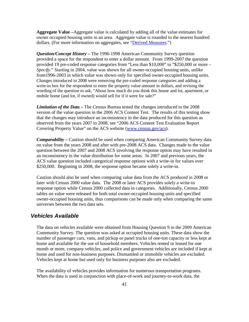**Aggregate Value –**Aggregate value is calculated by adding all of the value estimates for owner occupied housing units in an area. Aggregate value is rounded to the nearest hundred dollars. (For more information on aggregates, see ["Derived Measures.](#page-124-0)")

*Question/Concept History –* The 1996-1998 American Community Survey question provided a space for the respondent to enter a dollar amount. From 1999-2007 the question provided 19 pre-coded response categories from "Less than \$10,000" to "\$250,000 or more – *Specify*." Starting in 2004, value was shown for all owner-occupied housing units, unlike from1996-2003 in which value was shown only for specified owner-occupied housing units. Changes introduced in 2008 were removing the pre-coded response categories and adding a write-in box for the respondent to enter the property value amount in dollars, and revising the wording of the question to ask, "About how much do you think this house and lot, apartment, or mobile home (and lot, if owned) would sell for if it were for sale?"

**Limitation of the Data** – The Census Bureau tested the changes introduced to the 2008 version of the value question in the 2006 ACS Content Test. The results of this testing show that the changes may introduce an inconsistency in the data produced for this question as observed from the years 2007 to 2008, see "2006 ACS Content Test Evaluation Report Covering Property Value" on the ACS website (www.census.gov/acs).

*Comparability –* Caution should be used when comparing American Community Survey data on value from the years 2008 and after with pre-2008 ACS data. Changes made to the value question between the 2007 and 2008 ACS involving the response option may have resulted in an inconsistency in the value distribution for some areas. In 2007 and previous years, the ACS value question included categorical response options with a write-in for values over \$250,000. Beginning in 2008, the response option became solely a write-in.

Caution should also be used when comparing value data from the ACS produced in 2008 or later with Census 2000 value data. The 2008 or later ACS provides solely a write-in response option while Census 2000 collected data in categories. Additionally, Census 2000 tables on value were released for both total owner-occupied housing units and specified owner-occupied housing units, thus comparisons can be made only when comparing the same universes between the two data sets.

# *Vehicles Available*

The data on vehicles available were obtained from Housing Question 9 in the 2009 American Community Survey. The question was asked at occupied housing units. These data show the number of passenger cars, vans, and pickup or panel trucks of one-ton capacity or less kept at home and available for the use of household members. Vehicles rented or leased for one month or more, company vehicles, and police and government vehicles are included if kept at home and used for non-business purposes. Dismantled or immobile vehicles are excluded. Vehicles kept at home but used only for business purposes also are excluded.

The availability of vehicles provides information for numerous transportation programs. When the data is used in conjunction with place-of-work and journey-to-work data, the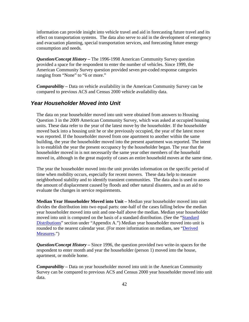information can provide insight into vehicle travel and aid in forecasting future travel and its effect on transportation systems. The data also serve to aid in the development of emergency and evacuation planning, special transportation services, and forecasting future energy consumption and needs.

*Question/Concept History –* The 1996-1998 American Community Survey question provided a space for the respondent to enter the number of vehicles. Since 1999, the American Community Survey question provided seven pre-coded response categories ranging from "None" to "6 or more."

*Comparability –* Data on vehicle availability in the American Community Survey can be compared to previous ACS and Census 2000 vehicle availability data.

# *Year Householder Moved into Unit*

The data on year householder moved into unit were obtained from answers to Housing Question 3 in the 2009 American Community Survey, which was asked at occupied housing units. These data refer to the year of the latest move by the householder. If the householder moved back into a housing unit he or she previously occupied, the year of the latest move was reported. If the householder moved from one apartment to another within the same building, the year the householder moved into the present apartment was reported. The intent is to establish the year the present occupancy by the householder began. The year that the householder moved in is not necessarily the same year other members of the household moved in, although in the great majority of cases an entire household moves at the same time.

The year the householder moved into the unit provides information on the specific period of time when mobility occurs, especially for recent movers. These data help to measure neighborhood stability and to identify transient communities. The data also is used to assess the amount of displacement caused by floods and other natural disasters, and as an aid to evaluate the changes in service requirements.

**Median Year Householder Moved into Unit –** Median year householder moved into unit divides the distribution into two equal parts: one-half of the cases falling below the median year householder moved into unit and one-half above the median. Median year householder moved into unit is computed on the basis of a standard distribution. (See the "Standard [Distributions"](#page-138-0) section under "Appendix A.") Median year householder moved into unit is rounded to the nearest calendar year. (For more information on medians, see ["Derived](#page-124-0)  [Measures.](#page-124-0)")

*Question/Concept History –* Since 1996, the question provided two write-in spaces for the respondent to enter month and year the householder (person 1) moved into the house, apartment, or mobile home.

*Comparability –* Data on year householder moved into unit in the American Community Survey can be compared to previous ACS and Census 2000 year householder moved into unit data.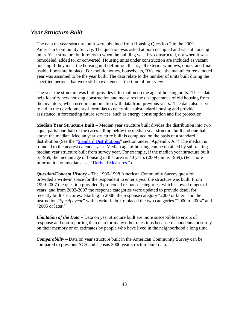# *Year Structure Built*

The data on year structure built were obtained from Housing Question 2 in the 2009 American Community Survey. The question was asked at both occupied and vacant housing units. Year structure built refers to when the building was first constructed, not when it was remodeled, added to, or converted. Housing units under construction are included as vacant housing if they meet the housing unit definition, that is, all exterior windows, doors, and final usable floors are in place. For mobile homes, houseboats, RVs, etc., the manufacturer's model year was assumed to be the year built. The data relate to the number of units built during the specified periods that were still in existence at the time of interview.

The year the structure was built provides information on the age of housing units. These data help identify new housing construction and measures the disappearance of old housing from the inventory, when used in combination with data from previous years. The data also serve to aid in the development of formulas to determine substandard housing and provide assistance in forecasting future services, such as energy consumption and fire protection.

**Median Year Structure Built –** Median year structure built divides the distribution into two equal parts: one-half of the cases falling below the median year structure built and one-half above the median. Median year structure built is computed on the basis of a standard distribution (See the ["Standard Distributions"](#page-138-0) section under "Appendix A.") The median is rounded to the nearest calendar year. Median age of housing can be obtained by subtracting median year structure built from survey year. For example, if the median year structure built is 1969, the median age of housing in that area is 40 years (2009 minus 1969). (For more information on medians, see ["Derived Measures.](#page-124-0)")

*Question/Concept History –* The 1996-1998 American Community Survey question provided a write-in space for the respondent to enter a year the structure was built. From 1999-2007 the question provided 9 pre-coded response categories, which showed ranges of years, and from 2003-2007 the response categories were updated to provide detail for recently built structures. Starting in 2008, the response category "2000 or later" and the instruction "*Specify year*" with a write-in box replaced the two categories "2000 to 2004" and "2005 or later."

*Limitation of the Data* **–** Data on year structure built are more susceptible to errors of response and non-reporting than data for many other questions because respondents must rely on their memory or on estimates by people who have lived in the neighborhood a long time.

*Comparability –* Data on year structure built in the American Community Survey can be compared to previous ACS and Census 2000 year structure built data.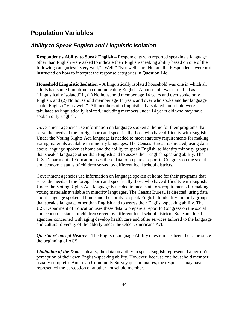# **Population Variables**

# *Ability to Speak English and Linguistic Isolation*

**Respondent's Ability to Speak English –** Respondents who reported speaking a language other than English were asked to indicate their English-speaking ability based on one of the following categories: "Very well," "Well," "Not well," or "Not at all." Respondents were not instructed on how to interpret the response categories in Question 14c.

**Household Linguistic Isolation –** A linguistically isolated household was one in which all adults had some limitation in communicating English. A household was classified as "linguistically isolated" if, (1) No household member age 14 years and over spoke only English, and (2) No household member age 14 years and over who spoke another language spoke English "Very well." All members of a linguistically isolated household were tabulated as linguistically isolated, including members under 14 years old who may have spoken only English.

Government agencies use information on language spoken at home for their programs that serve the needs of the foreign-born and specifically those who have difficulty with English. Under the Voting Rights Act, language is needed to meet statutory requirements for making voting materials available in minority languages. The Census Bureau is directed, using data about language spoken at home and the ability to speak English, to identify minority groups that speak a language other than English and to assess their English-speaking ability. The U.S. Department of Education uses these data to prepare a report to Congress on the social and economic status of children served by different local school districts.

Government agencies use information on language spoken at home for their programs that serve the needs of the foreign-born and specifically those who have difficulty with English. Under the Voting Rights Act, language is needed to meet statutory requirements for making voting materials available in minority languages. The Census Bureau is directed, using data about language spoken at home and the ability to speak English, to identify minority groups that speak a language other than English and to assess their English-speaking ability. The U.S. Department of Education uses these data to prepare a report to Congress on the social and economic status of children served by different local school districts. State and local agencies concerned with aging develop health care and other services tailored to the language and cultural diversity of the elderly under the Older Americans Act.

*Question/Concept History –* The English Language Ability question has been the same since the beginning of ACS.

*Limitation of the Data* – Ideally, the data on ability to speak English represented a person's perception of their own English-speaking ability. However, because one household member usually completes American Community Survey questionnaires, the responses may have represented the perception of another household member.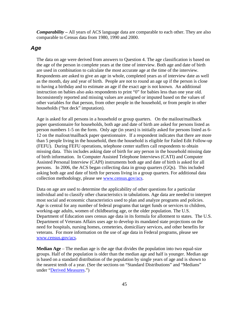*Comparability –* All years of ACS language data are comparable to each other. They are also comparable to Census data from 1980, 1990 and 2000.

#### *Age*

The data on age were derived from answers to Question 4. The age classification is based on the age of the person in complete years at the time of interview. Both age and date of birth are used in combination to calculate the most accurate age at the time of the interview. Respondents are asked to give an age in whole, completed years as of interview date as well as the month, day and year of birth. People are not to round an age up if the person is close to having a birthday and to estimate an age if the exact age is not known. An additional instruction on babies also asks respondents to print "0" for babies less than one year old. Inconsistently reported and missing values are assigned or imputed based on the values of other variables for that person, from other people in the household, or from people in other households ("hot deck" imputation).

Age is asked for all persons in a household or group quarters. On the mailout/mailback paper questionnaire for households, both age and date of birth are asked for persons listed as person numbers 1-5 on the form. Only age (in years) is initially asked for persons listed as 6- 12 on the mailout/mailback paper questionnaire. If a respondent indicates that there are more than 5 people living in the household, then the household is eligible for Failed Edit Follow-up (FEFU). During FEFU operations, telephone center staffers call respondents to obtain missing data. This includes asking date of birth for any person in the household missing date of birth information. In Computer Assisted Telephone Interviews (CATI) and Computer Assisted Personal Interview (CAPI) instruments both age and date of birth is asked for all persons. In 2006, the ACS began collecting data in group quarters (GQs). This included asking both age and date of birth for persons living in a group quarters. For additional data collection methodology, please see www.census.gov/acs.

Data on age are used to determine the applicability of other questions for a particular individual and to classify other characteristics in tabulations. Age data are needed to interpret most social and economic characteristics used to plan and analyze programs and policies. Age is central for any number of federal programs that target funds or services to children, working-age adults, women of childbearing age, or the older population. The U.S. Department of Education uses census age data in its formula for allotment to states. The U.S. Department of Veterans Affairs uses age to develop its mandated state projections on the need for hospitals, nursing homes, cemeteries, domiciliary services, and other benefits for veterans. For more information on the use of age data in Federal programs, please see www.census.gov/acs.

**Median Age** – The median age is the age that divides the population into two equal-size groups. Half of the population is older than the median age and half is younger. Median age is based on a standard distribution of the population by single years of age and is shown to the nearest tenth of a year. (See the sections on "Standard Distributions" and "Medians" under ["Derived Measures.](#page-124-0)")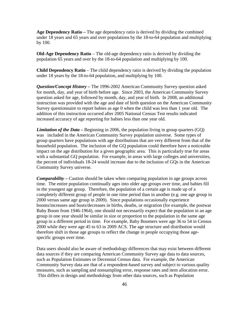**Age Dependency Ratio –** The age dependency ratio is derived by dividing the combined under 18 years and 65 years and over populations by the 18-to-64 population and multiplying by 100.

**Old-Age Dependency Ratio** – The old-age dependency ratio is derived by dividing the population 65 years and over by the 18-to-64 population and multiplying by 100.

**Child Dependency Ratio** – The child dependency ratio is derived by dividing the population under 18 years by the 18-to-64 population, and multiplying by 100.

*Question/Concept History –* The 1996-2002 American Community Survey question asked for month, day, and year of birth before age. Since 2003, the American Community Survey question asked for age, followed by month, day, and year of birth. In 2008, an additional instruction was provided with the age and date of birth question on the American Community Survey questionnaire to report babies as age 0 when the child was less than 1 year old. The addition of this instruction occurred after 2005 National Census Test results indicated increased accuracy of age reporting for babies less than one year old.

*Limitation of the Data* – Beginning in 2006, the population living in group quarters (GQ) was included in the American Community Survey population universe. Some types of group quarters have populations with age distributions that are very different from that of the household population. The inclusion of the GQ population could therefore have a noticeable impact on the age distribution for a given geographic area. This is particularly true for areas with a substantial GQ population. For example, in areas with large colleges and universities, the percent of individuals 18-24 would increase due to the inclusion of GQs in the American Community Survey universe.

*Comparability –* Caution should be taken when comparing population in age groups across time. The entire population continually ages into older age groups over time, and babies fill in the youngest age group. Therefore, the population of a certain age is made up of a completely different group of people in one time period than in another (e.g. one age group in 2000 versus same age group in 2009). Since populations occasionally experience booms/increases and busts/decreases in births, deaths, or migration (for example, the postwar Baby Boom from 1946-1964), one should not necessarily expect that the population in an age group in one year should be similar in size or proportion to the population in the same age group in a different period in time. For example, Baby Boomers were age 36 to 54 in Census 2000 while they were age 45 to 63 in 2009 ACS. The age structure and distribution would therefore shift in those age groups to reflect the change in people occupying those agespecific groups over time.

Data users should also be aware of methodology differences that may exist between different data sources if they are comparing American Community Survey age data to data sources, such as Population Estimates or Decennial Census data. For example, the American Community Survey data are that of a respondent-based survey and subject to various quality measures, such as sampling and nonsampling error, response rates and item allocation error. This differs in design and methodology from other data sources, such as Population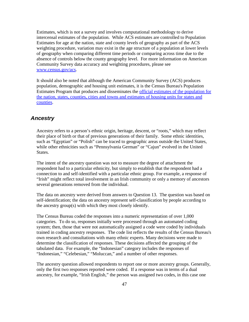Estimates, which is not a survey and involves computational methodology to derive intercensal estimates of the population. While ACS estimates are controlled to Population Estimates for age at the nation, state and county levels of geography as part of the ACS weighting procedure, variation may exist in the age structure of a population at lower levels of geography when comparing different time periods or comparing across time due to the absence of controls below the county geography level. For more information on American Community Survey data accuracy and weighting procedures, please see www.census.gov/acs.

It should also be noted that although the American Community Survey (ACS) produces population, demographic and housing unit estimates, it is the Census Bureau's Population Estimates Program that produces and disseminates the [official estimates of the population for](http://factfinder.census.gov/home/en/official_estimates_2008.html)  [the nation, states, counties, cities and towns and estimates of housing units for states and](http://factfinder.census.gov/home/en/official_estimates_2008.html)  [counties.](http://factfinder.census.gov/home/en/official_estimates_2008.html)

# *Ancestry*

Ancestry refers to a person's ethnic origin, heritage, descent, or "roots," which may reflect their place of birth or that of previous generations of their family. Some ethnic identities, such as "Egyptian" or "Polish" can be traced to geographic areas outside the United States, while other ethnicities such as "Pennsylvania German" or "Cajun" evolved in the United States.

The intent of the ancestry question was not to measure the degree of attachment the respondent had to a particular ethnicity, but simply to establish that the respondent had a connection to and self-identified with a particular ethnic group. For example, a response of "Irish" might reflect total involvement in an Irish community or only a memory of ancestors several generations removed from the individual.

The data on ancestry were derived from answers to Question 13. The question was based on self-identification; the data on ancestry represent self-classification by people according to the ancestry group(s) with which they most closely identify.

The Census Bureau coded the responses into a numeric representation of over 1,000 categories. To do so, responses initially were processed through an automated coding system; then, those that were not automatically assigned a code were coded by individuals trained in coding ancestry responses. The code list reflects the results of the Census Bureau's own research and consultations with many ethnic experts. Many decisions were made to determine the classification of responses. These decisions affected the grouping of the tabulated data. For example, the "Indonesian" category includes the responses of "Indonesian," "Celebesian," "Moluccan," and a number of other responses.

The ancestry question allowed respondents to report one or more ancestry groups. Generally, only the first two responses reported were coded. If a response was in terms of a dual ancestry, for example, "Irish English," the person was assigned two codes, in this case one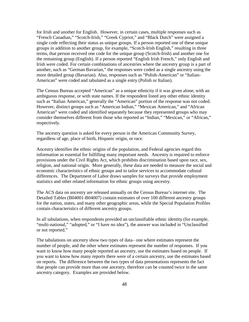for Irish and another for English. However, in certain cases, multiple responses such as "French Canadian," "Scotch-Irish," "Greek Cypriot," and "Black Dutch" were assigned a single code reflecting their status as unique groups. If a person reported one of these unique groups in addition to another group, for example, "Scotch-Irish English," resulting in three terms, that person received one code for the unique group (Scotch-Irish) and another one for the remaining group (English). If a person reported "English Irish French," only English and Irish were coded. For certain combinations of ancestries where the ancestry group is a part of another, such as "German Bavarian," the responses were coded as a single ancestry using the more detailed group (Bavarian). Also, responses such as "Polish-American" or "Italian-American" were coded and tabulated as a single entry (Polish or Italian).

The Census Bureau accepted "American" as a unique ethnicity if it was given alone, with an ambiguous response, or with state names. If the respondent listed any other ethnic identity such as "Italian American," generally the "American" portion of the response was not coded. However, distinct groups such as "American Indian," "Mexican American," and "African American" were coded and identified separately because they represented groups who may consider themselves different from those who reported as "Indian," "Mexican," or "African," respectively.

The ancestry question is asked for every person in the American Community Survey, regardless of age, place of birth, Hispanic origin, or race.

Ancestry identifies the ethnic origins of the population, and Federal agencies regard this information as essential for fulfilling many important needs. Ancestry is required to enforce provisions under the Civil Rights Act, which prohibits discrimination based upon race, sex, religion, and national origin. More generally, these data are needed to measure the social and economic characteristics of ethnic groups and to tailor services to accommodate cultural differences. The Department of Labor draws samples for surveys that provide employment statistics and other related information for ethnic groups using ancestry.

The ACS data on ancestry are released annually on the Census Bureau's internet site. The Detailed Tables (B04001-B04007) contain estimates of over 100 different ancestry groups for the nation, states, and many other geographic areas, while the Special Population Profiles contain characteristics of different ancestry groups.

In all tabulations, when respondents provided an unclassifiable ethnic identity (for example, "multi-national," "adopted," or "I have no idea"), the answer was included in "Unclassified or not reported."

The tabulations on ancestry show two types of data– one where estimates represent the number of people, and the other where estimates represent the number of responses. If you want to know how many people reported an ancestry, use the estimates based on people. If you want to know how many reports there were of a certain ancestry, use the estimates based on reports. The difference between the two types of data presentations represents the fact that people can provide more than one ancestry, therefore can be counted twice in the same ancestry category. Examples are provided below.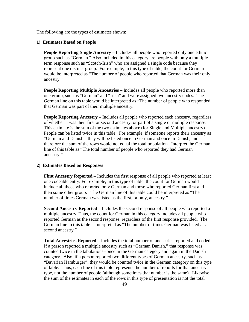The following are the types of estimates shown:

#### **1) Estimates Based on People**

**People Reporting Single Ancestry –** Includes all people who reported only one ethnic group such as "German." Also included in this category are people with only a multipleterm response such as "Scotch-Irish" who are assigned a single code because they represent one distinct group. For example, in this type of table, the count for German would be interpreted as "The number of people who reported that German was their only ancestry."

**People Reporting Multiple Ancestries –** Includes all people who reported more than one group, such as "German" and "Irish" and were assigned two ancestry codes. The German line on this table would be interpreted as "The number of people who responded that German was part of their multiple ancestry."

**People Reporting Ancestry** – Includes all people who reported each ancestry, regardless of whether it was their first or second ancestry, or part of a single or multiple response. This estimate is the sum of the two estimates above (for Single and Multiple ancestry). People can be listed twice in this table. For example, if someone reports their ancestry as "German and Danish", they will be listed once in German and once in Danish, and therefore the sum of the rows would not equal the total population. Interpret the German line of this table as "The total number of people who reported they had German ancestry."

#### **2) Estimates Based on Responses**

**First Ancestry Reported –** Includes the first response of all people who reported at least one codeable entry. For example, in this type of table, the count for German would include all those who reported only German and those who reported German first and then some other group. The German line of this table could be interpreted as "The number of times German was listed as the first, or only, ancestry."

**Second Ancestry Reported –** Includes the second response of all people who reported a multiple ancestry. Thus, the count for German in this category includes all people who reported German as the second response, regardless of the first response provided. The German line in this table is interpreted as "The number of times German was listed as a second ancestry."

**Total Ancestries Reported –** Includes the total number of ancestries reported and coded. If a person reported a multiple ancestry such as "German Danish," that response was counted twice in the tabulations--once in the German category and again in the Danish category. Also, if a person reported two different types of German ancestry, such as "Bavarian Hamburger", they would be counted twice in the German category on this type of table. Thus, each line of this table represents the number of reports for that ancestry type, not the number of people (although sometimes that number is the same). Likewise, the sum of the estimates in each of the rows in this type of presentation is not the total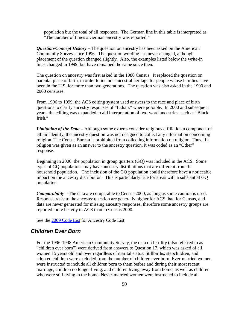population but the total of all responses. The German line in this table is interpreted as "The number of times a German ancestry was reported."

*Question/Concept History –* The question on ancestry has been asked on the American Community Survey since 1996. The question wording has never changed, although placement of the question changed slightly. Also, the examples listed below the write-in lines changed in 1999, but have remained the same since then.

The question on ancestry was first asked in the 1980 Census. It replaced the question on parental place of birth, in order to include ancestral heritage for people whose families have been in the U.S. for more than two generations. The question was also asked in the 1990 and 2000 censuses.

From 1996 to 1999, the ACS editing system used answers to the race and place of birth questions to clarify ancestry responses of "Indian," where possible. In 2000 and subsequent years, the editing was expanded to aid interpretation of two-word ancestries, such as "Black Irish."

*Limitation of the Data* **–** Although some experts consider religious affiliation a component of ethnic identity, the ancestry question was not designed to collect any information concerning religion. The Census Bureau is prohibited from collecting information on religion. Thus, if a religion was given as an answer to the ancestry question, it was coded as an "Other" response.

Beginning in 2006, the population in group quarters (GQ) was included in the ACS. Some types of GQ populations may have ancestry distributions that are different from the household population. The inclusion of the GQ population could therefore have a noticeable impact on the ancestry distribution. This is particularly true for areas with a substantial GQ population.

*Comparability* **–** The data are comparable to Census 2000, as long as some caution is used. Response rates to the ancestry question are generally higher for ACS than for Census, and data are never generated for missing ancestry responses, therefore some ancestry groups are reported more heavily in ACS than in Census 2000.

See the [2009 Code List](http://www.census.gov/acs/www/Downloads/data_documentation/CodeLists/2009_ACS_Code_Lists.pdf) for Ancestry Code List.

### <span id="page-49-0"></span>*Children Ever Born*

For the 1996-1998 American Community Survey, the data on fertility (also referred to as "children ever born") were derived from answers to Question 17, which was asked of all women 15 years old and over regardless of marital status. Stillbirths, stepchildren, and adopted children were excluded from the number of children ever born. Ever-married women were instructed to include all children born to them before and during their most recent marriage, children no longer living, and children living away from home, as well as children who were still living in the home. Never-married women were instructed to include all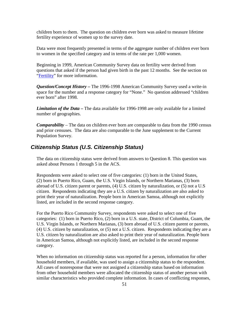children born to them. The question on children ever born was asked to measure lifetime fertility experience of women up to the survey date.

Data were most frequently presented in terms of the aggregate number of children ever born to women in the specified category and in terms of the rate per 1,000 women.

Beginning in 1999, American Community Survey data on fertility were derived from questions that asked if the person had given birth in the past 12 months. See the section on ["Fertility"](#page-63-0) for more information.

*Question/Concept History –* The 1996-1998 American Community Survey used a write-in space for the number and a response category for "None." No question addressed "children ever born" after 1998.

*Limitation of the Data –* The data available for 1996-1998 are only available for a limited number of geographies.

*Comparability* – The data on children ever born are comparable to data from the 1990 census and prior censuses. The data are also comparable to the June supplement to the Current Population Survey.

# <span id="page-50-0"></span>*Citizenship Status (U.S. Citizenship Status)*

The data on citizenship status were derived from answers to Question 8. This question was asked about Persons 1 through 5 in the ACS.

Respondents were asked to select one of five categories: (1) born in the United States, (2) born in Puerto Rico, Guam, the U.S. Virgin Islands, or Northern Marianas, (3) born abroad of U.S. citizen parent or parents, (4) U.S. citizen by naturalization, or (5) not a U.S citizen. Respondents indicating they are a U.S. citizen by naturalization are also asked to print their year of naturalization. People born in American Samoa, although not explicitly listed, are included in the second response category.

For the Puerto Rico Community Survey, respondents were asked to select one of five categories: (1) born in Puerto Rico, (2) born in a U.S. state, District of Columbia, Guam, the U.S. Virgin Islands, or Northern Marianas, (3) born abroad of U.S. citizen parent or parents, (4) U.S. citizen by naturalization, or (5) not a U.S. citizen. Respondents indicating they are a U.S. citizen by naturalization are also asked to print their year of naturalization. People born in American Samoa, although not explicitly listed, are included in the second response category.

When no information on citizenship status was reported for a person, information for other household members, if available, was used to assign a citizenship status to the respondent. All cases of nonresponse that were not assigned a citizenship status based on information from other household members were allocated the citizenship status of another person with similar characteristics who provided complete information. In cases of conflicting responses,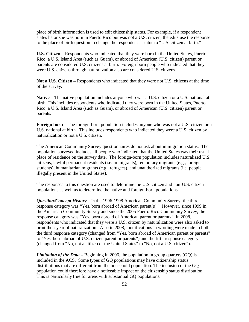place of birth information is used to edit citizenship status. For example, if a respondent states he or she was born in Puerto Rico but was not a U.S. citizen, the edits use the response to the place of birth question to change the respondent's status to "U.S. citizen at birth."

**U.S. Citizen –** Respondents who indicated that they were born in the United States, Puerto Rico, a U.S. Island Area (such as Guam), or abroad of American (U.S. citizen) parent or parents are considered U.S. citizens at birth. Foreign-born people who indicated that they were U.S. citizens through naturalization also are considered U.S. citizens.

**Not a U.S. Citizen –** Respondents who indicated that they were not U.S. citizens at the time of the survey.

**Native –** The native population includes anyone who was a U.S. citizen or a U.S. national at birth. This includes respondents who indicated they were born in the United States, Puerto Rico, a U.S. Island Area (such as Guam), or abroad of American (U.S. citizen) parent or parents.

**Foreign born –** The foreign-born population includes anyone who was not a U.S. citizen or a U.S. national at birth. This includes respondents who indicated they were a U.S. citizen by naturalization or not a U.S. citizen.

The American Community Survey questionnaires do not ask about immigration status. The population surveyed includes all people who indicated that the United States was their usual place of residence on the survey date. The foreign-born population includes naturalized U.S. citizens, lawful permanent residents (i.e. immigrants), temporary migrants (e.g., foreign students), humanitarian migrants (e.g., refugees), and unauthorized migrants (i.e. people illegally present in the United States).

The responses to this question are used to determine the U.S. citizen and non-U.S. citizen populations as well as to determine the native and foreign-born populations.

*Question/Concept History –* In the 1996-1998 American Community Survey, the third response category was "Yes, born abroad of American parent(s)." However, since 1999 in the American Community Survey and since the 2005 Puerto Rico Community Survey, the response category was "Yes, born abroad of American parent or parents." In 2008, respondents who indicated that they were a U.S. citizen by naturalization were also asked to print their year of naturalization. Also in 2008, modifications in wording were made to both the third response category (changed from "Yes, born abroad of American parent or parents" to "Yes, born abroad of U.S. citizen parent or parents") and the fifth response category (changed from "No, not a citizen of the United States" to "No, not a U.S. citizen").

*Limitation of the Data* – Beginning in 2006, the population in group quarters (GQ) is included in the ACS. Some types of GQ populations may have citizenship status distributions that are different from the household population. The inclusion of the GQ population could therefore have a noticeable impact on the citizenship status distribution. This is particularly true for areas with substantial GQ populations.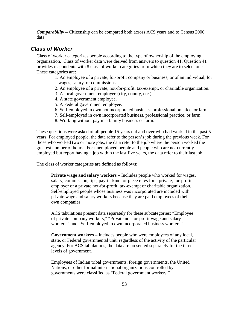*Comparability –* Citizenship can be compared both across ACS years and to Census 2000 data.

# *Class of Worker*

Class of worker categorizes people according to the type of ownership of the employing organization. Class of worker data were derived from answers to question 41. Question 41 provides respondents with 8 class of worker categories from which they are to select one. These categories are:

- 1. An employee of a private, for-profit company or business, or of an individual, for wages, salary, or commissions.
- 2. An employee of a private, not-for-profit, tax-exempt, or charitable organization.
- 3. A local government employee (city, county, etc.).
- 4. A state government employee.
- 5. A Federal government employee.
- 6. Self-employed in own not incorporated business, professional practice, or farm.
- 7. Self-employed in own incorporated business, professional practice, or farm.
- 8. Working without pay in a family business or farm.

These questions were asked of all people 15 years old and over who had worked in the past 5 years. For employed people, the data refer to the person's job during the previous week. For those who worked two or more jobs, the data refer to the job where the person worked the greatest number of hours. For unemployed people and people who are not currently employed but report having a job within the last five years, the data refer to their last job.

The class of worker categories are defined as follows:

**Private wage and salary workers –** Includes people who worked for wages, salary, commission, tips, pay-in-kind, or piece rates for a private, for-profit employer or a private not-for-profit, tax-exempt or charitable organization. Self-employed people whose business was incorporated are included with private wage and salary workers because they are paid employees of their own companies.

ACS tabulations present data separately for these subcategories: "Employee of private company workers," "Private not-for-profit wage and salary workers," and "Self-employed in own incorporated business workers."

**Government workers –** Includes people who were employees of any local, state, or Federal governmental unit, regardless of the activity of the particular agency. For ACS tabulations, the data are presented separately for the three levels of government.

Employees of Indian tribal governments, foreign governments, the United Nations, or other formal international organizations controlled by governments were classified as "Federal government workers."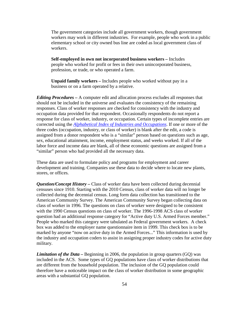The government categories include all government workers, though government workers may work in different industries. For example, people who work in a public elementary school or city owned bus line are coded as local government class of workers.

**Self-employed in own not incorporated business workers** *–* Includes people who worked for profit or fees in their own unincorporated business, profession, or trade, or who operated a farm.

**Unpaid family workers** *–* Includes people who worked without pay in a business or on a farm operated by a relative.

*Editing Procedures –* A computer edit and allocation process excludes all responses that should not be included in the universe and evaluates the consistency of the remaining responses. Class of worker responses are checked for consistency with the industry and occupation data provided for that respondent. Occasionally respondents do not report a response for class of worker, industry, or occupation. Certain types of incomplete entries are corrected using the *[Alphabetical Index of Industries and Occupations](http://www.census.gov/hhes/www/ioindex/ioindex02/view02.html)*. If one or more of the three codes (occupation, industry, or class of worker) is blank after the edit, a code is assigned from a donor respondent who is a "similar" person based on questions such as age, sex, educational attainment, income, employment status, and weeks worked. If all of the labor force and income data are blank, all of these economic questions are assigned from a "similar" person who had provided all the necessary data.

These data are used to formulate policy and programs for employment and career development and training. Companies use these data to decide where to locate new plants, stores, or offices.

*Question/Concept History –* Class of worker data have been collected during decennial censuses since 1910. Starting with the 2010 Census, class of worker data will no longer be collected during the decennial census. Long form data collection has transitioned to the American Community Survey. The American Community Survey began collecting data on class of worker in 1996. The questions on class of worker were designed to be consistent with the 1990 Census questions on class of worker. The 1996-1998 ACS class of worker question had an additional response category for "Active duty U.S. Armed Forces member." People who marked this category were tabulated as Federal government workers. A check box was added to the employer name questionnaire item in 1999. This check box is to be marked by anyone "now on active duty in the Armed Forces..." This information is used by the industry and occupation coders to assist in assigning proper industry codes for active duty military.

*Limitation of the Data* – Beginning in 2006, the population in group quarters (GQ) was included in the ACS. Some types of GQ populations have class of worker distributions that are different from the household population. The inclusion of the GQ population could therefore have a noticeable impact on the class of worker distribution in some geographic areas with a substantial GQ population.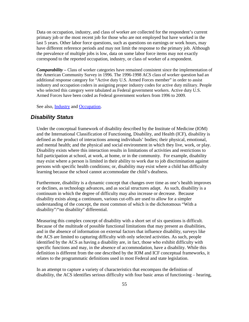Data on occupation, industry, and class of worker are collected for the respondent's current primary job or the most recent job for those who are not employed but have worked in the last 5 years. Other labor force questions, such as questions on earnings or work hours, may have different reference periods and may not limit the response to the primary job. Although the prevalence of multiple jobs is low, data on some labor force items may not exactly correspond to the reported occupation, industry, or class of worker of a respondent.

*Comparability –* Class of worker categories have remained consistent since the implementation of the American Community Survey in 1996. The 1996-1998 ACS class of worker question had an additional response category for "Active duty U.S. Armed Forces member" in order to assist industry and occupation coders in assigning proper industry codes for active duty military. People who selected this category were tabulated as Federal government workers. Active duty U.S. Armed Forces have been coded as Federal government workers from 1996 to 2009.

See also, **Industry** and **Occupation**.

#### *Disability Status*

Under the conceptual framework of disability described by the Institute of Medicine (IOM) and the International Classification of Functioning, Disability, and Health (ICF), disability is defined as the product of interactions among individuals' bodies; their physical, emotional, and mental health; and the physical and social environment in which they live, work, or play. Disability exists where this interaction results in limitations of activities and restrictions to full participation at school, at work, at home, or in the community. For example, disability may exist where a person is limited in their ability to work due to job discrimination against persons with specific health conditions; or, disability may exist where a child has difficulty learning because the school cannot accommodate the child's deafness.

Furthermore, disability is a dynamic concept that changes over time as one's health improves or declines, as technology advances, and as social structures adapt. As such, disability is a continuum in which the degree of difficulty may also increase or decrease. Because disability exists along a continuum, various cut-offs are used to allow for a simpler understanding of the concept, the most common of which is the dichotomous "With a disability"/"no disability" differential.

Measuring this complex concept of disability with a short set of six questions is difficult. Because of the multitude of possible functional limitations that may present as disabilities, and in the absence of information on external factors that influence disability, surveys like the ACS are limited to capturing difficulty with only selected activities. As such, people identified by the ACS as having a disability are, in fact, those who exhibit difficulty with specific functions and may, in the absence of accommodation, have a disability. While this definition is different from the one described by the IOM and ICF conceptual frameworks, it relates to the programmatic definitions used in most Federal and state legislation.

In an attempt to capture a variety of characteristics that encompass the definition of disability, the ACS identifies serious difficulty with four basic areas of functioning – hearing,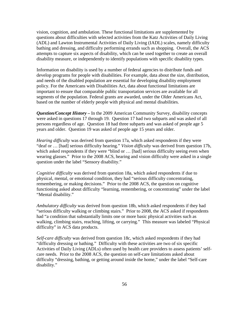vision, cognition, and ambulation. These functional limitations are supplemented by questions about difficulties with selected activities from the Katz Activities of Daily Living (ADL) and Lawton Instrumental Activities of Daily Living (IADL) scales, namely difficulty bathing and dressing, and difficulty performing errands such as shopping. Overall, the ACS attempts to capture six aspects of disability, which can be used together to create an overall disability measure, or independently to identify populations with specific disability types.

Information on disability is used by a number of federal agencies to distribute funds and develop programs for people with disabilities. For example, data about the size, distribution, and needs of the disabled population are essential for developing disability employment policy. For the Americans with Disabilities Act, data about functional limitations are important to ensure that comparable public transportation services are available for all segments of the population. Federal grants are awarded, under the Older Americans Act, based on the number of elderly people with physical and mental disabilities.

*Question/Concept History –* In the 2009 American Community Survey, disability concepts were asked in questions 17 through 19. Question 17 had two subparts and was asked of all persons regardless of age. Question 18 had three subparts and was asked of people age 5 years and older. Question 19 was asked of people age 15 years and older.

*Hearing difficulty* was derived from question 17a, which asked respondents if they were "deaf or … [had] serious difficulty hearing." *Vision difficulty* was derived from question 17b, which asked respondents if they were "blind or ... [had] serious difficulty seeing even when wearing glasses." Prior to the 2008 ACS, hearing and vision difficulty were asked in a single question under the label "Sensory disability."

*Cognitive difficulty* was derived from question 18a, which asked respondents if due to physical, mental, or emotional condition, they had "serious difficulty concentrating, remembering, or making decisions." Prior to the 2008 ACS, the question on cognitive functioning asked about difficulty "learning, remembering, or concentrating" under the label "Mental disability."

*Ambulatory difficulty* was derived from question 18b, which asked respondents if they had "serious difficulty walking or climbing stairs." Prior to 2008, the ACS asked if respondents had "a condition that substantially limits one or more basic physical activities such as walking, climbing stairs, reaching, lifting, or carrying." This measure was labeled "Physical difficulty" in ACS data products.

*Self-care difficulty* was derived from question 18c, which asked respondents if they had "difficulty dressing or bathing." Difficulty with these activities are two of six specific Activities of Daily Living (ADLs) often used by health care providers to assess patients' selfcare needs. Prior to the 2008 ACS, the question on self-care limitations asked about difficulty "dressing, bathing, or getting around inside the home," under the label "Self-care disability."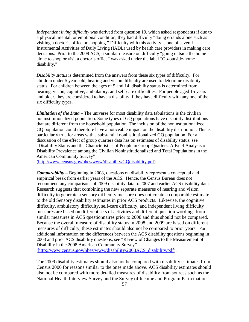*Independent living difficulty* was derived from question 19, which asked respondents if due to a physical, mental, or emotional condition, they had difficulty "doing errands alone such as visiting a doctor's office or shopping." Difficulty with this activity is one of several Instrumental Activities of Daily Living (IADL) used by health care providers in making care decisions. Prior to the 2008 ACS, a similar measure on difficulty "going outside the home alone to shop or visit a doctor's office" was asked under the label "Go-outside-home disability."

*Disability status* is determined from the answers from these six types of difficulty. For children under 5 years old, hearing and vision difficulty are used to determine disability status. For children between the ages of 5 and 14, disability status is determined from hearing, vision, cognitive, ambulatory, and self-care difficulties. For people aged 15 years and older, they are considered to have a disability if they have difficulty with any one of the six difficulty types.

*Limitation of the Data* – The universe for most disability data tabulations is the civilian noninstitutionalized population. Some types of GQ populations have disability distributions that are different from the household population. The inclusion of the noninstitutionalized GQ population could therefore have a noticeable impact on the disability distribution. This is particularly true for areas with a substantial noninstitutionalized GQ population. For a discussion of the effect of group quarters data has on estimates of disability status, see "Disability Status and the Characteristics of People in Group Quarters: A Brief Analysis of Disability Prevalence among the Civilian Noninstitutionalized and Total Populations in the American Community Survey"

[\(http://www.census.gov/hhes/www/disability/GQdisability.pdf\)](http://www.census.gov/hhes/www/disability/GQdisability.pdf).

*Comparability –* Beginning in 2008, questions on disability represent a conceptual and empirical break from earlier years of the ACS. Hence, the Census Bureau does not recommend any comparisons of 2009 disability data to 2007 and earlier ACS disability data. Research suggests that combining the new separate measures of hearing and vision difficulty to generate a sensory difficulty measure does not create a comparable estimate to the old Sensory disability estimates in prior ACS products. Likewise, the cognitive difficulty, ambulatory difficulty, self-care difficulty, and independent living difficulty measures are based on different sets of activities and different question wordings from similar measures in ACS questionnaires prior to 2008 and thus should not be compared. Because the overall measure of disability status in 2008 and 2009 are based on different measures of difficulty, these estimates should also not be compared to prior years. For additional information on the differences between the ACS disability questions beginning in 2008 and prior ACS disability questions, see "Review of Changes to the Measurement of Disability in the 2008 American Community Survey"

[\(http://www.census.gov/hhes/www/disability/2008ACS\\_disability.pdf\)](http://www.census.gov/hhes/www/disability/2008ACS_disability.pdf).

The 2009 disability estimates should also not be compared with disability estimates from Census 2000 for reasons similar to the ones made above. ACS disability estimates should also not be compared with more detailed measures of disability from sources such as the National Health Interview Survey and the Survey of Income and Program Participation.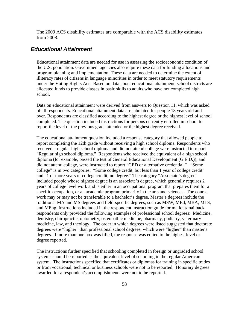The 2009 ACS disability estimates are comparable with the ACS disability estimates from 2008.

# *Educational Attainment*

Educational attainment data are needed for use in assessing the socioeconomic condition of the U.S. population. Government agencies also require these data for funding allocations and program planning and implementation. These data are needed to determine the extent of illiteracy rates of citizens in language minorities in order to meet statutory requirements under the Voting Rights Act. Based on data about educational attainment, school districts are allocated funds to provide classes in basic skills to adults who have not completed high school.

Data on educational attainment were derived from answers to Question 11, which was asked of all respondents. Educational attainment data are tabulated for people 18 years old and over. Respondents are classified according to the highest degree or the highest level of school completed. The question included instructions for persons currently enrolled in school to report the level of the previous grade attended or the highest degree received.

The educational attainment question included a response category that allowed people to report completing the 12th grade without receiving a high school diploma. Respondents who received a regular high school diploma and did not attend college were instructed to report "Regular high school diploma." Respondents who received the equivalent of a high school diploma (for example, passed the test of General Educational Development (G.E.D.)), and did not attend college, were instructed to report "GED or alternative credential." "Some college" is in two categories: "Some college credit, but less than 1 year of college credit" and "1 or more years of college credit, no degree." The category "Associate's degree" included people whose highest degree is an associate's degree, which generally requires 2 years of college level work and is either in an occupational program that prepares them for a specific occupation, or an academic program primarily in the arts and sciences. The course work may or may not be transferable to a bachelor's degree. Master's degrees include the traditional MA and MS degrees and field-specific degrees, such as MSW, MEd, MBA, MLS, and MEng. Instructions included in the respondent instruction guide for mailout/mailback respondents only provided the following examples of professional school degrees: Medicine, dentistry, chiropractic, optometry, osteopathic medicine, pharmacy, podiatry, veterinary medicine, law, and theology. The order in which degrees were listed suggested that doctorate degrees were "higher" than professional school degrees, which were "higher" than master's degrees. If more than one box was filled, the response was edited to the highest level or degree reported.

The instructions further specified that schooling completed in foreign or ungraded school systems should be reported as the equivalent level of schooling in the regular American system. The instructions specified that certificates or diplomas for training in specific trades or from vocational, technical or business schools were not to be reported. Honorary degrees awarded for a respondent's accomplishments were not to be reported.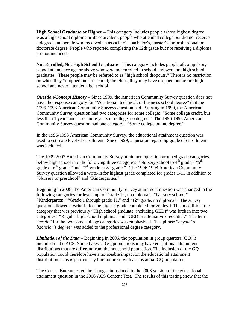**High School Graduate or Higher –** This category includes people whose highest degree was a high school diploma or its equivalent, people who attended college but did not receive a degree, and people who received an associate's, bachelor's, master's, or professional or doctorate degree. People who reported completing the 12th grade but not receiving a diploma are not included.

**Not Enrolled, Not High School Graduate –** This category includes people of compulsory school attendance age or above who were not enrolled in school and were not high school graduates. These people may be referred to as "high school dropouts." There is no restriction on when they "dropped out" of school; therefore, they may have dropped out before high school and never attended high school.

*Question/Concept History –* Since 1999, the American Community Survey question does not have the response category for "Vocational, technical, or business school degree" that the 1996-1998 American Community Surveys question had. Starting in 1999, the American Community Survey question had two categories for some college: "Some college credit, but less than 1 year" and "1 or more years of college, no degree." The 1996-1998 American Community Survey question had one category: "Some college but no degree."

In the 1996-1998 American Community Survey, the educational attainment question was used to estimate level of enrollment. Since 1999, a question regarding grade of enrollment was included.

The 1999-2007 American Community Survey attainment question grouped grade categories below high school into the following three categories: "Nursery school to  $4^{th}$  grade," "5<sup>th</sup> grade or  $6<sup>th</sup>$  grade," and "7<sup>th</sup> grade or  $8<sup>th</sup>$  grade." The 1996-1998 American Community Survey question allowed a write-in for highest grade completed for grades 1-11 in addition to "Nursery or preschool" and "Kindergarten."

Beginning in 2008, the American Community Survey attainment question was changed to the following categories for levels up to "Grade 12, no diploma": "Nursery school," "Kindergarten," "Grade 1 through grade 11," and " $12^{th}$  grade, no diploma." The survey question allowed a write-in for the highest grade completed for grades 1-11. In addition, the category that was previously "High school graduate (including GED)" was broken into two categories: "Regular high school diploma" and "GED or alternative credential." The term "*credit*" for the two some college categories was emphasized. The phrase "*beyond a bachelor's degree*" was added to the professional degree category.

*Limitation of the Data* – Beginning in 2006, the population in group quarters (GQ) is included in the ACS. Some types of GQ populations may have educational attainment distributions that are different from the household population. The inclusion of the GQ population could therefore have a noticeable impact on the educational attainment distribution. This is particularly true for areas with a substantial GQ population.

The Census Bureau tested the changes introduced to the 2008 version of the educational attainment question in the 2006 ACS Content Test. The results of this testing show that the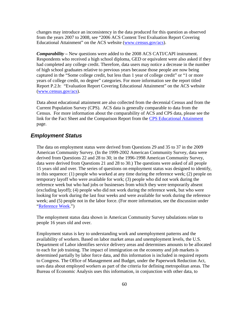changes may introduce an inconsistency in the data produced for this question as observed from the years 2007 to 2008, see "2006 ACS Content Test Evaluation Report Covering Educational Attainment" on the ACS website (www.census.gov/acs).

*Comparability –* New questions were added to the 2008 ACS CATI/CAPI instrument. Respondents who received a high school diploma, GED or equivalent were also asked if they had completed any college credit. Therefore, data users may notice a decrease in the number of high school graduates relative to previous years because those people are now being captured in the "Some college credit, but less than 1 year of college credit" or "1 or more years of college credit, no degree" categories. For more information see the report titled Report P.2.b: "Evaluation Report Covering Educational Attainment" on the ACS website (www.census.gov/acs).

Data about educational attainment are also collected from the decennial Census and from the Current Population Survey (CPS). ACS data is generally comparable to data from the Census. For more information about the comparability of ACS and CPS data, please see the link for the Fact Sheet and the Comparison Report from the [CPS Educational Attainment](http://www.census.gov/population/www/socdemo/educ-attn.html) page.

#### *Employment Status*

The data on employment status were derived from Questions 29 and 35 to 37 in the 2009 American Community Survey. (In the 1999-2002 American Community Survey, data were derived from Questions 22 and 28 to 30; in the 1996-1998 American Community Survey, data were derived from Questions 21 and 28 to 30.) The questions were asked of all people 15 years old and over. The series of questions on employment status was designed to identify, in this sequence: (1) people who worked at any time during the reference week; (2) people on temporary layoff who were available for work; (3) people who did not work during the reference week but who had jobs or businesses from which they were temporarily absent (excluding layoff); (4) people who did not work during the reference week, but who were looking for work during the last four weeks and were available for work during the reference week; and (5) people not in the labor force. (For more information, see the discussion under ["Reference Week.](#page-109-0)")

The employment status data shown in American Community Survey tabulations relate to people 16 years old and over.

Employment status is key to understanding work and unemployment patterns and the availability of workers. Based on labor market areas and unemployment levels, the U.S. Department of Labor identifies service delivery areas and determines amounts to be allocated to each for job training. The impact of immigration on the economy and job markets is determined partially by labor force data, and this information is included in required reports to Congress. The Office of Management and Budget, under the Paperwork Reduction Act, uses data about employed workers as part of the criteria for defining metropolitan areas. The Bureau of Economic Analysis uses this information, in conjunction with other data, to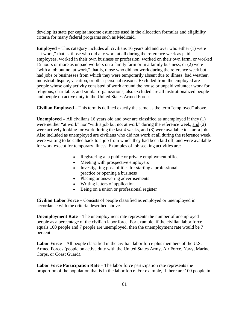develop its state per capita income estimates used in the allocation formulas and eligibility criteria for many federal programs such as Medicaid.

**Employed –** This category includes all civilians 16 years old and over who either (1) were "at work," that is, those who did any work at all during the reference week as paid employees, worked in their own business or profession, worked on their own farm, or worked 15 hours or more as unpaid workers on a family farm or in a family business; or (2) were "with a job but not at work," that is, those who did not work during the reference week but had jobs or businesses from which they were temporarily absent due to illness, bad weather, industrial dispute, vacation, or other personal reasons. Excluded from the employed are people whose only activity consisted of work around the house or unpaid volunteer work for religious, charitable, and similar organizations; also excluded are all institutionalized people and people on active duty in the United States Armed Forces.

**Civilian Employed –** This term is defined exactly the same as the term "employed" above.

**Unemployed –** All civilians 16 years old and over are classified as unemployed if they (1) were neither "at work" nor "with a job but not at work" during the reference week, and (2) were actively looking for work during the last 4 weeks, and (3) were available to start a job. Also included as unemployed are civilians who did not work at all during the reference week, were waiting to be called back to a job from which they had been laid off, and were available for work except for temporary illness. Examples of job seeking activities are:

- Registering at a public or private employment office
- Meeting with prospective employers
- Investigating possibilities for starting a professional practice or opening a business
- Placing or answering advertisements
- Writing letters of application
- Being on a union or professional register

**Civilian Labor Force –** Consists of people classified as employed or unemployed in accordance with the criteria described above.

**Unemployment Rate** – The unemployment rate represents the number of unemployed people as a percentage of the civilian labor force. For example, if the civilian labor force equals 100 people and 7 people are unemployed, then the unemployment rate would be 7 percent.

**Labor Force –** All people classified in the civilian labor force plus members of the U.S. Armed Forces (people on active duty with the United States Army, Air Force, Navy, Marine Corps, or Coast Guard).

**Labor Force Participation Rate** – The labor force participation rate represents the proportion of the population that is in the labor force. For example, if there are 100 people in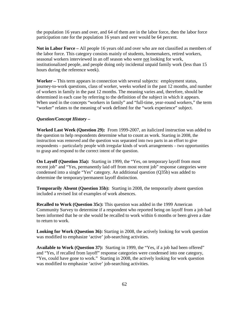the population 16 years and over, and 64 of them are in the labor force, then the labor force participation rate for the population 16 years and over would be 64 percent.

**Not in Labor Force –** All people 16 years old and over who are not classified as members of the labor force. This category consists mainly of students, homemakers, retired workers, seasonal workers interviewed in an off season who were not looking for work, institutionalized people, and people doing only incidental unpaid family work (less than 15 hours during the reference week).

**Worker –** This term appears in connection with several subjects: employment status, journey-to-work questions, class of worker, weeks worked in the past 12 months, and number of workers in family in the past 12 months. The meaning varies and, therefore, should be determined in each case by referring to the definition of the subject in which it appears. When used in the concepts "workers in family" and "full-time, year-round workers," the term "worker" relates to the meaning of work defined for the "work experience" subject.

#### *Question/Concept History –*

**Worked Last Week (Question 29):** From 1999-2007, an italicized instruction was added to the question to help respondents determine what to count as work. Starting in 2008, the instruction was removed and the question was separated into two parts in an effort to give respondents – particularly people with irregular kinds of work arrangements – two opportunities to grasp and respond to the correct intent of the question.

**On Layoff (Question 35a):** Starting in 1999, the "Yes, on temporary layoff from most recent job" and "Yes, permanently laid off from most recent job" response categories were condensed into a single "Yes" category. An additional question (Q35b) was added to determine the temporary/permanent layoff distinction.

**Temporarily Absent (Question 35b):** Starting in 2008, the temporarily absent question included a revised list of examples of work absences.

**Recalled to Work (Question 35c):** This question was added in the 1999 American Community Survey to determine if a respondent who reported being on layoff from a job had been informed that he or she would be recalled to work within 6 months or been given a date to return to work.

**Looking for Work (Question 36):** Starting in 2008, the actively looking for work question was modified to emphasize 'active' job-searching activities.

**Available to Work (Question 37):** Starting in 1999, the "Yes, if a job had been offered" and "Yes, if recalled from layoff" response categories were condensed into one category, "Yes, could have gone to work." Starting in 2008, the actively looking for work question was modified to emphasize 'active' job-searching activities.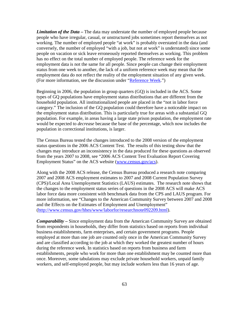*Limitation of the Data* **–** The data may understate the number of employed people because people who have irregular, casual, or unstructured jobs sometimes report themselves as not working. The number of employed people "at work" is probably overstated in the data (and conversely, the number of employed "with a job, but not at work" is understated) since some people on vacation or sick leave erroneously reported themselves as working. This problem has no effect on the total number of employed people. The reference week for the employment data is not the same for all people. Since people can change their employment status from one week to another, the lack of a uniform reference week may mean that the employment data do not reflect the reality of the employment situation of any given week. (For more information, see the discussion under ["Reference Week.](#page-109-0)")

Beginning in 2006, the population in group quarters (GQ) is included in the ACS. Some types of GQ populations have employment status distributions that are different from the household population. All institutionalized people are placed in the "not in labor force category." The inclusion of the GQ population could therefore have a noticeable impact on the employment status distribution. This is particularly true for areas with a substantial GQ population. For example, in areas having a large state prison population, the employment rate would be expected to *decrease* because the base of the percentage, which now includes the population in correctional institutions, is larger.

The Census Bureau tested the changes introduced to the 2008 version of the employment status questions in the 2006 ACS Content Test. The results of this testing show that the changes may introduce an inconsistency in the data produced for these questions as observed from the years 2007 to 2008, see "2006 ACS Content Test Evaluation Report Covering Employment Status" on the ACS website [\(www.census.gov/acs\)](http://www.census.gov/acs).

Along with the 2008 ACS release, the Census Bureau produced a research note comparing 2007 and 2008 ACS employment estimates to 2007 and 2008 Current Population Survey (CPS)/Local Area Unemployment Statistics (LAUS) estimates. The research note shows that the changes to the employment status series of questions in the 2008 ACS will make ACS labor force data more consistent with benchmark data from the CPS and LAUS program. For more information, see "Changes to the American Community Survey between 2007 and 2008 and the Effects on the Estimates of Employment and Unemployment" [\(http://www.census.gov/hhes/www/laborfor/researchnote092209.html\)](http://www.census.gov/hhes/www/laborfor/researchnote092209.html).

*Comparability –* Since employment data from the American Community Survey are obtained from respondents in households, they differ from statistics based on reports from individual business establishments, farm enterprises, and certain government programs. People employed at more than one job are counted only once in the American Community Survey and are classified according to the job at which they worked the greatest number of hours during the reference week. In statistics based on reports from business and farm establishments, people who work for more than one establishment may be counted more than once. Moreover, some tabulations may exclude private household workers, unpaid family workers, and self-employed people, but may include workers less than 16 years of age.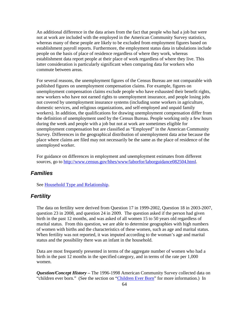An additional difference in the data arises from the fact that people who had a job but were not at work are included with the employed in the American Community Survey statistics, whereas many of these people are likely to be excluded from employment figures based on establishment payroll reports. Furthermore, the employment status data in tabulations include people on the basis of place of residence regardless of where they work, whereas establishment data report people at their place of work regardless of where they live. This latter consideration is particularly significant when comparing data for workers who commute between areas.

For several reasons, the unemployment figures of the Census Bureau are not comparable with published figures on unemployment compensation claims. For example, figures on unemployment compensation claims exclude people who have exhausted their benefit rights, new workers who have not earned rights to unemployment insurance, and people losing jobs not covered by unemployment insurance systems (including some workers in agriculture, domestic services, and religious organizations, and self-employed and unpaid family workers). In addition, the qualifications for drawing unemployment compensation differ from the definition of unemployment used by the Census Bureau. People working only a few hours during the week and people with a job but not at work are sometimes eligible for unemployment compensation but are classified as "Employed" in the American Community Survey. Differences in the geographical distribution of unemployment data arise because the place where claims are filed may not necessarily be the same as the place of residence of the unemployed worker.

For guidance on differences in employment and unemployment estimates from different sources, go to [http://www.census.gov/hhes/www/laborfor/laborguidance082504.html.](http://www.census.gov/hhes/www/laborfor/laborguidance082504.html)

# *Families*

See [Household Type and Relationship.](#page-70-0)

## <span id="page-63-0"></span>*Fertility*

The data on fertility were derived from Question 17 in 1999-2002, Question 18 in 2003-2007, question 23 in 2008, and question 24 in 2009. The question asked if the person had given birth in the past 12 months, and was asked of all women 15 to 50 years old regardless of marital status. From this question, we are able to determine geographies with high numbers of women with births and the characteristics of these women, such as age and marital status. When fertility was not reported, it was imputed according to the woman's age and marital status and the possibility there was an infant in the household.

Data are most frequently presented in terms of the aggregate number of women who had a birth in the past 12 months in the specified category, and in terms of the rate per 1,000 women.

*Question/Concept History –* The 1996-1998 American Community Survey collected data on "children ever born." (See the section on ["Children Ever Born"](#page-49-0) for more information.) In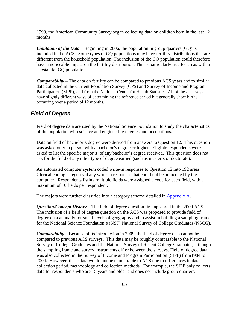1999, the American Community Survey began collecting data on children born in the last 12 months.

*Limitation of the Data* – Beginning in 2006, the population in group quarters (GQ) is included in the ACS. Some types of GQ populations may have fertility distributions that are different from the household population. The inclusion of the GQ population could therefore have a noticeable impact on the fertility distribution. This is particularly true for areas with a substantial GQ population.

*Comparability* – The data on fertility can be compared to previous ACS years and to similar data collected in the Current Population Survey (CPS) and Survey of Income and Program Participation (SIPP), and from the National Center for Health Statistics. All of these surveys have slightly different ways of determining the reference period but generally show births occurring over a period of 12 months.

# *Field of Degree*

Field of degree data are used by the National Science Foundation to study the characteristics of the population with science and engineering degrees and occupations.

Data on field of bachelor's degree were derived from answers to Question 12. This question was asked only to person with a bachelor's degree or higher. Eligible respondents were asked to list the specific major(s) of any bachelor's degree received. This question does not ask for the field of any other type of degree earned (such as master's or doctorate).

An automated computer system coded write-in responses to Question 12 into 192 areas. Clerical coding categorized any write-in responses that could not be autocoded by the computer. Respondents listing multiple fields were assigned a code for each field, with a maximum of 10 fields per respondent.

The majors were further classified into a category scheme detailed in [Appendix A.](#page-131-0)

*Question/Concept History –* The field of degree question first appeared in the 2009 ACS. The inclusion of a field of degree question on the ACS was proposed to provide field of degree data annually for small levels of geography and to assist in building a sampling frame for the National Science Foundation's (NSF) National Survey of College Graduates (NSCG).

*Comparability –* Because of its introduction in 2009, the field of degree data cannot be compared to previous ACS surveys. This data may be roughly comparable to the National Survey of College Graduates and the National Survey of Recent College Graduates, although the sampling frame and survey instruments differ between the surveys. Field of degree data was also collected in the Survey of Income and Program Participation (SIPP) from1984 to 2004. However, these data would not be comparable to ACS due to differences in data collection period, methodology and collection methods. For example, the SIPP only collects data for respondents who are 15 years and older and does not include group quarters.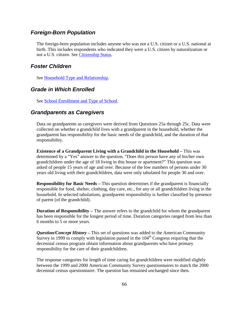#### *Foreign-Born Population*

The foreign-born population includes anyone who was not a U.S. citizen or a U.S. national at birth. This includes respondents who indicated they were a U.S. citizen by naturalization or not a U.S. citizen. See [Citizenship Status.](#page-50-0)

### *Foster Children*

See [Household Type and Relationship.](#page-70-0)

### *Grade in Which Enrolled*

See [School Enrollment and Type of School.](#page-111-0)

### *Grandparents as Caregivers*

Data on grandparents as caregivers were derived from Questions 25a through 25c. Data were collected on whether a grandchild lives with a grandparent in the household, whether the grandparent has responsibility for the basic needs of the grandchild, and the duration of that responsibility.

**Existence of a Grandparent Living with a Grandchild in the Household –** This was determined by a "Yes" answer to the question, "Does this person have any of his/her own grandchildren under the age of 18 living in this house or apartment?" This question was asked of people 15 years of age and over. Because of the low numbers of persons under 30 years old living with their grandchildren, data were only tabulated for people 30 and over.

**Responsibility for Basic Needs –** This question determines if the grandparent is financially responsible for food, shelter, clothing, day care, etc., for any or all grandchildren living in the household. In selected tabulations, grandparent responsibility is further classified by presence of parent (of the grandchild).

**Duration of Responsibility** – The answer refers to the grandchild for whom the grandparent has been responsible for the longest period of time. Duration categories ranged from less than 6 months to 5 or more years.

*Question/Concept History* – This set of questions was added to the American Community Survey in 1999 to comply with legislation passed in the 104<sup>th</sup> Congress requiring that the decennial census program obtain information about grandparents who have primary responsibility for the care of their grandchildren.

The response categories for length of time caring for grandchildren were modified slightly between the 1999 and 2000 American Community Survey questionnaires to match the 2000 decennial census questionnaire. The question has remained unchanged since then.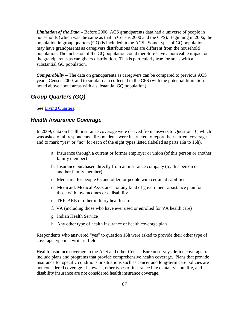*Limitation of the Data –* Before 2006, ACS grandparents data had a universe of people in households (which was the same as that in Census 2000 and the CPS). Beginning in 2006, the population in group quarters (GQ) is included in the ACS. Some types of GQ populations may have grandparents as caregivers distributions that are different from the household population. The inclusion of the GQ population could therefore have a noticeable impact on the grandparents as caregivers distribution. This is particularly true for areas with a substantial GQ population.

*Comparability* – The data on grandparents as caregivers can be compared to previous ACS years, Census 2000, and to similar data collected in the CPS (with the potential limitation noted above about areas with a substantial GQ population).

# *Group Quarters (GQ)*

See [Living Quarters.](#page-6-0)

#### *Health Insurance Coverage*

In 2009, data on health insurance coverage were derived from answers to Question 16, which was asked of all respondents. Respondents were instructed to report their current coverage and to mark "yes" or "no" for each of the eight types listed (labeled as parts 16a to 16h).

- a. Insurance through a current or former employer or union (of this person or another family member)
- b. Insurance purchased directly from an insurance company (by this person or another family member)
- c. Medicare, for people 65 and older, or people with certain disabilities
- d. Medicaid, Medical Assistance, or any kind of government-assistance plan for those with low incomes or a disability
- e. TRICARE or other military health care
- f. VA (including those who have ever used or enrolled for VA health care)
- g. Indian Health Service
- h. Any other type of health insurance or health coverage plan

Respondents who answered "yes" to question 16h were asked to provide their other type of coverage type in a write-in field.

Health insurance coverage in the ACS and other Census Bureau surveys define coverage to include plans and programs that provide comprehensive health coverage. Plans that provide insurance for specific conditions or situations such as cancer and long-term care policies are not considered coverage. Likewise, other types of insurance like dental, vision, life, and disability insurance are not considered health insurance coverage.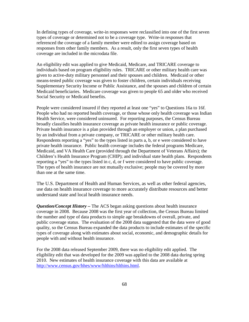In defining types of coverage, write-in responses were reclassified into one of the first seven types of coverage or determined not to be a coverage type. Write-in responses that referenced the coverage of a family member were edited to assign coverage based on responses from other family members. As a result, only the first seven types of health coverage are included in the microdata file.

An eligibility edit was applied to give Medicaid, Medicare, and TRICARE coverage to individuals based on program eligibility rules. TRICARE or other military health care was given to active-duty military personnel and their spouses and children. Medicaid or other means-tested public coverage was given to foster children, certain individuals receiving Supplementary Security Income or Public Assistance, and the spouses and children of certain Medicaid beneficiaries. Medicare coverage was given to people 65 and older who received Social Security or Medicaid benefits.

People were considered insured if they reported at least one "yes" to Questions 16a to 16f. People who had no reported health coverage, or those whose only health coverage was Indian Health Service, were considered uninsured. For reporting purposes, the Census Bureau broadly classifies health insurance coverage as private health insurance or public coverage. Private health insurance is a plan provided through an employer or union, a plan purchased by an individual from a private company, or TRICARE or other military health care. Respondents reporting a "yes" to the types listed in parts a, b, or e were considered to have private health insurance. Public health coverage includes the federal programs Medicare, Medicaid, and VA Health Care (provided through the Department of Veterans Affairs); the Children's Health Insurance Program (CHIP); and individual state health plans. Respondents reporting a "yes" to the types listed in c, d, or f were considered to have public coverage. The types of health insurance are not mutually exclusive; people may be covered by more than one at the same time.

The U.S. Department of Health and Human Services, as well as other federal agencies, use data on health insurance coverage to more accurately distribute resources and better understand state and local health insurance needs.

*Question/Concept History –* The ACS began asking questions about health insurance coverage in 2008. Because 2008 was the first year of collection, the Census Bureau limited the number and type of data products to simple age breakdowns of overall, private, and public coverage status. The evaluation of the 2008 data suggested that the data were of good quality, so the Census Bureau expanded the data products to include estimates of the specific types of coverage along with estimates about social, economic, and demographic details for people with and without health insurance.

For the 2008 data released September 2009, there was no eligibility edit applied. The eligibility edit that was developed for the 2009 was applied to the 2008 data during spring 2010. New estimates of health insurance coverage with this data are available at [http://www.census.gov/hhes/www/hlthins/hlthins.html.](http://www.census.gov/hhes/www/hlthins/hlthins.html)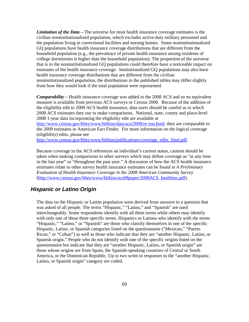*Limitation of the Data –* The universe for most health insurance coverage estimates is the civilian noninstitutionalized population, which excludes active-duty military personnel and the population living in correctional facilities and nursing homes. Some noninstitutionalized GQ populations have health insurance coverage distributions that are different from the household population (e.g., the prevalence of private health insurance among residents of college dormitories is higher than the household population). The proportion of the universe that is in the noninstitutionalized GQ populations could therefore have a noticeable impact on estimates of the health insurance coverage. Institutionalized GQ populations may also have health insurance coverage distributions that are different from the civilian noninstitutionalized population, the distributions in the published tables may differ slightly from how they would look if the total population were represented.

*Comparability –* Health insurance coverage was added to the 2008 ACS and so no equivalent measure is available from previous ACS surveys or Census 2000. Because of the addition of the eligibility edit to 2009 ACS health insurance, data users should be careful as to which 2008 ACS estimates they use to make comparisons. National, state, county and place-level 2008 1-year data incorporating the eligibility edit are available at [http://www.census.gov/hhes/www/hlthins/data/acs/2008/re-run.html;](http://www.census.gov/hhes/www/hlthins/data/acs/2008/re-run.html) they are comparable to the 2009 estimates in American Fact Finder. For more information on the logical coverage (eligibility) edits, please see

[http://www.census.gov/hhes/www/hlthins/publications/coverage\\_edits\\_final.pdf.](http://www.census.gov/hhes/www/hlthins/publications/coverage_edits_final.pdf)

Because coverage in the ACS references an individual's current status, caution should be taken when making comparisons to other surveys which may define coverage as "at any time in the last year" or "throughout the past year." A discussion of how the ACS health insurance estimates relate to other survey health insurance estimates can be found in *A Preliminary Evaluation of Health Insurance Coverage in the 2008 American Community Survey* [\(http://www.census.gov/hhes/www/hlthins/acs08paper/2008ACS\\_healthins.pdf\)](http://www.census.gov/hhes/www/hlthins/acs08paper/2008ACS_healthins.pdf).

# *Hispanic or Latino Origin*

The data on the Hispanic or Latino population were derived from answers to a question that was asked of all people. The terms "Hispanic," "Latino," and "Spanish" are used interchangeably. Some respondents identify with all three terms while others may identify with only one of these three specific terms. Hispanics or Latinos who identify with the terms "Hispanic," "Latino," or "Spanish" are those who classify themselves in one of the specific Hispanic, Latino, or Spanish categories listed on the questionnaire ("Mexican," "Puerto Rican," or "Cuban") as well as those who indicate that they are "another Hispanic, Latino, or Spanish origin." People who do not identify with one of the specific origins listed on the questionnaire but indicate that they are "another Hispanic, Latino, or Spanish origin" are those whose origins are from Spain, the Spanish-speaking countries of Central or South America, or the Dominican Republic. Up to two write-in responses to the "another Hispanic, Latino, or Spanish origin" category are coded.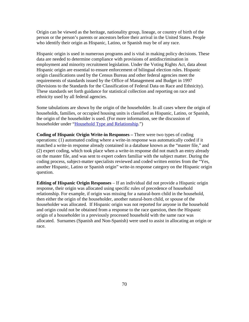Origin can be viewed as the heritage, nationality group, lineage, or country of birth of the person or the person's parents or ancestors before their arrival in the United States. People who identify their origin as Hispanic, Latino, or Spanish may be of any race.

Hispanic origin is used in numerous programs and is vital in making policy decisions. These data are needed to determine compliance with provisions of antidiscrimination in employment and minority recruitment legislation. Under the Voting Rights Act, data about Hispanic origin are essential to ensure enforcement of bilingual election rules. Hispanic origin classifications used by the Census Bureau and other federal agencies meet the requirements of standards issued by the Office of Management and Budget in 1997 (Revisions to the Standards for the Classification of Federal Data on Race and Ethnicity). These standards set forth guidance for statistical collection and reporting on race and ethnicity used by all federal agencies.

Some tabulations are shown by the origin of the householder. In all cases where the origin of households, families, or occupied housing units is classified as Hispanic, Latino, or Spanish, the origin of the householder is used. (For more information, see the discussion of householder under ["Household Type and Relationship.](#page-70-0)")

**Coding of Hispanic Origin Write-in Responses –** There were two types of coding operations: (1) automated coding where a write-in response was automatically coded if it matched a write-in response already contained in a database known as the "master file," and (2) expert coding, which took place when a write-in response did not match an entry already on the master file, and was sent to expert coders familiar with the subject matter. During the coding process, subject-matter specialists reviewed and coded written entries from the "Yes, another Hispanic, Latino or Spanish origin" write-in response category on the Hispanic origin question.

**Editing of Hispanic Origin Responses** – If an individual did not provide a Hispanic origin response, their origin was allocated using specific rules of precedence of household relationship. For example, if origin was missing for a natural-born child in the household, then either the origin of the householder, another natural-born child, or spouse of the householder was allocated. If Hispanic origin was not reported for anyone in the household and origin could not be obtained from a response to the race question, then the Hispanic origin of a householder in a previously processed household with the same race was allocated. Surnames (Spanish and Non-Spanish) were used to assist in allocating an origin or race.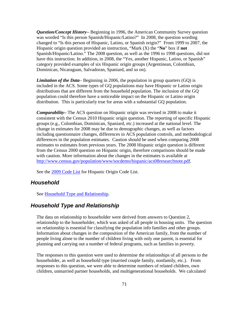*Question/Concept History*– Beginning in 1996, the American Community Survey question was worded "Is this person Spanish/Hispanic/Latino?" In 2008, the question wording changed to "Is this person of Hispanic, Latino, or Spanish origin?" From 1999 to 2007, the Hispanic origin question provided an instruction, "Mark (X) the "**No**" box if **not**  Spanish/Hispanic/Latino." The 2008 question, as well as the 1996 to 1998 questions, did not have this instruction. In addition, in 2008, the "Yes, another Hispanic, Latino, or Spanish" category provided examples of six Hispanic origin groups (Argentinean, Colombian, Dominican, Nicaraguan, Salvadoran, Spaniard, and so on).

*Limitation of the Data*– Beginning in 2006, the population in group quarters (GQ) is included in the ACS. Some types of GQ populations may have Hispanic or Latino origin distributions that are different from the household population. The inclusion of the GQ population could therefore have a noticeable impact on the Hispanic or Latino origin distribution. This is particularly true for areas with a substantial GQ population.

*Comparability–* The ACS question on Hispanic origin was revised in 2008 to make it consistent with the Census 2010 Hispanic origin question. The reporting of specific Hispanic groups (e.g., Colombian, Dominican, Spaniard, etc.) increased at the national level. The change in estimates for 2008 may be due to demographic changes, as well as factors including questionnaire changes, differences in ACS population controls, and methodological differences in the population estimates. Caution should be used when comparing 2008 estimates to estimates from previous years. The 2008 Hispanic origin question is different from the Census 2000 question on Hispanic origin, therefore comparisons should be made with caution. More information about the changes in the estimates is available at [http://www.census.gov/population/www/socdemo/hispanic/acs08researchnote.pdf.](http://www.census.gov/population/www/socdemo/hispanic/acs08researchnote.pdf)

See the [2009 Code List](http://www.census.gov/acs/www/Downloads/data_documentation/CodeLists/2009_ACS_Code_Lists.pdf) for Hispanic Origin Code List.

#### *Household*

See [Household Type and Relationship.](#page-70-0)

# <span id="page-70-0"></span>*Household Type and Relationship*

The data on relationship to householder were derived from answers to Question 2, relationship to the householder, which was asked of all people in housing units. The question on relationship is essential for classifying the population info families and other groups. Information about changes in the composition of the American family, from the number of people living alone to the number of children living with only one parent, is essential for planning and carrying out a number of federal programs, such as families in poverty.

The responses to this question were used to determine the relationships of all persons to the householder, as well as household type (married couple family, nonfamily, etc.). From responses to this question, we were able to determine numbers of related children, own children, unmarried partner households, and multigenerational households. We calculated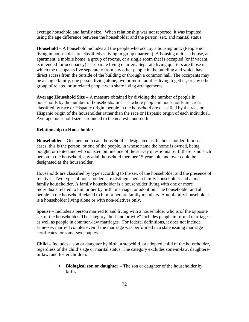average household and family size. When relationship was not reported, it was imputed using the age difference between the householder and the person, sex, and marital status.

**Household –** A household includes all the people who occupy a housing unit. (People not living in households are classified as living in group quarters.) A housing unit is a house, an apartment, a mobile home, a group of rooms, or a single room that is occupied (or if vacant, is intended for occupancy) as separate living quarters. Separate living quarters are those in which the occupants live separately from any other people in the building and which have direct access from the outside of the building or through a common hall. The occupants may be a single family, one person living alone, two or more families living together, or any other group of related or unrelated people who share living arrangements.

**Average Household Size –** A measure obtained by dividing the number of people in households by the number of households. In cases where people in households are crossclassified by race or Hispanic origin, people in the household are classified by the race or Hispanic origin of the householder rather than the race or Hispanic origin of each individual. Average household size is rounded to the nearest hundredth.

#### **Relationship to Householder**

**Householder –** One person in each household is designated as the householder. In most cases, this is the person, or one of the people, in whose name the home is owned, being bought, or rented and who is listed on line one of the survey questionnaire. If there is no such person in the household, any adult household member 15 years old and over could be designated as the householder.

Households are classified by type according to the sex of the householder and the presence of relatives. Two types of householders are distinguished: a family householder and a nonfamily householder. A family householder is a householder living with one or more individuals related to him or her by birth, marriage, or adoption. The householder and all people in the household related to him or her are family members. A nonfamily householder is a householder living alone or with non-relatives only.

**Spouse –** Includes a person married to and living with a householder who is of the opposite sex of the householder. The category "husband or wife" includes people in formal marriages, as well as people in common-law marriages. For federal definitions, it does not include same-sex married couples even if the marriage was performed in a state issuing marriage certificates for same-sex couples.

**Child –** Includes a son or daughter by birth, a stepchild, or adopted child of the householder, regardless of the child's age or marital status. The category excludes sons-in-law, daughtersin-law, and foster children.

> • **Biological son or daughter** – The son or daughter of the householder by birth.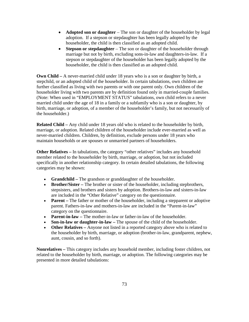- **Adopted son or daughter** The son or daughter of the householder by legal adoption. If a stepson or stepdaughter has been legally adopted by the householder, the child is then classified as an adopted child.
- **Stepson or stepdaughter** The son or daughter of the householder through marriage but not by birth, excluding sons-in-law and daughters-in-law. If a stepson or stepdaughter of the householder has been legally adopted by the householder, the child is then classified as an adopted child.

**Own Child –** A never-married child under 18 years who is a son or daughter by birth, a stepchild, or an adopted child of the householder. In certain tabulations, own children are further classified as living with two parents or with one parent only. Own children of the householder living with two parents are by definition found only in married-couple families. (Note: When used in "EMPLOYMENT STATUS" tabulations, own child refers to a never married child under the age of 18 in a family or a subfamily who is a son or daughter, by birth, marriage, or adoption, of a member of the householder's family, but not necessarily of the householder.)

**Related Child –** Any child under 18 years old who is related to the householder by birth, marriage, or adoption. Related children of the householder include ever-married as well as never-married children. Children, by definition, exclude persons under 18 years who maintain households or are spouses or unmarried partners of householders.

**Other Relatives –** In tabulations, the category "other relatives" includes any household member related to the householder by birth, marriage, or adoption, but not included specifically in another relationship category. In certain detailed tabulations, the following categories may be shown:

- **Grandchild** The grandson or granddaughter of the householder.
- **Brother/Sister** The brother or sister of the householder, including stepbrothers, stepsisters, and brothers and sisters by adoption. Brothers-in-law and sisters-in-law are included in the "Other Relative" category on the questionnaire.
- **Parent** The father or mother of the householder, including a stepparent or adoptive parent. Fathers-in-law and mothers-in-law are included in the "Parent-in-law" category on the questionnaire.
- **Parent-in-law** The mother-in-law or father-in-law of the householder.
- **Son-in-law or daughter-in-law –** The spouse of the child of the householder.
- **Other Relatives** Anyone not listed in a reported category above who is related to the householder by birth, marriage, or adoption (brother-in-law, grandparent, nephew, aunt, cousin, and so forth).

**Nonrelatives –** This category includes any household member, including foster children, not related to the householder by birth, marriage, or adoption. The following categories may be presented in more detailed tabulations: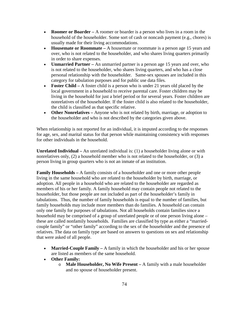- **Roomer or Boarder –** A roomer or boarder is a person who lives in a room in the household of the householder. Some sort of cash or noncash payment (e.g., chores) is usually made for their living accommodations.
- **Housemate or Roommate** A housemate or roommate is a person age 15 years and over, who is not related to the householder, and who shares living quarters primarily in order to share expenses.
- **Unmarried Partner –** An unmarried partner is a person age 15 years and over, who is not related to the householder, who shares living quarters, and who has a close personal relationship with the householder. Same-sex spouses are included in this category for tabulation purposes and for public use data files.
- **Foster Child** A foster child is a person who is under 21 years old placed by the local government in a household to receive parental care. Foster children may be living in the household for just a brief period or for several years. Foster children are nonrelatives of the householder. If the foster child is also related to the householder, the child is classified as that specific relative.
- **Other Nonrelatives –** Anyone who is not related by birth, marriage, or adoption to the householder and who is not described by the categories given above.

When relationship is not reported for an individual, it is imputed according to the responses for age, sex, and marital status for that person while maintaining consistency with responses for other individuals in the household.

**Unrelated Individual –** An unrelated individual is: (1) a householder living alone or with nonrelatives only, (2) a household member who is not related to the householder, or (3) a person living in group quarters who is not an inmate of an institution.

**Family Households** – A family consists of a householder and one or more other people living in the same household who are related to the householder by birth, marriage, or adoption. All people in a household who are related to the householder are regarded as members of his or her family. A family household may contain people not related to the householder, but those people are not included as part of the householder's family in tabulations. Thus, the number of family households is equal to the number of families, but family households may include more members than do families. A household can contain only one family for purposes of tabulations. Not all households contain families since a household may be comprised of a group of unrelated people or of one person living alone – these are called nonfamily households. Families are classified by type as either a "marriedcouple family" or "other family" according to the sex of the householder and the presence of relatives. The data on family type are based on answers to questions on sex and relationship that were asked of all people.

- **Married-Couple Family** A family in which the householder and his or her spouse are listed as members of the same household.
- **Other Family:**
	- o **Male Householder, No Wife Present –** A family with a male householder and no spouse of householder present.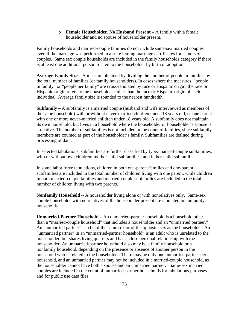o **Female Householder, No Husband Present –** A family with a female householder and no spouse of householder present.

Family households and married-couple families do not include same-sex married couples even if the marriage was performed in a state issuing marriage certificates for same-sex couples. Same sex couple households are included in the family households category if there is at least one additional person related to the householder by birth or adoption.

**Average Family Size –** A measure obtained by dividing the number of people in families by the total number of families (or family householders). In cases where the measures, "people in family" or "people per family" are cross-tabulated by race or Hispanic origin, the race or Hispanic origin refers to the householder rather than the race or Hispanic origin of each individual. Average family size is rounded to the nearest hundredth.

**Subfamily –** A subfamily is a married couple (husband and wife interviewed as members of the same household) with or without never-married children under 18 years old, or one parent with one or more never-married children under 18 years old. A subfamily does not maintain its own household, but lives in a household where the householder or householder's spouse is a relative. The number of subfamilies is not included in the count of families, since subfamily members are counted as part of the householder's family. Subfamilies are defined during processing of data.

In selected tabulations, subfamilies are further classified by type: married-couple subfamilies, with or without own children; mother-child subfamilies; and father-child subfamilies.

In some labor force tabulations, children in both one-parent families and one-parent subfamilies are included in the total number of children living with one parent, while children in both married-couple families and married-couple subfamilies are included in the total number of children living with two parents.

**Nonfamily Household** -- A householder living alone or with nonrelatives only. Same-sex couple households with no relatives of the householder present are tabulated in nonfamily households.

**Unmarried-Partner Household –** An unmarried-partner household is a household other than a "married-couple household" that includes a householder and an "unmarried partner." An "unmarried partner" can be of the same sex or of the opposite sex as the householder. An "unmarried partner" in an "unmarried-partner household" is an adult who is unrelated to the householder, but shares living quarters and has a close personal relationship with the householder. An unmarried-partner household also may be a family household or a nonfamily household, depending on the presence or absence of another person in the household who is related to the householder. There may be only one unmarried partner per household, and an unmarried partner may not be included in a married-couple household, as the householder cannot have both a spouse and an unmarried partner. Same-sex married couples are included in the count of unmarried-partner households for tabulations purposes and for public use data files.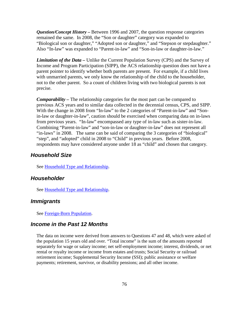*Question/Concept History* **–** Between 1996 and 2007, the question response categories remained the same. In 2008, the "Son or daughter" category was expanded to "Biological son or daughter," "Adopted son or daughter," and "Stepson or stepdaughter." Also "In-law" was expanded to "Parent-in-law" and "Son-in-law or daughter-in-law."

*Limitation of the Data –* Unlike the Current Population Survey (CPS) and the Survey of Income and Program Participation (SIPP), the ACS relationship question does not have a parent pointer to identify whether both parents are present. For example, if a child lives with unmarried parents, we only know the relationship of the child to the householder, not to the other parent. So a count of children living with two biological parents is not precise.

*Comparability –* The relationship categories for the most part can be compared to previous ACS years and to similar data collected in the decennial census, CPS, and SIPP. With the change in 2008 from "In-law" to the 2 categories of "Parent-in-law" and "Sonin-law or daughter-in-law", caution should be exercised when comparing data on in-laws from previous years. "In-law" encompassed any type of in-law such as sister-in-law. Combining "Parent-in-law" and "son-in-law or daughter-in-law" does not represent all "in-laws" in 2008. The same can be said of comparing the 3 categories of "biological" "step", and "adopted" child in 2008 to "Child" in previous years. Before 2008, respondents may have considered anyone under 18 as "child" and chosen that category.

## *Household Size*

See [Household Type and Relationship.](#page-70-0)

## *Householder*

See [Household Type and Relationship.](#page-70-0)

## *Immigrants*

See [Foreign-Born Population.](#page-65-0)

# *Income in the Past 12 Months*

The data on income were derived from answers to Questions 47 and 48, which were asked of the population 15 years old and over. "Total income" is the sum of the amounts reported separately for wage or salary income; net self-employment income; interest, dividends, or net rental or royalty income or income from estates and trusts; Social Security or railroad retirement income; Supplemental Security Income (SSI); public assistance or welfare payments; retirement, survivor, or disability pensions; and all other income.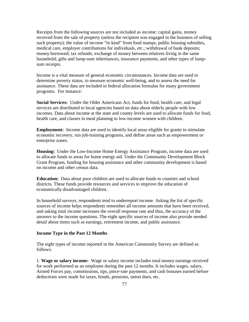Receipts from the following sources are not included as income: capital gains, money received from the sale of property (unless the recipient was engaged in the business of selling such property); the value of income "in kind" from food stamps, public housing subsidies, medical care, employer contributions for individuals, etc.; withdrawal of bank deposits; money borrowed; tax refunds; exchange of money between relatives living in the same household; gifts and lump-sum inheritances, insurance payments, and other types of lumpsum receipts.

Income is a vital measure of general economic circumstances. Income data are used to determine poverty status, to measure economic well-being, and to assess the need for assistance. These data are included in federal allocation formulas for many government programs. For instance:

**Social Services:** Under the Older Americans Act, funds for food, health care, and legal services are distributed to local agencies based on data about elderly people with low incomes. Data about income at the state and county levels are used to allocate funds for food, health care, and classes in meal planning to low-income women with children.

**Employment:** Income data are used to identify local areas eligible for grants to stimulate economic recovery, run job-training programs, and define areas such as empowerment or enterprise zones.

**Housing:** Under the Low-Income Home Energy Assistance Program, income data are used to allocate funds to areas for home energy aid. Under the Community Development Block Grant Program, funding for housing assistance and other community development is based on income and other census data.

**Education:** Data about poor children are used to allocate funds to counties and school districts. These funds provide resources and services to improve the education of economically disadvantaged children.

In household surveys, respondents tend to underreport income. Asking the list of specific sources of income helps respondents remember all income amounts that have been received, and asking total income increases the overall response rate and thus, the accuracy of the answers to the income questions. The eight specific sources of income also provide needed detail about items such as earnings, retirement income, and public assistance.

#### **Income Type in the Past 12 Months**

The eight types of income reported in the American Community Survey are defined as follows:

1. **Wage or salary income:** Wage or salary income includes total money earnings received for work performed as an employee during the past 12 months. It includes wages, salary, Armed Forces pay, commissions, tips, piece-rate payments, and cash bonuses earned before deductions were made for taxes, bonds, pensions, union dues, etc.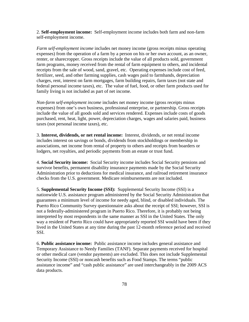2. **Self-employment income:** Self-employment income includes both farm and non-farm self-employment income.

*Farm self-employment income* includes net money income (gross receipts minus operating expenses) from the operation of a farm by a person on his or her own account, as an owner, renter, or sharecropper. Gross receipts include the value of all products sold, government farm programs, money received from the rental of farm equipment to others, and incidental receipts from the sale of wood, sand, gravel, etc. Operating expenses include cost of feed, fertilizer, seed, and other farming supplies, cash wages paid to farmhands, depreciation charges, rent, interest on farm mortgages, farm building repairs, farm taxes (not state and federal personal income taxes), etc. The value of fuel, food, or other farm products used for family living is not included as part of net income.

*Non-farm self-employment income* includes net money income (gross receipts minus expenses) from one's own business, professional enterprise, or partnership. Gross receipts include the value of all goods sold and services rendered. Expenses include costs of goods purchased, rent, heat, light, power, depreciation charges, wages and salaries paid, business taxes (not personal income taxes), etc.

3. **Interest, dividends, or net rental income:** Interest, dividends, or net rental income includes interest on savings or bonds, dividends from stockholdings or membership in associations, net income from rental of property to others and receipts from boarders or lodgers, net royalties, and periodic payments from an estate or trust fund.

4. **Social Security income:** Social Security income includes Social Security pensions and survivor benefits, permanent disability insurance payments made by the Social Security Administration prior to deductions for medical insurance, and railroad retirement insurance checks from the U.S. government. Medicare reimbursements are not included.

5. **Supplemental Security Income (SSI):** Supplemental Security Income (SSI) is a nationwide U.S. assistance program administered by the Social Security Administration that guarantees a minimum level of income for needy aged, blind, or disabled individuals. The Puerto Rico Community Survey questionnaire asks about the receipt of SSI; however, SSI is not a federally-administered program in Puerto Rico. Therefore, it is probably not being interpreted by most respondents in the same manner as SSI in the United States. The only way a resident of Puerto Rico could have appropriately reported SSI would have been if they lived in the United States at any time during the past 12-month reference period and received SSI.

<span id="page-77-0"></span>6. **Public assistance income:** Public assistance income includes general assistance and Temporary Assistance to Needy Families (TANF). Separate payments received for hospital or other medical care (vendor payments) are excluded. This does not include Supplemental Security Income (SSI) or noncash benefits such as Food Stamps. The terms "public assistance income" and "cash public assistance" are used interchangeably in the 2009 ACS data products.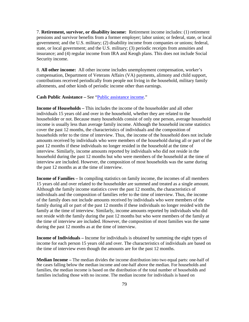7. **Retirement, survivor, or disability income:** Retirement income includes: (1) retirement pensions and survivor benefits from a former employer; labor union; or federal, state, or local government; and the U.S. military; (2) disability income from companies or unions; federal, state, or local government; and the U.S. military; (3) periodic receipts from annuities and insurance; and (4) regular income from IRA and Keogh plans. This does not include Social Security income.

8. **All other income:** All other income includes unemployment compensation, worker's compensation, Department of Veterans Affairs (VA) payments, alimony and child support, contributions received periodically from people not living in the household, military family allotments, and other kinds of periodic income other than earnings.

#### **Cash Public Assistance –** See ["Public assistance income.](#page-77-0)"

**Income of Households –** This includes the income of the householder and all other individuals 15 years old and over in the household, whether they are related to the householder or not. Because many households consist of only one person, average household income is usually less than average family income. Although the household income statistics cover the past 12 months, the characteristics of individuals and the composition of households refer to the time of interview. Thus, the income of the household does not include amounts received by individuals who were members of the household during all or part of the past 12 months if these individuals no longer resided in the household at the time of interview. Similarly, income amounts reported by individuals who did not reside in the household during the past 12 months but who were members of the household at the time of interview are included. However, the composition of most households was the same during the past 12 months as at the time of interview.

**Income of Families –** In compiling statistics on family income, the incomes of all members 15 years old and over related to the householder are summed and treated as a single amount. Although the family income statistics cover the past 12 months, the characteristics of individuals and the composition of families refer to the time of interview. Thus, the income of the family does not include amounts received by individuals who were members of the family during all or part of the past 12 months if these individuals no longer resided with the family at the time of interview. Similarly, income amounts reported by individuals who did not reside with the family during the past 12 months but who were members of the family at the time of interview are included. However, the composition of most families was the same during the past 12 months as at the time of interview.

**Income of Individuals –** Income for individuals is obtained by summing the eight types of income for each person 15 years old and over. The characteristics of individuals are based on the time of interview even though the amounts are for the past 12 months.

**Median Income –** The median divides the income distribution into two equal parts: one-half of the cases falling below the median income and one-half above the median. For households and families, the median income is based on the distribution of the total number of households and families including those with no income. The median income for individuals is based on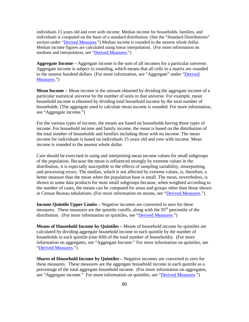individuals 15 years old and over with income. Median income for households, families, and individuals is computed on the basis of a standard distribution. (See the "Standard Distributions" section under ["Derived Measures.](#page-124-0)") Median income is rounded to the nearest whole dollar. Median income figures are calculated using linear interpolation. (For more information on medians and interpolation, see ["Derived Measures.](#page-124-0)")

**Aggregate Income –** Aggregate income is the sum of all incomes for a particular universe. Aggregate income is subject to rounding, which means that all cells in a matrix are rounded to the nearest hundred dollars. (For more information, see "Aggregate" under ["Derived](#page-124-0)  [Measures.](#page-124-0)")

**Mean Income –** Mean income is the amount obtained by dividing the aggregate income of a particular statistical universe by the number of units in that universe. For example, mean household income is obtained by dividing total household income by the total number of households. (The aggregate used to calculate mean income is rounded. For more information, see "Aggregate income.")

For the various types of income, the means are based on households having those types of income. For household income and family income, the mean is based on the distribution of the total number of households and families including those with no income. The mean income for individuals is based on individuals 15 years old and over with income. Mean income is rounded to the nearest whole dollar.

Care should be exercised in using and interpreting mean income values for small subgroups of the population. Because the mean is influenced strongly by extreme values in the distribution, it is especially susceptible to the effects of sampling variability, misreporting, and processing errors. The median, which is not affected by extreme values, is, therefore, a better measure than the mean when the population base is small. The mean, nevertheless, is shown in some data products for most small subgroups because, when weighted according to the number of cases, the means can be computed for areas and groups other than those shown in Census Bureau tabulations. (For more information on means, see ["Derived Measures.](#page-124-0)")

**Income Quintile Upper Limits –** Negative incomes are converted to zero for these measures. These measures are the quintile cutoffs, along with the 95<sup>th</sup> percentile of the distribution. (For more information on quintiles, see ["Derived Measures.](#page-124-0)")

**Means of Household Income by Quintiles –** Means of household income by quintiles are calculated by dividing aggregate household income in each quintile by the number of households in each quintile (one-fifth of the total number of households). (For more information on aggregates, see "Aggregate Income." For more information on quintiles, see ["Derived Measures.](#page-124-0)")

**Shares of Household Income by Quintiles –** Negative incomes are converted to zero for these measures. These measures are the aggregate household income in each quintile as a percentage of the total aggregate household income. (For more information on aggregates, see "Aggregate income." For more information on quintiles, see ["Derived Measures.](#page-124-0)")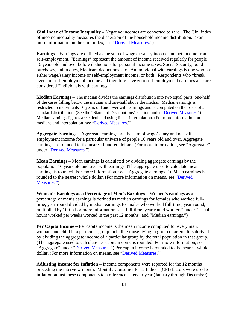**Gini Index of Income Inequality –** Negative incomes are converted to zero. The Gini index of income inequality measures the dispersion of the household income distribution. (For more information on the Gini index, see ["Derived Measures.](#page-124-0)")

**Earnings –** Earnings are defined as the sum of wage or salary income and net income from self-employment. "Earnings" represent the amount of income received regularly for people 16 years old and over before deductions for personal income taxes, Social Security, bond purchases, union dues, Medicare deductions, etc. An individual with earnings is one who has either wage/salary income or self-employment income, or both. Respondents who "break even" in self-employment income and therefore have zero self-employment earnings also are considered "individuals with earnings."

**Median Earnings –** The median divides the earnings distribution into two equal parts: one-half of the cases falling below the median and one-half above the median. Median earnings is restricted to individuals 16 years old and over with earnings and is computed on the basis of a standard distribution. (See the "Standard Distributions" section under ["Derived Measures.](#page-124-0)") Median earnings figures are calculated using linear interpolation. (For more information on medians and interpolation, see ["Derived Measures.](#page-124-0)")

**Aggregate Earnings –** Aggregate earnings are the sum of wage/salary and net selfemployment income for a particular universe of people 16 years old and over. Aggregate earnings are rounded to the nearest hundred dollars. (For more information, see "Aggregate" under ["Derived Measures.](#page-124-0)")

**Mean Earnings –** Mean earnings is calculated by dividing aggregate earnings by the population 16 years old and over with earnings. (The aggregate used to calculate mean earnings is rounded. For more information, see ''Aggregate earnings.'') Mean earnings is rounded to the nearest whole dollar. (For more information on means, see ["Derived](#page-124-0)  [Measures.](#page-124-0)")

**Women's Earnings as a Percentage of Men's Earnings –** Women's earnings as a percentage of men's earnings is defined as median earnings for females who worked fulltime, year-round divided by median earnings for males who worked full-time, year-round, multiplied by 100. (For more information see "full-time, year-round workers" under "Usual hours worked per weeks worked in the past 12 months" and "Median earnings.")

**Per Capita Income** – Per capita income is the mean income computed for every man, woman, and child in a particular group including those living in group quarters. It is derived by dividing the aggregate income of a particular group by the total population in that group. (The aggregate used to calculate per capita income is rounded. For more information, see "Aggregate" under ["Derived Measures.](#page-124-0)") Per capita income is rounded to the nearest whole dollar. (For more information on means, see ["Derived Measures.](#page-124-0)")

**Adjusting Income for Inflation –** Income components were reported for the 12 months preceding the interview month. Monthly Consumer Price Indices (CPI) factors were used to inflation-adjust these components to a reference calendar year (January through December).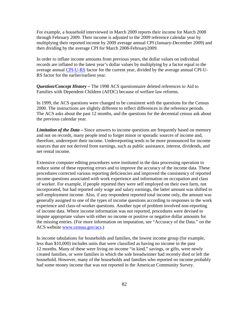For example, a household interviewed in March 2009 reports their income for March 2008 through February 2009. Their income is adjusted to the 2009 reference calendar year by multiplying their reported income by 2009 average annual CPI (January-December 2009) and then dividing by the average CPI for March 2008-February2009.

In order to inflate income amounts from previous years, the dollar values on individual records are inflated to the latest year's dollar values by multiplying by a factor equal to the average annual [CPI-U-RS](http://www.census.gov/hhes/www/poverty/altpovest03/cpi_u_cpi_u_rs.html) factor for the current year, divided by the average annual CPI-U-RS factor for the earlier/earliest year.

*Question/Concept History –* The 1998 ACS questionnaire deleted references to Aid to Families with Dependent Children (AFDC) because of welfare law reforms.

In 1999, the ACS questions were changed to be consistent with the questions for the Census 2000. The instructions are slightly different to reflect differences in the reference periods. The ACS asks about the past 12 months, and the questions for the decennial census ask about the previous calendar year.

*Limitation of the Data* – Since answers to income questions are frequently based on memory and not on records, many people tend to forget minor or sporadic sources of income and, therefore, underreport their income. Underreporting tends to be more pronounced for income sources that are not derived from earnings, such as public assistance, interest, dividends, and net rental income.

Extensive computer editing procedures were instituted in the data processing operation to reduce some of these reporting errors and to improve the accuracy of the income data. These procedures corrected various reporting deficiencies and improved the consistency of reported income questions associated with work experience and information on occupation and class of worker. For example, if people reported they were self employed on their own farm, not incorporated, but had reported only wage and salary earnings, the latter amount was shifted to self-employment income. Also, if any respondent reported total income only, the amount was generally assigned to one of the types of income questions according to responses to the work experience and class-of-worker questions. Another type of problem involved non-reporting of income data. Where income information was not reported, procedures were devised to impute appropriate values with either no income or positive or negative dollar amounts for the missing entries. (For more information on imputation, see "Accuracy of the Data." on the ACS website www.census.gov/acs.)

In income tabulations for households and families, the lowest income group (for example, less than \$10,000) includes units that were classified as having no income in the past 12 months. Many of these were living on income "in kind," savings, or gifts, were newly created families, or were families in which the sole breadwinner had recently died or left the household. However, many of the households and families who reported no income probably had some money income that was not reported in the American Community Survey.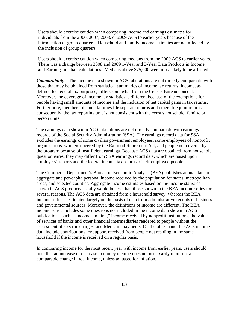Users should exercise caution when comparing income and earnings estimates for individuals from the 2006, 2007, 2008, or 2009 ACS to earlier years because of the introduction of group quarters. Household and family income estimates are not affected by the inclusion of group quarters.

Users should exercise caution when comparing medians from the 2009 ACS to earlier years. There was a change between 2008 and 2009 1-Year and 3-Year Data Products in Income and Earnings median calculations. Medians above \$75,000 were most likely to be affected.

*Comparability* – The income data shown in ACS tabulations are not directly comparable with those that may be obtained from statistical summaries of income tax returns. Income, as defined for federal tax purposes, differs somewhat from the Census Bureau concept. Moreover, the coverage of income tax statistics is different because of the exemptions for people having small amounts of income and the inclusion of net capital gains in tax returns. Furthermore, members of some families file separate returns and others file joint returns; consequently, the tax reporting unit is not consistent with the census household, family, or person units.

The earnings data shown in ACS tabulations are not directly comparable with earnings records of the Social Security Administration (SSA). The earnings record data for SSA excludes the earnings of some civilian government employees, some employees of nonprofit organizations, workers covered by the Railroad Retirement Act, and people not covered by the program because of insufficient earnings. Because ACS data are obtained from household questionnaires, they may differ from SSA earnings record data, which are based upon employers' reports and the federal income tax returns of self-employed people.

The Commerce Department's Bureau of Economic Analysis (BEA) publishes annual data on aggregate and per-capita personal income received by the population for states, metropolitan areas, and selected counties. Aggregate income estimates based on the income statistics shown in ACS products usually would be less than those shown in the BEA income series for several reasons. The ACS data are obtained from a household survey, whereas the BEA income series is estimated largely on the basis of data from administrative records of business and governmental sources. Moreover, the definitions of income are different. The BEA income series includes some questions not included in the income data shown in ACS publications, such as income "in kind," income received by nonprofit institutions, the value of services of banks and other financial intermediaries rendered to people without the assessment of specific charges, and Medicare payments. On the other hand, the ACS income data include contributions for support received from people not residing in the same household if the income is received on a regular basis.

In comparing income for the most recent year with income from earlier years, users should note that an increase or decrease in money income does not necessarily represent a comparable change in real income, unless adjusted for inflation.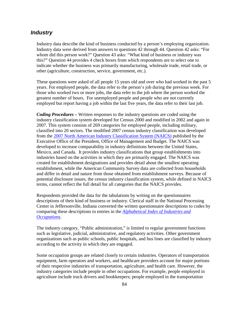## <span id="page-83-0"></span>*Industry*

Industry data describe the kind of business conducted by a person's employing organization. Industry data were derived from answers to questions 42 through 44. Question 42 asks: "For whom did this person work?" Question 43 asks: "What kind of business or industry was this?" Question 44 provides 4 check boxes from which respondents are to select one to indicate whether the business was primarily manufacturing, wholesale trade, retail trade, or other (agriculture, construction, service, government, etc.).

These questions were asked of all people 15 years old and over who had worked in the past 5 years. For employed people, the data refer to the person's job during the previous week. For those who worked two or more jobs, the data refer to the job where the person worked the greatest number of hours. For unemployed people and people who are not currently employed but report having a job within the last five years, the data refer to their last job.

*Coding Procedures –* Written responses to the industry questions are coded using the industry classification system developed for Census 2000 and modified in 2002 and again in 2007. This system consists of 269 categories for employed people, including military, classified into 20 sectors. The modified 2007 census industry classification was developed from the [2007 North American Industry Classification System \(NAICS\)](http://www.census.gov/naics) published by the Executive Office of the President, Office of Management and Budget. The NAICS was developed to increase comparability in industry definitions between the United States, Mexico, and Canada. It provides industry classifications that group establishments into industries based on the activities in which they are primarily engaged. The NAICS was created for establishment designations and provides detail about the smallest operating establishment, while the American Community Survey data are collected from households and differ in detail and nature from those obtained from establishment surveys. Because of potential disclosure issues, the census industry classification system, while defined in NAICS terms, cannot reflect the full detail for all categories that the NAICS provides.

Respondents provided the data for the tabulations by writing on the questionnaires descriptions of their kind of business or industry. Clerical staff in the National Processing Center in Jeffersonville, Indiana converted the written questionnaire descriptions to codes by comparing these descriptions to entries in the *[Alphabetical Index of Industries and](http://www.census.gov/hhes/www/ioindex/ioindex02/view02.html)  [Occupations](http://www.census.gov/hhes/www/ioindex/ioindex02/view02.html)*.

The industry category, "Public administration," is limited to regular government functions such as legislative, judicial, administrative, and regulatory activities. Other government organizations such as public schools, public hospitals, and bus lines are classified by industry according to the activity in which they are engaged.

Some occupation groups are related closely to certain industries. Operators of transportation equipment, farm operators and workers, and healthcare providers account for major portions of their respective industries of transportation, agriculture, and health care. However, the industry categories include people in other occupations. For example, people employed in agriculture include truck drivers and bookkeepers; people employed in the transportation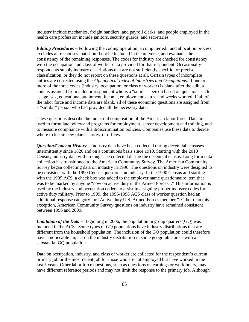industry include mechanics, freight handlers, and payroll clerks; and people employed in the health care profession include janitors, security guards, and secretaries.

*Editing Procedures –* Following the coding operation, a computer edit and allocation process excludes all responses that should not be included in the universe, and evaluates the consistency of the remaining responses. The codes for industry are checked for consistency with the occupation and class of worker data provided for that respondent. Occasionally respondents supply industry descriptions that are not sufficiently specific for precise classification, or they do not report on these questions at all. Certain types of incomplete entries are corrected using the *Alphabetical Index of Industries and Occupations*. If one or more of the three codes (industry, occupation, or class of worker) is blank after the edit, a code is assigned from a donor respondent who is a "similar" person based on questions such as age, sex, educational attainment, income, employment status, and weeks worked. If all of the labor force and income data are blank, all of these economic questions are assigned from a "similar" person who had provided all the necessary data.

These questions describe the industrial composition of the American labor force. Data are used to formulate policy and programs for employment, career development and training, and to measure compliance with antidiscrimination policies. Companies use these data to decide where to locate new plants, stores, or offices.

*Question/Concept History –* Industry data have been collected during decennial censuses intermittently since 1820 and on a continuous basis since 1910. Starting with the 2010 Census, industry data will no longer be collected during the decennial census. Long form data collection has transitioned to the American Community Survey. The American Community Survey began collecting data on industry in 1996. The questions on industry were designed to be consistent with the 1990 Census questions on industry. In the 1990 Census and starting with the 1999 ACS, a check box was added to the employer name questionnaire item that was to be marked by anyone "now on active duty in the Armed Forces..." This information is used by the industry and occupation coders to assist in assigning proper industry codes for active duty military. Prior to 1999, the 1996-1998 ACS class of worker question had an additional response category for "Active duty U.S. Armed Forces member." Other than this exception, American Community Survey questions on industry have remained consistent between 1996 and 2009.

*Limitation of the Data* – Beginning in 2006, the population in group quarters (GQ) was included in the ACS. Some types of GQ populations have industry distributions that are different from the household population. The inclusion of the GQ population could therefore have a noticeable impact on the industry distribution in some geographic areas with a substantial GQ population.

Data on occupation, industry, and class of worker are collected for the respondent's current primary job or the most recent job for those who are not employed but have worked in the last 5 years. Other labor force questions, such as questions on earnings or work hours, may have different reference periods and may not limit the response to the primary job. Although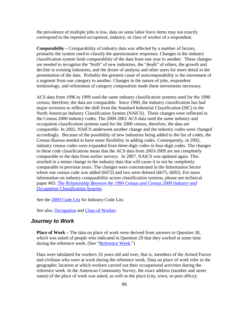the prevalence of multiple jobs is low, data on some labor force items may not exactly correspond to the reported occupation, industry, or class of worker of a respondent.

*Comparability –* Comparability of industry data was affected by a number of factors, primarily the system used to classify the questionnaire responses. Changes in the industry classification system limit comparability of the data from one year to another. These changes are needed to recognize the "birth" of new industries, the "death" of others, the growth and decline in existing industries, and the desire of analysts and other users for more detail in the presentation of the data. Probably the greatest cause of noncomparability is the movement of a segment from one category to another. Changes in the nature of jobs, respondent terminology, and refinement of category composition made these movements necessary.

ACS data from 1996 to 1999 used the same industry classification systems used for the 1990 census; therefore, the data are comparable. Since 1990, the industry classification has had major revisions to reflect the shift from the Standard Industrial Classification (SIC) to the North American Industry Classification System (NAICS). These changes were reflected in the Census 2000 industry codes. The 2000-2002 ACS data used the same industry and occupation classification systems used for the 2000 census, therefore, the data are comparable. In 2002, NAICS underwent another change and the industry codes were changed accordingly. Because of the possibility of new industries being added to the list of codes, the Census Bureau needed to have more flexibility in adding codes. Consequently, in 2002, industry census codes were expanded from three-digit codes to four-digit codes. The changes to these code classifications mean that the ACS data from 2003-2009 are not completely comparable to the data from earlier surveys. In 2007, NAICS was updated again. This resulted in a minor change in the industry data that will cause it to not be completely comparable to previous years. The changes were concentrated in the Information Sector where one census code was added (6672) and two were deleted (6675, 6692). For more information on industry comparability across classification systems, please see technical paper #65: *[The Relationship Between the 1990 Census and Census 2000 Industry and](http://www.census.gov/hhes/www/ioindex/pdfio/techpaper2000.pdf)  [Occupation Classification Systems.](http://www.census.gov/hhes/www/ioindex/pdfio/techpaper2000.pdf)*

See the [2009 Code List](http://www.census.gov/acs/www/Downloads/data_documentation/CodeLists/2009_ACS_Code_Lists.pdf) for Industry Code List.

See also, [Occupation](#page-95-0) and [Class of Worker.](#page-52-0)

### <span id="page-85-0"></span>*Journey to Work*

**Place of Work –** The data on place of work were derived from answers to Question 30, which was asked of people who indicated in Question 29 that they worked at some time during the reference week. (See ["Reference Week.](#page-109-0)")

Data were tabulated for workers 16 years old and over, that is, members of the Armed Forces and civilians who were at work during the reference week. Data on place of work refer to the geographic location at which workers carried out their occupational activities during the reference week. In the American Community Survey, the exact address (number and street name) of the place of work was asked, as well as the place (city, town, or post office);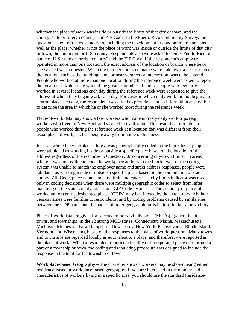whether the place of work was inside or outside the limits of that city or town; and the county, state or foreign country, and ZIP Code. In the Puerto Rico Community Survey, the question asked for the exact address, including the development or condominium name, as well as the place; whether or not the place of work was inside or outside the limits of that city or town; the municipio or U.S. county. Respondents also were asked to "enter Puerto Rico or name of U.S. state or foreign country" and the ZIP Code. If the respondent's employer operated in more than one location, the exact address of the location or branch where he or she worked was requested. When the number and street name were unknown, a description of the location, such as the building name or nearest street or intersection, was to be entered. People who worked at more than one location during the reference week were asked to report the location at which they worked the greatest number of hours. People who regularly worked in several locations each day during the reference week were requested to give the address at which they began work each day. For cases in which daily work did not begin at a central place each day, the respondent was asked to provide as much information as possible to describe the area in which he or she worked most during the reference week.

Place-of-work data may show a few workers who made unlikely daily work trips (e.g., workers who lived in New York and worked in California). This result is attributable to people who worked during the reference week at a location that was different from their usual place of work, such as people away from home on business.

In areas where the workplace address was geographically coded to the block level, people were tabulated as working inside or outside a specific place based on the location of that address regardless of the response to Question 30c concerning city/town limits. In areas where it was impossible to code the workplace address to the block level, or the coding system was unable to match the employer name and street address responses, people were tabulated as working inside or outside a specific place based on the combination of state, county, ZIP Code, place name, and city limits indicator. The city limits indicator was used only in coding decisions when there were multiple geographic codes to select from, after matching on the state, county, place, and ZIP Code responses. The accuracy of place-ofwork data for census designated places (CDPs) may be affected by the extent to which their census names were familiar to respondents, and by coding problems caused by similarities between the CDP name and the names of other geographic jurisdictions in the same vicinity.

Place-of-work data are given for selected minor civil divisions (MCDs), (generally cities, towns, and townships) in the 12 strong MCD states (Connecticut, Maine, Massachusetts, Michigan, Minnesota, New Hampshire, New Jersey, New York, Pennsylvania, Rhode Island, Vermont, and Wisconsin), based on the responses to the place of work question. Many towns and townships are regarded locally as equivalent to a place, and therefore, were reported as the place of work. When a respondent reported a locality or incorporated place that formed a part of a township or town, the coding and tabulating procedure was designed to include the response in the total for the township or town.

**Workplace-based Geography –** The characteristics of workers may be shown using either residence-based or workplace-based geography. If you are interested in the number and characteristics of workers living in a specific area, you should use the standard (residence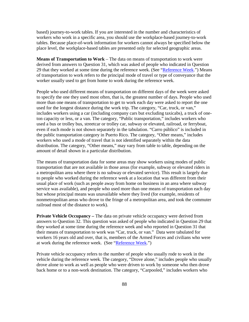based) journey-to-work tables. If you are interested in the number and characteristics of workers who work in a specific area, you should use the workplace-based journey-to-work tables. Because place-of-work information for workers cannot always be specified below the place level, the workplace-based tables are presented only for selected geographic areas.

**Means of Transportation to Work** – The data on means of transportation to work were derived from answers to Question 31, which was asked of people who indicated in Question 29 that they worked at some time during the reference week. (See ["Reference Week.](#page-109-0)") Means of transportation to work refers to the principal mode of travel or type of conveyance that the worker usually used to get from home to work during the reference week.

People who used different means of transportation on different days of the week were asked to specify the one they used most often, that is, the greatest number of days. People who used more than one means of transportation to get to work each day were asked to report the one used for the longest distance during the work trip. The category, "Car, truck, or van," includes workers using a car (including company cars but excluding taxicabs), a truck of oneton capacity or less, or a van. The category, "Public transportation," includes workers who used a bus or trolley bus, streetcar or trolley car, subway or elevated, railroad, or ferryboat, even if each mode is not shown separately in the tabulation. "Carro público" is included in the public transportation category in Puerto Rico. The category, "Other means," includes workers who used a mode of travel that is not identified separately within the data distribution. The category, "Other means," may vary from table to table, depending on the amount of detail shown in a particular distribution.

The means of transportation data for some areas may show workers using modes of public transportation that are not available in those areas (for example, subway or elevated riders in a metropolitan area where there is no subway or elevated service). This result is largely due to people who worked during the reference week at a location that was different from their usual place of work (such as people away from home on business in an area where subway service was available), and people who used more than one means of transportation each day but whose principal means was unavailable where they lived (for example, residents of nonmetropolitan areas who drove to the fringe of a metropolitan area, and took the commuter railroad most of the distance to work).

**Private Vehicle Occupancy –** The data on private vehicle occupancy were derived from answers to Question 32. This question was asked of people who indicated in Question 29 that they worked at some time during the reference week and who reported in Question 31 that their means of transportation to work was "Car, truck, or van." Data were tabulated for workers 16 years old and over, that is, members of the Armed Forces and civilians who were at work during the reference week. (See ["Reference Week.](#page-109-0)")

Private vehicle occupancy refers to the number of people who usually rode to work in the vehicle during the reference week. The category, "Drove alone," includes people who usually drove alone to work as well as people who were driven to work by someone who then drove back home or to a non-work destination. The category, "Carpooled," includes workers who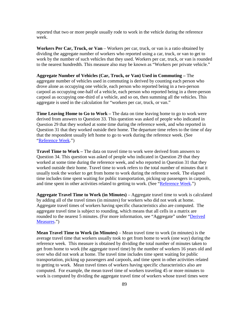reported that two or more people usually rode to work in the vehicle during the reference week.

**Workers Per Car, Truck, or Van** – Workers per car, truck, or van is a ratio obtained by dividing the aggregate number of workers who reported using a car, truck, or van to get to work by the number of such vehicles that they used. Workers per car, truck, or van is rounded to the nearest hundredth. This measure also may be known as "Workers per private vehicle."

**Aggregate Number of Vehicles (Car, Truck, or Van) Used in Commuting –** The aggregate number of vehicles used in commuting is derived by counting each person who drove alone as occupying one vehicle, each person who reported being in a two-person carpool as occupying one-half of a vehicle, each person who reported being in a three-person carpool as occupying one-third of a vehicle, and so on, then summing all the vehicles. This aggregate is used in the calculation for "workers per car, truck, or van."

<span id="page-88-0"></span>**Time Leaving Home to Go to Work –** The data on time leaving home to go to work were derived from answers to Question 33. This question was asked of people who indicated in Question 29 that they worked at some time during the reference week, and who reported in Question 31 that they worked outside their home. The departure time refers to the time of day that the respondent usually left home to go to work during the reference week. (See ["Reference Week.](#page-109-0)")

<span id="page-88-1"></span>**Travel Time to Work –** The data on travel time to work were derived from answers to Question 34. This question was asked of people who indicated in Question 29 that they worked at some time during the reference week, and who reported in Question 31 that they worked outside their home. Travel time to work refers to the total number of minutes that it usually took the worker to get from home to work during the reference week. The elapsed time includes time spent waiting for public transportation, picking up passengers in carpools, and time spent in other activities related to getting to work. (See ["Reference Week.](#page-109-0)")

**Aggregate Travel Time to Work (in Minutes)** – Aggregate travel time to work is calculated by adding all of the travel times (in minutes) for workers who did not work at home. Aggregate travel times of workers having specific characteristics also are computed. The aggregate travel time is subject to rounding, which means that all cells in a matrix are rounded to the nearest 5 minutes. (For more information, see "Aggregate" under ["Derived](#page-124-0)  [Measures.](#page-124-0)")

**Mean Travel Time to Work (in Minutes)** – Mean travel time to work (in minutes) is the average travel time that workers usually took to get from home to work (one way) during the reference week. This measure is obtained by dividing the total number of minutes taken to get from home to work (the aggregate travel time) by the number of workers 16 years old and over who did not work at home. The travel time includes time spent waiting for public transportation, picking up passengers and carpools, and time spent in other activities related to getting to work. Mean travel times of workers having specific characteristics also are computed. For example, the mean travel time of workers traveling 45 or more minutes to work is computed by dividing the aggregate travel time of workers whose travel times were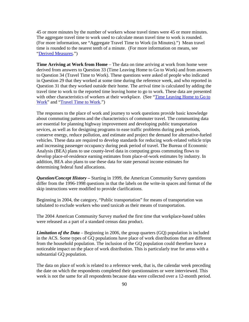45 or more minutes by the number of workers whose travel times were 45 or more minutes. The aggregate travel time to work used to calculate mean travel time to work is rounded. (For more information, see "Aggregate Travel Time to Work (in Minutes).") Mean travel time is rounded to the nearest tenth of a minute. (For more information on means, see ["Derived Measures.](#page-124-0)")

**Time Arriving at Work from Home** – The data on time arriving at work from home were derived from answers to Question 33 (Time Leaving Home to Go to Work) and from answers to Question 34 (Travel Time to Work). These questions were asked of people who indicated in Question 29 that they worked at some time during the reference week, and who reported in Question 31 that they worked outside their home. The arrival time is calculated by adding the travel time to work to the reported time leaving home to go to work. These data are presented with other characteristics of workers at their workplace. (See "Time Leaving Home to Go to [Work"](#page-88-0) and ["Travel Time to Work.](#page-88-1)")

The responses to the place of work and journey to work questions provide basic knowledge about commuting patterns and the characteristics of commuter travel. The communting data are essential for planning highway improvement and developing public transportation sevices, as well as for designing programs to ease traffic problems during peak periods, conserve energy, reduce pollution, and estimate and project the demand for alternative-fueled vehicles. These data are required to develop standards for reducing work-related vehicle trips and increasing passenger occupancy during peak period of travel. The Bureau of Economic Analysis (BEA) plans to use county-level data in computing gross commuting flows to develop place-of-residence earning estimates from place-of-work estimates by industry. In addition, BEA also plans to use these data for state personal income estimates for determining federal fund allocations.

*Question/Concept History –* Starting in 1999, the American Community Survey questions differ from the 1996-1998 questions in that the labels on the write-in spaces and format of the skip instructions were modified to provide clarifications.

Beginning in 2004, the category, "Public transportation" for means of transportation was tabulated to exclude workers who used taxicab as their means of transportation.

The 2004 American Community Survey marked the first time that workplace-based tables were released as a part of a standard census data product.

*Limitation of the Data* – Beginning in 2006, the group quarters (GQ) population is included in the ACS. Some types of GQ populations have place of work distributions that are different from the household population. The inclusion of the GQ population could therefore have a noticeable impact on the place of work distribution. This is particularly true for areas with a substantial GQ population.

The data on place of work is related to a reference week, that is, the calendar week preceding the date on which the respondents completed their questionnaires or were interviewed. This week is not the same for all respondents because data were collected over a 12-month period.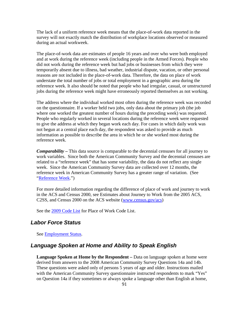The lack of a uniform reference week means that the place-of-work data reported in the survey will not exactly match the distribution of workplace locations observed or measured during an actual workweek.

The place-of-work data are estimates of people 16 years and over who were both employed and at work during the reference week (including people in the Armed Forces). People who did not work during the reference week but had jobs or businesses from which they were temporarily absent due to illness, bad weather, industrial dispute, vacation, or other personal reasons are not included in the place-of-work data. Therefore, the data on place of work understate the total number of jobs or total employment in a geographic area during the reference week. It also should be noted that people who had irregular, casual, or unstructured jobs during the reference week might have erroneously reported themselves as not working.

The address where the individual worked most often during the reference week was recorded on the questionnaire. If a worker held two jobs, only data about the primary job (the job where one worked the greatest number of hours during the preceding week) was requested. People who regularly worked in several locations during the reference week were requested to give the address at which they began work each day. For cases in which daily work was not begun at a central place each day, the respondent was asked to provide as much information as possible to describe the area in which he or she worked most during the reference week.

*Comparability* **–** This data source is comparable to the decennial censuses for all journey to work variables. Since both the American Community Survey and the decennial censuses are related to a "reference week" that has some variability, the data do not reflect any single week. Since the American Community Survey data are collected over 12 months, the reference week in American Community Survey has a greater range of variation. (See ["Reference Week.](#page-109-0)")

For more detailed information regarding the difference of place of work and journey to work in the ACS and Census 2000, see Estimates about Journey to Work from the 2005 ACS, C2SS, and Census 2000 on the ACS website (www.census.gov/acs)

See the [2009 Code List](http://www.census.gov/acs/www/Downloads/data_documentation/CodeLists/2009_ACS_Code_Lists.pdf) for Place of Work Code List.

## *Labor Force Status*

See [Employment Status.](#page-59-0)

## *Language Spoken at Home and Ability to Speak English*

**Language Spoken at Home by the Respondent –** Data on language spoken at home were derived from answers to the 2008 American Community Survey Questions 14a and 14b. These questions were asked only of persons 5 years of age and older. Instructions mailed with the American Community Survey questionnaire instructed respondents to mark "Yes" on Question 14a if they sometimes or always spoke a language other than English at home,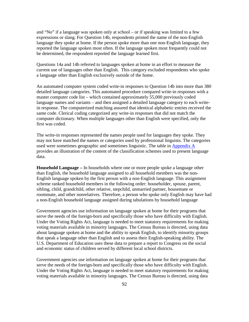and "No" if a language was spoken only at school – or if speaking was limited to a few expressions or slang. For Question 14b, respondents printed the name of the non-English language they spoke at home. If the person spoke more than one non-English language, they reported the language spoken most often. If the language spoken most frequently could not be determined, the respondent reported the language learned first.

Questions 14a and 14b referred to languages spoken at home in an effort to measure the current use of languages other than English. This category excluded respondents who spoke a language other than English exclusively outside of the home.

An automated computer system coded write-in responses to Question 14b into more than 380 detailed language categories. This automated procedure compared write-in responses with a master computer code list – which contained approximately 55,000 previously coded language names and variants – and then assigned a detailed language category to each writein response. The computerized matching assured that identical alphabetic entries received the same code. Clerical coding categorized any write-in responses that did not match the computer dictionary. When multiple languages other than English were specified, only the first was coded.

The write-in responses represented the names people used for languages they spoke. They may not have matched the names or categories used by professional linguists. The categories used were sometimes geographic and sometimes linguistic. The table in [Appendix A](#page-131-0) provides an illustration of the content of the classification schemes used to present language data.

**Household Language –** In households where one or more people spoke a language other than English, the household language assigned to all household members was the non-English language spoken by the first person with a non-English language. This assignment scheme ranked household members in the following order: householder, spouse, parent, sibling, child, grandchild, other relative, stepchild, unmarried partner, housemate or roommate, and other nonrelatives. Therefore, a person who spoke only English may have had a non-English household language assigned during tabulations by household language

Government agencies use information on language spoken at home for their programs that serve the needs of the foreign-born and specifically those who have difficulty with English. Under the Voting Rights Act, language is needed to meet statutory requirements for making voting materials available in minority languages. The Census Bureau is directed, using data about language spoken at home and the ability to speak English, to identify minority groups that speak a language other than English and to assess their English-speaking ability. The U.S. Department of Education uses these data to prepare a report to Congress on the social and economic status of children served by different local school districts.

Government agencies use information on language spoken at home for their programs that serve the needs of the foreign-born and specifically those who have difficulty with English. Under the Voting Rights Act, language is needed to meet statutory requirements for making voting materials available in minority languages. The Census Bureau is directed, using data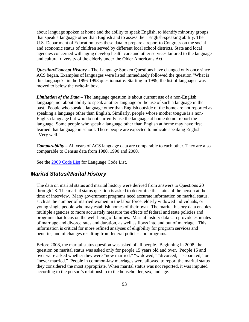about language spoken at home and the ability to speak English, to identify minority groups that speak a language other than English and to assess their English-speaking ability. The U.S. Department of Education uses these data to prepare a report to Congress on the social and economic status of children served by different local school districts. State and local agencies concerned with aging develop health care and other services tailored to the language and cultural diversity of the elderly under the Older Americans Act.

*Question/Concept History* – The Language Spoken Questions have changed only once since ACS began. Examples of languages were listed immediately followed the question "What is this language?" in the 1996-1998 questionnaire. Starting in 1999, the list of languages was moved to below the write-in box.

*Limitation of the Data –* The language question is about current use of a non-English language, not about ability to speak another language or the use of such a language in the past. People who speak a language other than English outside of the home are not reported as speaking a language other than English. Similarly, people whose mother tongue is a non-English language but who do not currently use the language at home do not report the language. Some people who speak a language other than English at home may have first learned that language in school. These people are expected to indicate speaking English "Very well."

*Comparability –* All years of ACS language data are comparable to each other. They are also comparable to Census data from 1980, 1990 and 2000.

See the [2009 Code List](http://www.census.gov/acs/www/Downloads/data_documentation/CodeLists/2009_ACS_Code_Lists.pdf) for Language Code List.

## *Marital Status/Marital History*

The data on marital status and marital history were derived from answers to Questions 20 through 23. The marital status question is asked to determine the status of the person at the time of interview. Many government programs need accurate information on marital status, such as the number of married women in the labor force, elderly widowed individuals, or young single people who may establish homes of their own. The marital history data enables multiple agencies to more accurately measure the effects of federal and state policies and programs that focus on the well-being of families. Marital history data can provide estimates of marriage and divorce rates and duration, as well as flows into and out of marriage. This information is critical for more refined analyses of eligibility for program services and benefits, and of changes resulting from federal policies and programs.

Before 2008, the marital status question was asked of all people. Beginning in 2008, the question on marital status was asked only for people 15 years old and over. People 15 and over were asked whether they were "now married," "widowed," "divorced," "separated," or "never married." People in common-law marriages were allowed to report the marital status they considered the most appropriate. When marital status was not reported, it was imputed according to the person's relationship to the householder, sex, and age.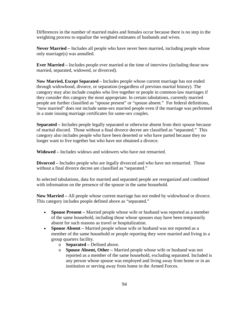Differences in the number of married males and females occur because there is no step in the weighting process to equalize the weighted estimates of husbands and wives.

**Never Married –** Includes all people who have never been married, including people whose only marriage(s) was annulled.

**Ever Married –** Includes people ever married at the time of interview (including those now married, separated, widowed, or divorced).

**Now Married, Except Separated –** Includes people whose current marriage has not ended through widowhood, divorce, or separation (regardless of previous marital history). The category may also include couples who live together or people in common-law marriages if they consider this category the most appropriate. In certain tabulations, currently married people are further classified as "spouse present" or "spouse absent." For federal definitions, "now married" does not include same-sex married people even if the marriage was performed in a state issuing marriage certificates for same-sex couples.

**Separated –** Includes people legally separated or otherwise absent from their spouse because of marital discord. Those without a final divorce decree are classified as "separated." This category also includes people who have been deserted or who have parted because they no longer want to live together but who have not obtained a divorce.

**Widowed –** Includes widows and widowers who have not remarried.

**Divorced –** Includes people who are legally divorced and who have not remarried. Those without a final divorce decree are classified as "separated."

In selected tabulations, data for married and separated people are reorganized and combined with information on the presence of the spouse in the same household.

**Now Married –** All people whose current marriage has not ended by widowhood or divorce. This category includes people defined above as "separated."

- **Spouse Present –** Married people whose wife or husband was reported as a member of the same household, including those whose spouses may have been temporarily absent for such reasons as travel or hospitalization.
- **Spouse Absent** Married people whose wife or husband was not reported as a member of the same household or people reporting they were married and living in a group quarters facility.
	- o **Separated –** Defined above.
	- o **Spouse Absent, Other –** Married people whose wife or husband was not reported as a member of the same household, excluding separated. Included is any person whose spouse was employed and living away from home or in an institution or serving away from home in the Armed Forces.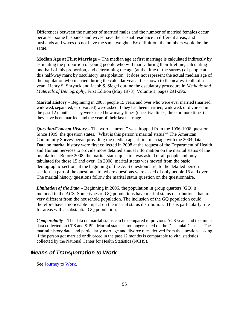Differences between the number of married males and the number of married females occur because: some husbands and wives have their usual residence in different areas; and husbands and wives do not have the same weights. By definition, the numbers would be the same.

**Median Age at First Marriage** – The median age at first marriage is calculated indirectly by estimating the proportion of young people who will marry during their lifetime, calculating one-half of this proportion, and determining the age (at the time of the survey) of people at this half-way mark by osculatory interpolation. It does not represent the actual median age of the population who married during the calendar year. It is shown to the nearest tenth of a year. Henry S. Shryock and Jacob S. Siegel outline the osculatory procedure in *Methods and Materials of Demography*, First Edition (May 1973), Volume 1, pages 291-296.

**Marital History** *–* Beginning in 2008, people 15 years and over who were ever married (married, widowed, separated, or divorced) were asked if they had been married, widowed, or divorced in the past 12 months. They were asked how many times (once, two times, three or more times) they have been married, and the year of their last marriage.

*Question/Concept History – The word "current" was dropped from the 1996-1998 question.* Since 1999, the question states, "What is this person's marital status?" The American Community Survey began providing the median age at first marriage with the 2004 data. Data on marital history were first collected in 2008 at the request of the Department of Health and Human Services to provide more detailed annual information on the marital status of the population. Before 2008, the marital status question was asked of all people and only tabulated for those 15 and over. In 2008, marital status was moved from the basic demographic section, at the beginning of the ACS questionnaire, to the detailed person section - a part of the questionnaire where questions were asked of only people 15 and over. The marital history questions follow the marital status question on the questionnaire.

*Limitation of the Data –* Beginning in 2006, the population in group quarters (GQ) is included in the ACS. Some types of GQ populations have marital status distributions that are very different from the household population. The inclusion of the GQ population could therefore have a noticeable impact on the marital status distribution. This is particularly true for areas with a substantial GQ population.

*Comparability* – The data on marital status can be compared to previous ACS years and to similar data collected on CPS and SIPP. Marital status is no longer asked on the Decennial Census. The marital history data, and particularly marriage and divorce rates derived from the questions asking if the person got married or divorced in the past 12 months is comparable to vital statistics collected by the National Center for Health Statistics (NCHS).

## *Means of Transportation to Work*

See [Journey to Work.](#page-85-0)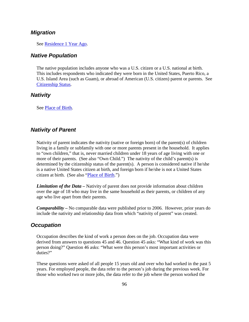## *Migration*

See [Residence 1 Year Ago.](#page-109-1)

## *Native Population*

The native population includes anyone who was a U.S. citizen or a U.S. national at birth. This includes respondents who indicated they were born in the United States, Puerto Rico, a U.S. Island Area (such as Guam), or abroad of American (U.S. citizen) parent or parents. See [Citizenship Status.](#page-50-0)

## *Nativity*

See [Place of Birth.](#page-98-0)

## *Nativity of Parent*

Nativity of parent indicates the nativity (native or foreign born) of the parent(s) of children living in a family or subfamily with one or more parents present in the household. It applies to "own children," that is, never married children under 18 years of age living with one or more of their parents. (See also "Own Child.") The nativity of the child's parent(s) is determined by the citizenship status of the parent(s). A person is considered native if he/she is a native United States citizen at birth, and foreign born if he/she is not a United States citizen at birth. (See also ["Place of Birth.](#page-98-0)")

*Limitation of the Data –* Nativity of parent does not provide information about children over the age of 18 who may live in the same household as their parents, or children of any age who live apart from their parents.

*Comparability –* No comparable data were published prior to 2006. However, prior years do include the nativity and relationship data from which "nativity of parent" was created.

### <span id="page-95-0"></span>*Occupation*

Occupation describes the kind of work a person does on the job. Occupation data were derived from answers to questions 45 and 46. Question 45 asks: "What kind of work was this person doing?" Question 46 asks: "What were this person's most important activities or duties?"

These questions were asked of all people 15 years old and over who had worked in the past 5 years. For employed people, the data refer to the person's job during the previous week. For those who worked two or more jobs, the data refer to the job where the person worked the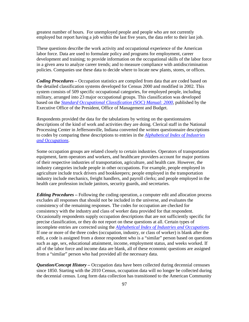greatest number of hours. For unemployed people and people who are not currently employed but report having a job within the last five years, the data refer to their last job.

These questions describe the work activity and occupational experience of the American labor force. Data are used to formulate policy and programs for employment, career development and training; to provide information on the occupational skills of the labor force in a given area to analyze career trends; and to measure compliance with antidiscrimination policies. Companies use these data to decide where to locate new plants, stores, or offices.

*Coding Procedures –* Occupation statistics are compiled from data that are coded based on the detailed classification systems developed for Census 2000 and modified in 2002. This system consists of 509 specific occupational categories, for employed people, including military, arranged into 23 major occupational groups. This classification was developed based on the *[Standard Occupational Classification \(SOC\) Manual: 2000](http://www.bls.gov/soc)*, published by the Executive Office of the President, Office of Management and Budget.

Respondents provided the data for the tabulations by writing on the questionnaires descriptions of the kind of work and activities they are doing. Clerical staff in the National Processing Center in Jeffersonville, Indiana converted the written questionnaire descriptions to codes by comparing these descriptions to entries in the *[Alphabetical Index of Industries](http://www.census.gov/hhes/www/ioindex/ioindex02/view02.html)  [and Occupations](http://www.census.gov/hhes/www/ioindex/ioindex02/view02.html)*.

Some occupation groups are related closely to certain industries. Operators of transportation equipment, farm operators and workers, and healthcare providers account for major portions of their respective industries of transportation, agriculture, and health care. However, the industry categories include people in other occupations. For example, people employed in agriculture include truck drivers and bookkeepers; people employed in the transportation industry include mechanics, freight handlers, and payroll clerks; and people employed in the health care profession include janitors, security guards, and secretaries.

*Editing Procedures –* Following the coding operation, a computer edit and allocation process excludes all responses that should not be included in the universe, and evaluates the consistency of the remaining responses. The codes for occupation are checked for consistency with the industry and class of worker data provided for that respondent. Occasionally respondents supply occupation descriptions that are not sufficiently specific for precise classification, or they do not report on these questions at all. Certain types of incomplete entries are corrected using the *[Alphabetical Index of Industries and Occupations](http://www.census.gov/hhes/www/ioindex/ioindex02/view02.html)*. If one or more of the three codes (occupation, industry, or class of worker) is blank after the edit, a code is assigned from a donor respondent who is a "similar" person based on questions such as age, sex, educational attainment, income, employment status, and weeks worked. If all of the labor force and income data are blank, all of these economic questions are assigned from a "similar" person who had provided all the necessary data.

*Question/Concept History –* Occupation data have been collected during decennial censuses since 1850. Starting with the 2010 Census, occupation data will no longer be collected during the decennial census. Long form data collection has transitioned to the American Community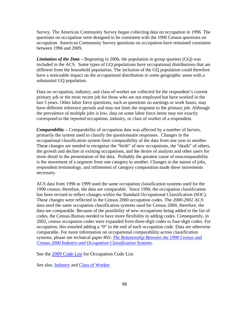Survey. The American Community Survey began collecting data on occupation in 1996. The questions on occupation were designed to be consistent with the 1990 Census questions on occupation. American Community Survey questions on occupation have remained consistent between 1996 and 2009.

*Limitation of the Data* – Beginning in 2006, the population in group quarters (GQ) was included in the ACS. Some types of GQ populations have occupational distributions that are different from the household population. The inclusion of the GQ population could therefore have a noticeable impact on the occupational distribution in some geographic areas with a substantial GQ population.

Data on occupation, industry, and class of worker are collected for the respondent's current primary job or the most recent job for those who are not employed but have worked in the last 5 years. Other labor force questions, such as questions on earnings or work hours, may have different reference periods and may not limit the response to the primary job. Although the prevalence of multiple jobs is low, data on some labor force items may not exactly correspond to the reported occupation, industry, or class of worker of a respondent.

*Comparability –* Comparability of occupation data was affected by a number of factors, primarily the system used to classify the questionnaire responses. Changes in the occupational classification system limit comparability of the data from one year to another. These changes are needed to recognize the "birth" of new occupations, the "death" of others, the growth and decline in existing occupations, and the desire of analysts and other users for more detail in the presentation of the data. Probably the greatest cause of noncomparability is the movement of a segment from one category to another. Changes in the nature of jobs, respondent terminology, and refinement of category composition made these movements necessary.

ACS data from 1996 to 1999 used the same occupation classification systems used for the 1990 census; therefore, the data are comparable. Since 1990, the occupation classification has been revised to reflect changes within the Standard Occupational Classification (SOC). These changes were reflected in the Census 2000 occupation codes. The 2000-2002 ACS data used the same occupation classification systems used for Census 2000, therefore, the data are comparable. Because of the possibility of new occupations being added to the list of codes, the Census Bureau needed to have more flexibility in adding codes. Consequently, in 2002, census occupation codes were expanded from three-digit codes to four-digit codes. For occupation, this entailed adding a "0" to the end of each occupation code. Data are otherwise comparable. For more information on occupational comparability across classification systems, please see technical paper #65: *[The Relationship Between the 1990 Census and](http://www.census.gov/hhes/www/ioindex/pdfio/techpaper2000.pdf)  [Census 2000 Industry and Occupation Classification Systems.](http://www.census.gov/hhes/www/ioindex/pdfio/techpaper2000.pdf)*

See the [2009 Code List](http://www.census.gov/acs/www/Downloads/data_documentation/CodeLists/2009_ACS_Code_Lists.pdf) for Occupation Code List.

See also, [Industry](#page-83-0) and [Class of Worker.](#page-52-0)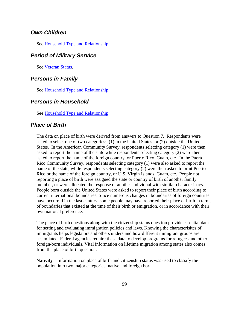## *Own Children*

See [Household Type and Relationship.](#page-70-0)

## *Period of Military Service*

See [Veteran Status.](#page-115-0)

## *Persons in Family*

See [Household Type and Relationship.](#page-70-0)

# *Persons in Household*

See [Household Type and Relationship.](#page-70-0)

# <span id="page-98-0"></span>*Place of Birth*

The data on place of birth were derived from answers to Question 7. Respondents were asked to select one of two categories: (1) in the United States, or (2) outside the United States. In the American Community Survey, respondents selecting category (1) were then asked to report the name of the state while respondents selecting category (2) were then asked to report the name of the foreign country, or Puerto Rico, Guam, etc. In the Puerto Rico Community Survey, respondents selecting category (1) were also asked to report the name of the state, while respondents selecting category (2) were then asked to print Puerto Rico or the name of the foreign country, or U.S. Virgin Islands, Guam, etc. People not reporting a place of birth were assigned the state or country of birth of another family member, or were allocated the response of another individual with similar characteristics. People born outside the United States were asked to report their place of birth according to current international boundaries. Since numerous changes in boundaries of foreign countries have occurred in the last century, some people may have reported their place of birth in terms of boundaries that existed at the time of their birth or emigration, or in accordance with their own national preference.

The place of birth questions along with the citizenship status question provide essential data for setting and evaluating immigration policies and laws. Knowing the characterisitcs of immigrants helps legislators and others understand how different immigrant groups are assimilated. Federal agencies require these data to develop programs for refugees and other foreign-born individuals. Vital information on lifetime migration among states also comes from the place of birth question.

**Nativity –** Information on place of birth and citizenship status was used to classify the population into two major categories: native and foreign born.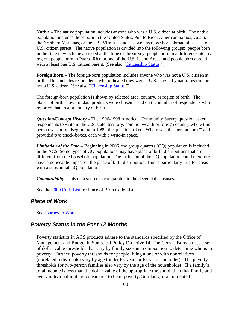**Native –** The native population includes anyone who was a U.S. citizen at birth. The native population includes those born in the United States, Puerto Rico, American Samoa, Guam, the Northern Marianas, or the U.S. Virgin Islands, as well as those born abroad of at least one U.S. citizen parent. The native population is divided into the following groups: people born in the state in which they resided at the time of the survey; people born in a different state, by region; people born in Puerto Rico or one of the U.S. Island Areas; and people born abroad with at least one U.S. citizen parent. (See also ["Citizenship Status.](#page-50-0)")

**Foreign Born –** The foreign-born population includes anyone who was not a U.S. citizen at birth. This includes respondents who indicated they were a U.S. citizen by naturalization or not a U.S. citizen. (See also ["Citizenship Status.](#page-50-0)")

The foreign-born population is shown by selected area, country, or region of birth. The places of birth shown in data products were chosen based on the number of respondents who reported that area or country of birth.

*Question/Concept History* **–** The 1996-1998 American Community Survey question asked respondents to write in the U.S. state, territory, commonwealth or foreign country where this person was born. Beginning in 1999, the question asked "Where was this person born?" and provided two check-boxes, each with a write-in space.

*Limitation of the Data* – Beginning in 2006, the group quarters (GQ) population is included in the ACS. Some types of GQ populations may have place of birth distributions that are different from the household population. The inclusion of the GQ population could therefore have a noticeable impact on the place of birth distribution. This is particularly true for areas with a substantial GQ population.

*Comparability–* This data source is comparable to the decennial censuses.

See the [2009 Code List](http://www.census.gov/acs/www/Downloads/data_documentation/CodeLists/2009_ACS_Code_Lists.pdf) for Place of Birth Code List.

# *Place of Work*

See [Journey to Work.](#page-85-0)

## *Poverty Status in the Past 12 Months*

Poverty statistics in ACS products adhere to the standards specified by the Office of Management and Budget in Statistical Policy Directive 14. The Census Bureau uses a set of dollar value thresholds that vary by family size and composition to determine who is in poverty. Further, poverty thresholds for people living alone or with nonrelatives (unrelated individuals) vary by age (under 65 years or 65 years and older). The poverty thresholds for two-person families also vary by the age of the householder. If a family's total income is less than the dollar value of the appropriate threshold, then that family and every individual in it are considered to be in poverty. Similarly, if an unrelated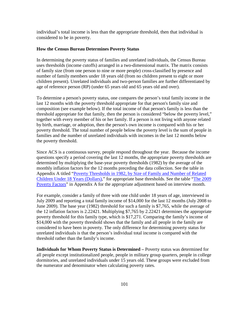individual's total income is less than the appropriate threshold, then that individual is considered to be in poverty.

#### **How the Census Bureau Determines Poverty Status**

In determining the poverty status of families and unrelated individuals, the Census Bureau uses thresholds (income cutoffs) arranged in a two-dimensional matrix. The matrix consists of family size (from one person to nine or more people) cross-classified by presence and number of family members under 18 years old (from no children present to eight or more children present). Unrelated individuals and two-person families are further differentiated by age of reference person (RP) (under 65 years old and 65 years old and over).

To determine a person's poverty status, one compares the person's total family income in the last 12 months with the poverty threshold appropriate for that person's family size and composition (see example below). If the total income of that person's family is less than the threshold appropriate for that family, then the person is considered "below the poverty level," together with every member of his or her family. If a person is not living with anyone related by birth, marriage, or adoption, then the person's own income is compared with his or her poverty threshold. The total number of people below the poverty level is the sum of people in families and the number of unrelated individuals with incomes in the last 12 months below the poverty threshold.

Since ACS is a continuous survey, people respond throughout the year. Because the income questions specify a period covering the last 12 months, the appropriate poverty thresholds are determined by multiplying the base-year poverty thresholds (1982) by the average of the monthly inflation factors for the 12 months preceding the data collection. See the table in Appendix A titled ["Poverty Thresholds in 1982, by Size of Family and Number of Related](#page-134-0)  [Children Under 18 Years \(Dollars\),](#page-134-0)" for appropriate base thresholds. See the table ["The 2009](#page-134-1)  [Poverty Factors"](#page-134-1) in Appendix A for the appropriate adjustment based on interview month.

For example, consider a family of three with one child under 18 years of age, interviewed in July 2009 and reporting a total family income of \$14,000 for the last 12 months (July 2008 to June 2009). The base year (1982) threshold for such a family is \$7,765, while the average of the 12 inflation factors is 2.22421. Multiplying \$7,765 by 2.22421 determines the appropriate poverty threshold for this family type, which is \$17,271. Comparing the family's income of \$14,000 with the poverty threshold shows that the family and all people in the family are considered to have been in poverty. The only difference for determining poverty status for unrelated individuals is that the person's individual total income is compared with the threshold rather than the family's income.

**Individuals for Whom Poverty Status is Determined –** Poverty status was determined for all people except institutionalized people, people in military group quarters, people in college dormitories, and unrelated individuals under 15 years old. These groups were excluded from the numerator and denominator when calculating poverty rates.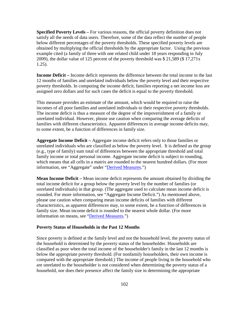**Specified Poverty Levels –** For various reasons, the official poverty definition does not satisfy all the needs of data users. Therefore, some of the data reflect the number of people below different percentages of the poverty thresholds. These specified poverty levels are obtained by multiplying the official thresholds by the appropriate factor. Using the previous example cited (a family of three with one related child under 18 years responding in July 2009), the dollar value of 125 percent of the poverty threshold was \$ 21,589 (\$ 17,271x 1.25).

**Income Deficit –** Income deficit represents the difference between the total income in the last 12 months of families and unrelated individuals below the poverty level and their respective poverty thresholds. In computing the income deficit, families reporting a net income loss are assigned zero dollars and for such cases the deficit is equal to the poverty threshold.

This measure provides an estimate of the amount, which would be required to raise the incomes of all poor families and unrelated individuals to their respective poverty thresholds. The income deficit is thus a measure of the degree of the impoverishment of a family or unrelated individual. However, please use caution when comparing the average deficits of families with different characteristics. Apparent differences in average income deficits may, to some extent, be a function of differences in family size.

**Aggregate Income Deficit –** Aggregate income deficit refers only to those families or unrelated individuals who are classified as below the poverty level. It is defined as the group (e.g., type of family) sum total of differences between the appropriate threshold and total family income or total personal income. Aggregate income deficit is subject to rounding, which means that all cells in a matrix are rounded to the nearest hundred dollars. (For more information, see "Aggregate" under ["Derived Measures.](#page-124-0)")

**Mean Income Deficit –** Mean income deficit represents the amount obtained by dividing the total income deficit for a group below the poverty level by the number of families (or unrelated individuals) in that group. (The aggregate used to calculate mean income deficit is rounded. For more information, see "Aggregate Income Deficit.") As mentioned above, please use caution when comparing mean income deficits of families with different characteristics, as apparent differences may, to some extent, be a function of differences in family size. Mean income deficit is rounded to the nearest whole dollar. (For more information on means, see ["Derived Measures.](#page-124-0)")

#### **Poverty Status of Households in the Past 12 Months**

Since poverty is defined at the family level and not the household level, the poverty status of the household is determined by the poverty status of the householder. Households are classified as poor when the total income of the householder's family in the last 12 months is below the appropriate poverty threshold. (For nonfamily householders, their own income is compared with the appropriate threshold.) The income of people living in the household who are unrelated to the householder is not considered when determining the poverty status of a household, nor does their presence affect the family size in determining the appropriate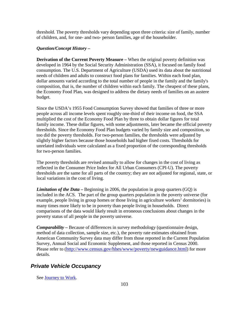threshold. The poverty thresholds vary depending upon three criteria: size of family, number of children, and, for one- and two- person families, age of the householder.

#### *Question/Concept History –*

**Derivation of the Current Poverty Measure –** When the original poverty definition was developed in 1964 by the Social Security Administration (SSA), it focused on family food consumption. The U.S. Department of Agriculture (USDA) used its data about the nutritional needs of children and adults to construct food plans for families. Within each food plan, dollar amounts varied according to the total number of people in the family and the family's composition, that is, the number of children within each family. The cheapest of these plans, the Economy Food Plan, was designed to address the dietary needs of families on an austere budget.

Since the USDA's 1955 Food Consumption Survey showed that families of three or more people across all income levels spent roughly one-third of their income on food, the SSA multiplied the cost of the Economy Food Plan by three to obtain dollar figures for total family income. These dollar figures, with some adjustments, later became the official poverty thresholds. Since the Economy Food Plan budgets varied by family size and composition, so too did the poverty thresholds. For two-person families, the thresholds were adjusted by slightly higher factors because those households had higher fixed costs. Thresholds for unrelated individuals were calculated as a fixed proportion of the corresponding thresholds for two-person families.

The poverty thresholds are revised annually to allow for changes in the cost of living as reflected in the Consumer Price Index for All Urban Consumers (CPI-U). The poverty thresholds are the same for all parts of the country; they are not adjusted for regional, state, or local variations in the cost of living*.*

*Limitation of the Data* – Beginning in 2006, the population in group quarters (GQ) is included in the ACS. The part of the group quarters population in the poverty universe (for example, people living in group homes or those living in agriculture workers' dormitories) is many times more likely to be in poverty than people living in households. Direct comparisons of the data would likely result in erroneous conclusions about changes in the poverty status of all people in the poverty universe.

*Comparability –* Because of differences in survey methodology (questionnaire design, method of data collection, sample size, etc.), the poverty rate estimates obtained from American Community Survey data may differ from those reported in the Current Population Survey, Annual Social and Economic Supplement, and those reported in Census 2000. Please refer to [\(http://www.census.gov/hhes/www/poverty/newguidance.html\)](http://www.census.gov/hhes/www/poverty/newguidance.html) for more details.

## *Private Vehicle Occupancy*

See [Journey to Work.](#page-85-0)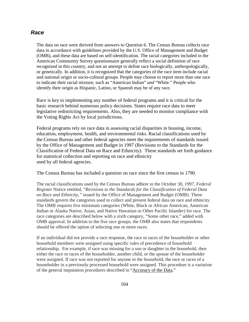### *Race*

The data on race were derived from answers to Question 6. The Census Bureau collects race data in accordance with guidelines provided by the U.S. Office of Management and Budget (OMB), and these data are based on self-identification. The racial categories included in the American Community Survey questionnaire generally reflect a social definition of race recognized in this country, and not an attempt to define race biologically, anthropologically, or genetically. In addition, it is recognized that the categories of the race item include racial and national origin or socio-cultural groups. People may choose to report more than one race to indicate their racial mixture, such as "American Indian" *and* "White." People who identify their origin as Hispanic, Latino, or Spanish may be of any race.

Race is key to implementing any number of federal programs and it is critical for the basic research behind numerous policy decisions. States require race data to meet legislative redistricting requirements. Also, they are needed to monitor compliance with the Voting Rights Act by local jurisdictions.

Federal programs rely on race data in assessing racial disparities in housing, income, education, employment, health, and environmental risks. Racial classifications used by the Census Bureau and other federal agencies meet the requirements of standards issued by the Office of Management and Budget in 1997 (Revisions to the Standards for the Classification of Federal Data on Race and Ethnicity). These standards set forth guidance for statistical collection and reporting on race and ethnicity used by all federal agencies.

The Census Bureau has included a question on race since the first census in 1790.

The racial classifications used by the Census Bureau adhere to the October 30, 1997, *Federal Register* Notice entitled, "*Revisions to the Standards for the Classification of Federal Data on Race and Ethnicity,"* issued by the Office of Management and Budget (OMB). These standards govern the categories used to collect and present federal data on race and ethnicity. The OMB requires five minimum categories (White, Black or African American, American Indian or Alaska Native, Asian, and Native Hawaiian or Other Pacific Islander) for race. The race categories are described below with a sixth category, "Some other race," added with OMB approval. In addition to the five race groups, the OMB also states that respondents should be offered the option of selecting one or more races.

If an individual did not provide a race response, the race or races of the householder or other household members were assigned using specific rules of precedence of household relationship. For example, if race was missing for a son or daughter in the household, then either the race or races of the householder, another child, or the spouse of the householder were assigned. If race was not reported for anyone in the household, the race or races of a householder in a previously processed household were assigned. This procedure is a variation of the general imputation procedures described in ["Accuracy of the Data.](http://www.census.gov/acs/www/UseData/Accuracy/Accuracy1.htm)"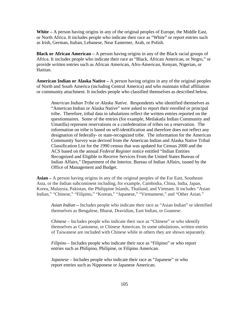**White –** A person having origins in any of the original peoples of Europe, the Middle East, or North Africa. It includes people who indicate their race as "White" or report entries such as Irish, German, Italian, Lebanese, Near Easterner, Arab, or Polish.

**Black or African American –** A person having origins in any of the Black racial groups of Africa. It includes people who indicate their race as "Black, African American, or Negro," or provide written entries such as African American, Afro-American, Kenyan, Nigerian, or Haitian.

**American Indian or Alaska Native –** A person having origins in any of the original peoples of North and South America (including Central America) and who maintain tribal affiliation or community attachment. It includes people who classified themselves as described below.

*American Indian Tribe or Alaska Native.* Respondents who identified themselves as "American Indian or Alaska Native" were asked to report their enrolled or principal tribe. Therefore, tribal data in tabulations reflect the written entries reported on the questionnaires. Some of the entries (for example, Metlakatla Indian Community and Umatilla) represent reservations or a confederation of tribes on a reservation. The information on tribe is based on self-identification and therefore does not reflect any designation of federally- or state-recognized tribe. The information for the American Community Survey was derived from the American Indian and Alaska Native Tribal Classification List for the 1990 census that was updated for Census 2000 and the ACS based on the annual *Federal Register* notice entitled "Indian Entities Recognized and Eligible to Receive Services From the United States Bureau of Indian Affairs," Department of the Interior, Bureau of Indian Affairs, issued by the Office of Management and Budget.

**Asian –** A person having origins in any of the original peoples of the Far East, Southeast Asia, or the Indian subcontinent including, for example, Cambodia, China, India, Japan, Korea, Malaysia, Pakistan, the Philippine Islands, Thailand, and Vietnam. It includes "Asian Indian," "Chinese," "Filipino," "Korean," "Japanese," "Vietnamese," and "Other Asian."

*Asian Indian –* Includes people who indicate their race as "Asian Indian" or identified themselves as Bengalese, Bharat, Dravidian, East Indian, or Goanese.

*Chinese –* Includes people who indicate their race as "Chinese" or who identify themselves as Cantonese, or Chinese American. In some tabulations, written entries of Taiwanese are included with Chinese while in others they are shown separately.

*Filipino –* Includes people who indicate their race as "Filipino" or who report entries such as Philipino, Philipine, or Filipino American.

*Japanese –* Includes people who indicate their race as "Japanese" or who report entries such as Nipponese or Japanese American.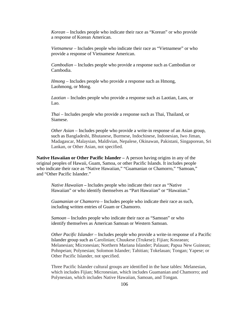*Korean* – Includes people who indicate their race as "Korean" or who provide a response of Korean American.

*Vietnamese* – Includes people who indicate their race as "Vietnamese" or who provide a response of Vietnamese American.

*Cambodian –* Includes people who provide a response such as Cambodian or Cambodia.

*Hmong* – Includes people who provide a response such as Hmong, Laohmong, or Mong.

*Laotian* – Includes people who provide a response such as Laotian, Laos, or Lao.

*Thai –* Includes people who provide a response such as Thai, Thailand, or Siamese.

*Other Asian –* Includes people who provide a write-in response of an Asian group, such as Bangladeshi, Bhutanese, Burmese, Indochinese, Indonesian, Iwo Jiman, Madagascar, Malaysian, Maldivian, Nepalese, Okinawan, Pakistani, Singaporean, Sri Lankan, or Other Asian, not specified.

**Native Hawaiian or Other Pacific Islander –** A person having origins in any of the original peoples of Hawaii, Guam, Samoa, or other Pacific Islands. It includes people who indicate their race as "Native Hawaiian," "Guamanian or Chamorro," "Samoan," and "Other Pacific Islander."

*Native Hawaiian –* Includes people who indicate their race as "Native Hawaiian" or who identify themselves as "Part Hawaiian" or "Hawaiian."

*Guamanian or Chamorro –* Includes people who indicate their race as such, including written entries of Guam or Chamorro.

*Samoan* – Includes people who indicate their race as "Samoan" or who identify themselves as American Samoan or Western Samoan.

*Other Pacific Islander* – Includes people who provide a write-in response of a Pacific Islander group such as Carolinian; Chuukese (Trukese); Fijian; Kosraean; Melanesian; Micronesian; Northern Mariana Islander; Palauan; Papua New Guinean; Pohnpeian; Polynesian; Solomon Islander; Tahitian; Tokelauan; Tongan; Yapese; or Other Pacific Islander, not specified.

Three Pacific Islander cultural groups are identified in the base tables: Melanesian, which includes Fijian; Micronesian, which includes Guamanian and Chamorro; and Polynesian, which includes Native Hawaiian, Samoan, and Tongan.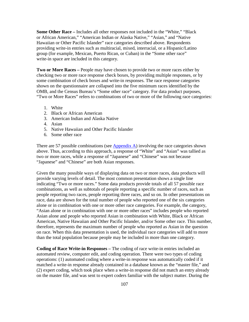**Some Other Race –** Includes all other responses not included in the "White," "Black or African American," "American Indian or Alaska Native," "Asian," and "Native Hawaiian or Other Pacific Islander" race categories described above. Respondents providing write-in entries such as multiracial, mixed, interracial, or a Hispanic/Latino group (for example, Mexican, Puerto Rican, or Cuban) in the "Some other race" write-in space are included in this category.

**Two or More Races –** People may have chosen to provide two or more races either by checking two or more race response check boxes, by providing multiple responses, or by some combination of check boxes and write-in responses. The race response categories shown on the questionnaire are collapsed into the five minimum races identified by the OMB, and the Census Bureau's "Some other race" category. For data product purposes, "Two or More Races" refers to combinations of two or more of the following race categories:

- 1. White
- 2. Black or African American
- 3. American Indian and Alaska Native
- 4. Asian
- 5. Native Hawaiian and Other Pacific Islander
- 6. Some other race

There are 57 possible combinations (see [Appendix A\)](#page-136-0) involving the race categories shown above. Thus, according to this approach, a response of "White" and "Asian" was tallied as two or more races, while a response of "Japanese" and "Chinese" was not because "Japanese" and "Chinese" are both Asian responses.

Given the many possible ways of displaying data on two or more races, data products will provide varying levels of detail. The most common presentation shows a single line indicating "Two or more races." Some data products provide totals of all 57 possible race combinations, as well as subtotals of people reporting a specific number of races, such as people reporting two races, people reporting three races, and so on. In other presentations on race, data are shown for the total number of people who reported one of the six categories alone or in combination with one or more other race categories. For example, the category, "Asian alone or in combination with one or more other races" includes people who reported Asian alone and people who reported Asian in combination with White, Black or African American, Native Hawaiian and Other Pacific Islander, and/or Some other race. This number, therefore, represents the maximum number of people who reported as Asian in the question on race. When this data presentation is used, the individual race categories will add to more than the total population because people may be included in more than one category.

**Coding of Race Write-in Responses –** The coding of race write-in entries included an automated review, computer edit, and coding operation. There were two types of coding operations: (1) automated coding where a write-in response was automatically coded if it matched a write-in response already contained in a database known as the "master file," and (2) expert coding, which took place when a write-in response did not match an entry already on the master file, and was sent to expert coders familiar with the subject matter. During the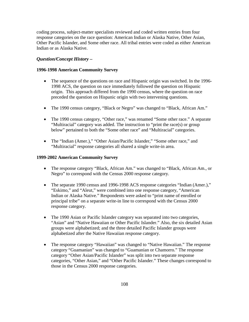coding process, subject-matter specialists reviewed and coded written entries from four response categories on the race question: American Indian or Alaska Native, Other Asian, Other Pacific Islander, and Some other race. All tribal entries were coded as either American Indian or as Alaska Native.

### *Question/Concept History –*

#### **1996-1998 American Community Survey**

- The sequence of the questions on race and Hispanic origin was switched. In the 1996-1998 ACS, the question on race immediately followed the question on Hispanic origin. This approach differed from the 1990 census, where the question on race preceded the question on Hispanic origin with two intervening questions.
- The 1990 census category, "Black or Negro" was changed to "Black, African Am."
- The 1990 census category, "Other race," was renamed "Some other race." A separate "Multiracial" category was added. The instruction to "print the race(s) or group below" pertained to both the "Some other race" and "Multiracial" categories.
- The "Indian (Amer.)," "Other Asian/Pacific Islander," "Some other race," and "Multiracial" response categories all shared a single write-in area.

#### **1999-2002 American Community Survey**

- The response category "Black, African Am." was changed to "Black, African Am., or Negro" to correspond with the Census 2000 response category.
- The separate 1990 census and 1996-1998 ACS response categories "Indian (Amer.)," "Eskimo," and "Aleut," were combined into one response category, "American Indian or Alaska Native." Respondents were asked to "print name of enrolled or principal tribe" on a separate write-in line to correspond with the Census 2000 response category.
- The 1990 Asian or Pacific Islander category was separated into two categories, "Asian" and "Native Hawaiian or Other Pacific Islander." Also, the six detailed Asian groups were alphabetized; and the three detailed Pacific Islander groups were alphabetized after the Native Hawaiian response category.
- The response category "Hawaiian" was changed to "Native Hawaiian." The response category "Guamanian" was changed to "Guamanian or Chamorro." The response category "Other Asian/Pacific Islander" was split into two separate response categories, "Other Asian," and "Other Pacific Islander." These changes correspond to those in the Census 2000 response categories.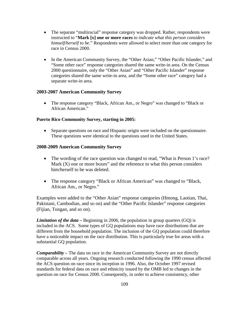- The separate "multiracial" response category was dropped. Rather, respondents were instructed to "**Mark [x] one or more races** *to indicate what this person considers himself/herself to be*." Respondents were allowed to select more than one category for race in Census 2000.
- In the American Community Survey, the "Other Asian," "Other Pacific Islander," and "Some other race" response categories shared the same write-in area. On the Census 2000 questionnaire, only the "Other Asian" and "Other Pacific Islander" response categories shared the same write-in area, and the "Some other race" category had a separate write-in area.

#### **2003-2007 American Community Survey**

• The response category "Black, African Am., or Negro" was changed to "Black or African American."

#### **Puerto Rico Community Survey, starting in 2005:**

• Separate questions on race and Hispanic origin were included on the questionnaire. These questions were identical to the questions used in the United States.

#### **2008-2009 American Community Survey**

- The wording of the race question was changed to read, "What is Person 1's race? Mark  $(X)$  one or more boxes" and the reference to what this person considers him/herself to be was deleted.
- The response category "Black or African American" was changed to "Black, African Am., or Negro."

Examples were added to the "Other Asian" response categories (Hmong, Laotian, Thai, Pakistani, Cambodian, and so on) and the "Other Pacific Islander" response categories (Fijian, Tongan, and so on).

*Limitation of the data –* Beginning in 2006, the population in group quarters (GQ) is included in the ACS. Some types of GQ populations may have race distributions that are different from the household population. The inclusion of the GQ population could therefore have a noticeable impact on the race distribution. This is particularly true for areas with a substantial GQ population.

*Comparability –* The data on race in the American Community Survey are not directly comparable across all years. Ongoing research conducted following the 1990 census affected the ACS question on race since its inception in 1996. Also, the October 1997 revised standards for federal data on race and ethnicity issued by the OMB led to changes in the question on race for Census 2000. Consequently, in order to achieve consistency, other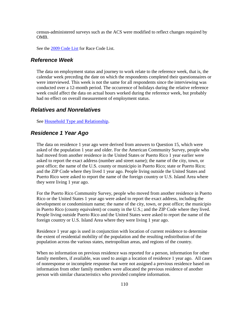census-administered surveys such as the ACS were modified to reflect changes required by OMB.

See the [2009 Code List](http://www.census.gov/acs/www/Downloads/data_documentation/CodeLists/2009_ACS_Code_Lists.pdf) for Race Code List.

#### *Reference Week*

The data on employment status and journey to work relate to the reference week, that is, the calendar week preceding the date on which the respondents completed their questionnaires or were interviewed. This week is not the same for all respondents since the interviewing was conducted over a 12-month period. The occurrence of holidays during the relative reference week could affect the data on actual hours worked during the reference week, but probably had no effect on overall measurement of employment status.

# *Relatives and Nonrelatives*

See [Household Type and Relationship.](#page-70-0)

## *Residence 1 Year Ago*

The data on residence 1 year ago were derived from answers to Question 15, which were asked of the population 1 year and older. For the American Community Survey, people who had moved from another residence in the United States or Puerto Rico 1 year earlier were asked to report the exact address (number and street name); the name of the city, town, or post office; the name of the U.S. county or municipio in Puerto Rico; state or Puerto Rico; and the ZIP Code where they lived 1 year ago. People living outside the United States and Puerto Rico were asked to report the name of the foreign country or U.S. Island Area where they were living 1 year ago.

For the Puerto Rico Community Survey, people who moved from another residence in Puerto Rico or the United States 1 year ago were asked to report the exact address, including the development or condominium name; the name of the city, town, or post office; the municipio in Puerto Rico (county equivalent) or county in the U.S.; and the ZIP Code where they lived. People living outside Puerto Rico and the United States were asked to report the name of the foreign country or U.S. Island Area where they were living 1 year ago.

Residence 1 year ago is used in conjunction with location of current residence to determine the extent of residential mobility of the population and the resulting redistribution of the population across the various states, metropolitan areas, and regions of the country.

When no information on previous residence was reported for a person, information for other family members, if available, was used to assign a location of residence 1 year ago. All cases of nonresponse or incomplete response that were not assigned a previous residence based on information from other family members were allocated the previous residence of another person with similar characteristics who provided complete information.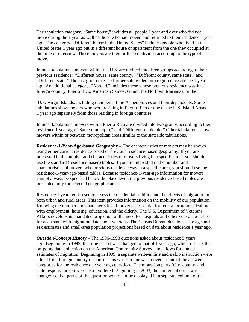The tabulation category, "Same house," includes all people 1 year and over who did not move during the 1 year as well as those who had moved and returned to their residence 1 year ago. The category, "Different house in the United States" includes people who lived in the United States 1 year ago but in a different house or apartment from the one they occupied at the time of interview. These movers are then further subdivided according to the type of move.

In most tabulations, movers within the U.S. are divided into three groups according to their previous residence: "Different house, same county," "Different county, same state," and "Different state." The last group may be further subdivided into region of residence 1 year ago. An additional category, "Abroad," includes those whose previous residence was in a foreign country, Puerto Rico, American Samoa, Guam, the Northern Marianas, or the

U.S. Virgin Islands, including members of the Armed Forces and their dependents. Some tabulations show movers who were residing in Puerto Rico or one of the U.S. Island Areas 1 year ago separately from those residing in foreign countries.

In most tabulations, movers within Puerto Rico are divided into two groups according to their residence 1 year ago: "Same municipio," and "Different municipio." Other tabulations show movers within or between metropolitan areas similar to the stateside tabulations.

**Residence-1-Year-Ago-based Geography –** The characteristics of movers may be shown using either current residence-based or previous residence-based geography. If you are interested in the number and characteristics of movers living in a specific area, you should use the standard (residence-based) tables. If you are interested in the number and characteristics of movers who previous residence was in a specific area, you should use the residence-1-year-ago-based tables. Because residence-1-year-ago information for movers cannot always be specified below the place level, the previous residence-based tables are presented only for selected geographic areas.

Residence 1 year ago is used to assess the residential stability and the effects of migration in both urban and rural areas. This item provides information on the mobility of our population. Knowing the number and characteristics of movers is essential for federal programs dealing with employment, housing, education, and the elderly. The U.S. Department of Veterans Affairs develops its mandated projection of the need for hospitals and other veteran benefits for each state with migration data about veterans. The Census Bureau develops state age and sex estimates and small-area population projections based on data about residence 1 year ago.

*Question/Concept History –* The 1996-1998 questions asked about residence 5 years ago. Beginning in 1999, the time period was changed to that of 1 year ago, which reflects the on-going data collection on the American Community Survey, and allows for annual estimates of migration. Beginning in 1999, a separate write-in line and a skip instruction were added for a foreign country response. This write-in line was moved to one of the answer categories for the residence one year ago question. The migration parts (city, county, and state response areas) were also reordered. Beginning in 2003, the numerical order was changed so that part c of this question would not be displayed in a separate column of the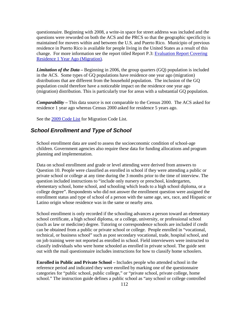questionnaire. Beginning with 2008, a write-in space for street address was included and the questions were reworded on both the ACS and the PRCS so that the geographic specificity is maintained for movers within and between the U.S. and Puerto Rico. Municipio of previous residence in Puerto Rico is available for people living in the United States as a result of this change. For more information see the report titled Report P.3: [Evaluation Report Covering](http://www.census.gov/acs)  [Residence 1 Year Ago \(Migration\).](http://www.census.gov/acs)

*Limitation of the Data* – Beginning in 2006, the group quarters (GQ) population is included in the ACS. Some types of GQ populations have residence one year ago (migration) distributions that are different from the household population. The inclusion of the GQ population could therefore have a noticeable impact on the residence one year ago (migration) distribution. This is particularly true for areas with a substantial GQ population.

*Comparability* **–** This data source is not comparable to the Census 2000. The ACS asked for residence 1 year ago whereas Census 2000 asked for residence 5 years ago.

See the [2009 Code List](http://www.census.gov/acs/www/Downloads/data_documentation/CodeLists/2009_ACS_Code_Lists.pdf) for Migration Code List.

### <span id="page-111-0"></span>*School Enrollment and Type of School*

School enrollment data are used to assess the socioeconomic condition of school-age children. Government agencies also require these data for funding allocations and program planning and implementation.

Data on school enrollment and grade or level attending were derived from answers to Question 10. People were classified as enrolled in school if they were attending a public or private school or college at any time during the 3 months prior to the time of interview. The question included instructions to "include only nursery or preschool, kindergarten, elementary school, home school, and schooling which leads to a high school diploma, or a college degree". Respondents who did not answer the enrollment question were assigned the enrollment status and type of school of a person with the same age, sex, race, and Hispanic or Latino origin whose residence was in the same or nearby area.

School enrollment is only recorded if the schooling advances a person toward an elementary school certificate, a high school diploma, or a college, university, or professional school (such as law or medicine) degree. Tutoring or correspondence schools are included if credit can be obtained from a public or private school or college. People enrolled in "vocational, technical, or business school" such as post secondary vocational, trade, hospital school, and on job training were not reported as enrolled in school. Field interviewers were instructed to classify individuals who were home schooled as enrolled in private school. The guide sent out with the mail questionnaire includes instructions for how to classify home schoolers.

**Enrolled in Public and Private School –** Includes people who attended school in the reference period and indicated they were enrolled by marking one of the questionnaire categories for "public school, public college," or "private school, private college, home school." The instruction guide defines a public school as "any school or college controlled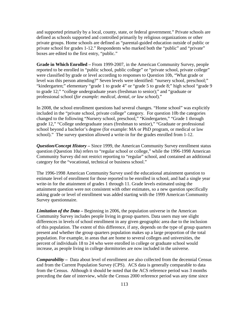and supported primarily by a local, county, state, or federal government." Private schools are defined as schools supported and controlled primarily by religious organizations or other private groups. Home schools are defined as "parental-guided education outside of public or private school for grades 1-12." Respondents who marked both the "public" and "private" boxes are edited to the first entry, "public."

**Grade in Which Enrolled –** From 1999-2007, in the American Community Survey, people reported to be enrolled in "public school, public college" or "private school, private college" were classified by grade or level according to responses to Question 10b, "What grade or level was this person attending?" Seven levels were identified: "nursery school, preschool;" "kindergarten;" elementary "grade 1 to grade 4" or "grade 5 to grade 8;" high school "grade 9 to grade 12;" "college undergraduate years (freshman to senior);" and "graduate or professional school (*for example: medical, dental, or law school*)."

In 2008, the school enrollment questions had several changes. "Home school" was explicitly included in the "private school, private college" category. For question 10b the categories changed to the following "Nursery school, preschool," "Kindergarten," "Grade 1 through grade 12," "College undergraduate years (freshman to senior)," "Graduate or professional school beyond a bachelor's degree (for example: MA or PhD program, or medical or law school)." The survey question allowed a write-in for the grades enrolled from 1-12.

*Question/Concept History –* Since 1999, the American Community Survey enrollment status question (Question 10a) refers to "regular school or college," while the 1996-1998 American Community Survey did not restrict reporting to "regular" school, and contained an additional category for the "vocational, technical or business school."

The 1996-1998 American Community Survey used the educational attainment question to estimate level of enrollment for those reported to be enrolled in school, and had a single year write-in for the attainment of grades 1 through 11. Grade levels estimated using the attainment question were not consistent with other estimates, so a new question specifically asking grade or level of enrollment was added starting with the 1999 American Community Survey questionnaire.

*Limitation of the Data –* Beginning in 2006, the population universe in the American Community Survey includes people living in group quarters. Data users may see slight differences in levels of school enrollment in any given geographic area due to the inclusion of this population. The extent of this difference, if any, depends on the type of group quarters present and whether the group quarters population makes up a large proportion of the total population. For example, in areas that are home to several colleges and universities, the percent of individuals 18 to 24 who were enrolled in college or graduate school would increase, as people living in college dormitories are now included in the universe.

*Comparability –* Data about level of enrollment are also collected from the decennial Census and from the Current Population Survey (CPS). ACS data is generally comparable to data from the Census. Although it should be noted that the ACS reference period was 3 months preceding the date of interview, while the Census 2000 reference period was any time since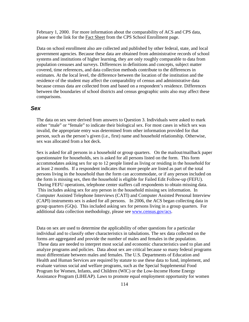February 1, 2000. For more information about the comparability of ACS and CPS data, please see the link for the [Fact Sheet](http://www.census.gov/population/www/socdemo/school.html) from the CPS School Enrollment page.

Data on school enrollment also are collected and published by other federal, state, and local government agencies. Because these data are obtained from administrative records of school systems and institutions of higher learning, they are only roughly comparable to data from population censuses and surveys. Differences in definitions and concepts, subject matter covered, time references, and data collection methods contribute to the differences in estimates. At the local level, the difference between the location of the institution and the residence of the student may affect the comparability of census and administrative data because census data are collected from and based on a respondent's residence. Differences between the boundaries of school districts and census geographic units also may affect these comparisons.

#### *Sex*

The data on sex were derived from answers to Question 3. Individuals were asked to mark either "male" or "female" to indicate their biological sex. For most cases in which sex was invalid, the appropriate entry was determined from other information provided for that person, such as the person's given (i.e., first) name and household relationship. Otherwise, sex was allocated from a hot deck.

Sex is asked for all persons in a household or group quarters. On the mailout/mailback paper questionnaire for households, sex is asked for all persons listed on the form. This form accommodates asking sex for up to 12 people listed as living or residing in the household for at least 2 months. If a respondent indicates that more people are listed as part of the total persons living in the household than the form can accommodate, or if any person included on the form is missing sex, then the household is eligible for Failed Edit Follow-up (FEFU). During FEFU operations, telephone center staffers call respondents to obtain missing data. This includes asking sex for any person in the household missing sex information. In Computer Assisted Telephone Interviews (CATI) and Computer Assisted Personal Interview (CAPI) instruments sex is asked for all persons. In 2006, the ACS began collecting data in group quarters (GQs). This included asking sex for persons living in a group quarters. For additional data collection methodology, please see www.census.gov/acs.

Data on sex are used to determine the applicability of other questions for a particular individual and to classify other characteristics in tabulations. The sex data collected on the forms are aggregated and provide the number of males and females in the population. These data are needed to interpret most social and economic characteristics used to plan and analyze programs and policies. Data about sex are critical because so many federal programs must differentiate between males and females. The U.S. Departments of Education and Health and Human Services are required by statute to use these data to fund, implement, and evaluate various social and welfare programs, such as the Special Supplemental Food Program for Women, Infants, and Children (WIC) or the Low-Income Home Energy Assistance Program (LIHEAP). Laws to promote equal employment opportunity for women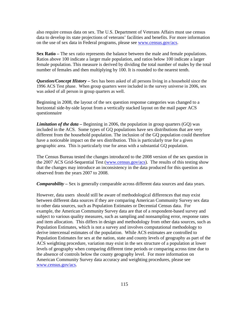also require census data on sex. The U.S. Department of Veterans Affairs must use census data to develop its state projections of veterans' facilities and benefits. For more information on the use of sex data in Federal programs, please see www.census.gov/acs.

**Sex Ratio –** The sex ratio represents the balance between the male and female populations. Ratios above 100 indicate a larger male population, and ratios below 100 indicate a larger female population. This measure is derived by dividing the total number of males by the total number of females and then multiplying by 100. It is rounded to the nearest tenth.

*Question/Concept History –* Sex has been asked of all persons living in a household since the 1996 ACS Test phase. When group quarters were included in the survey universe in 2006, sex was asked of all person in group quarters as well.

Beginning in 2008, the layout of the sex question response categories was changed to a horizontal side-by-side layout from a vertically stacked layout on the mail paper ACS questionnaire

*Limitation of the data –* Beginning in 2006, the population in group quarters (GQ) was included in the ACS. Some types of GQ populations have sex distributions that are very different from the household population. The inclusion of the GQ population could therefore have a noticeable impact on the sex distribution. This is particularly true for a given geographic area. This is particularly true for areas with a substantial GQ population.

The Census Bureau tested the changes introduced to the 2008 version of the sex question in the 2007 ACS Grid-Sequential Test (www.census.gov/acs). The results of this testing show that the changes may introduce an inconsistency in the data produced for this question as observed from the years 2007 to 2008.

*Comparability –* Sex is generally comparable across different data sources and data years.

However, data users should still be aware of methodological differences that may exist between different data sources if they are comparing American Community Survey sex data to other data sources, such as Population Estimates or Decennial Census data. For example, the American Community Survey data are that of a respondent-based survey and subject to various quality measures, such as sampling and nonsampling error, response rates and item allocation. This differs in design and methodology from other data sources, such as Population Estimates, which is not a survey and involves computational methodology to derive intercensal estimates of the population. While ACS estimates are controlled to Population Estimates for sex at the nation, state and county levels of geography as part of the ACS weighting procedure, variation may exist in the sex structure of a population at lower levels of geography when comparing different time periods or comparing across time due to the absence of controls below the county geography level. For more information on American Community Survey data accuracy and weighting procedures, please see www.census.gov/acs.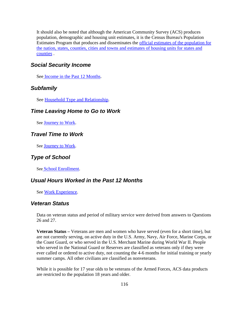It should also be noted that although the American Community Survey (ACS) produces population, demographic and housing unit estimates, it is the Census Bureau's Population Estimates Program that produces and disseminates the [official estimates of the population for](http://factfinder.census.gov/home/en/official_estimates_2008.html)  [the nation, states, counties, cities and towns and estimates of housing units for states and](http://factfinder.census.gov/home/en/official_estimates_2008.html)  [counties](http://factfinder.census.gov/home/en/official_estimates_2008.html) .

## *Social Security Income*

See [Income in the Past 12 Months.](#page-75-0)

## *Subfamily*

See [Household Type and Relationship.](#page-70-0)

#### *Time Leaving Home to Go to Work*

See [Journey to Work.](#page-85-0)

# *Travel Time to Work*

See [Journey to Work.](#page-85-0)

#### *Type of School*

See [School Enrollment.](#page-111-0)

# *Usual Hours Worked in the Past 12 Months*

See [Work Experience.](#page-120-0)

# *Veteran Status*

Data on veteran status and period of military service were derived from answers to Questions 26 and 27.

**Veteran Status –** Veterans are men and women who have served (even for a short time), but are not currently serving, on active duty in the U.S. Army, Navy, Air Force, Marine Corps, or the Coast Guard, or who served in the U.S. Merchant Marine during World War II. People who served in the National Guard or Reserves are classified as veterans only if they were ever called or ordered to active duty, not counting the 4-6 months for initial training or yearly summer camps. All other civilians are classified as nonveterans.

While it is possible for 17 year olds to be veterans of the Armed Forces, ACS data products are restricted to the population 18 years and older.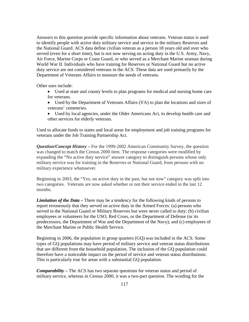Answers to this question provide specific information about veterans. Veteran status is used to identify people with active duty military service and service in the military Reserves and the National Guard. ACS data define civilian veteran as a person 18 years old and over who served (even for a short time), but is not now serving on acting duty in the U.S. Army, Navy, Air Force, Marine Corps or Coast Guard, or who served as a Merchant Marine seaman during World War II. Individuals who have training for Reserves or National Guard but no active duty service are not considered veterans in the ACS. These data are used primarily by the Department of Veterans Affairs to measure the needs of veterans.

Other uses include:

- Used at state and county levels to plan programs for medical and nursing home care for veterans.
- Used by the Department of Veterans Affairs (VA) to plan the locations and sizes of veterans' cemeteries.
- Used by local agencies, under the Older Americans Act, to develop health care and other services for elderly veterans.

Used to allocate funds to states and local areas for employment and job training programs for veterans under the Job Training Partnership Act.

*Question/Concept History – For the 1999-2002 American Community Survey, the question* was changed to match the Census 2000 item. The response categories were modified by expanding the "No active duty service" answer category to distinguish persons whose only military service was for training in the Reserves or National Guard, from persons with no military experience whatsoever.

Beginning in 2003, the "Yes, on active duty in the past, but not now" category was split into two categories. Veterans are now asked whether or not their service ended in the last 12 months.

*Limitation of the Data* **–** There may be a tendency for the following kinds of persons to report erroneously that they served on active duty in the Armed Forces: (a) persons who served in the National Guard or Military Reserves but were never called to duty; (b) civilian employees or volunteers for the USO, Red Cross, or the Department of Defense (or its predecessors, the Department of War and the Department of the Navy); and (c) employees of the Merchant Marine or Public Health Service.

Beginning in 2006, the population in group quarters (GQ) was included in the ACS. Some types of GQ populations may have period of military service and veteran status distributions that are different from the household population. The inclusion of the GQ population could therefore have a noticeable impact on the period of service and veteran status distributions. This is particularly true for areas with a substantial GQ population.

*Comparability* **–** The ACS has two separate questions for veteran status and period of military service, whereas in Census 2000, it was a two-part question. The wording for the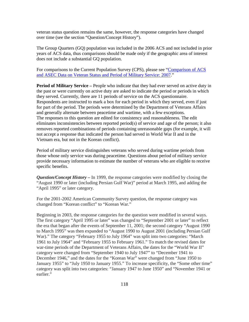veteran status question remains the same, however, the response categories have changed over time (see the section "Question/Concept History").

The Group Quarters (GQ) population was included in the 2006 ACS and not included in prior years of ACS data, thus comparisons should be made only if the geographic area of interest does not include a substantial GQ population.

For comparisons to the Current Population Survey (CPS), please see ["Comparison of ACS](http://www.census.gov/hhes/www/laborfor/veterans/comparison_report.pdf)  and ASEC [Data on Veteran Status and Period of Military Service: 2007.](http://www.census.gov/hhes/www/laborfor/veterans/comparison_report.pdf)"

**Period of Military Service –** People who indicate that they had ever served on active duty in the past or were currently on active duty are asked to indicate the period or periods in which they served. Currently, there are 11 periods of service on the ACS questionnaire. Respondents are instructed to mark a box for each period in which they served, even if just for part of the period. The periods were determined by the Department of Veterans Affairs and generally alternate between peacetime and wartime, with a few exceptions. The responses to this question are edited for consistency and reasonableness. The edit eliminates inconsistencies between reported period(s) of service and age of the person; it also removes reported combinations of periods containing unreasonable gaps (for example, it will not accept a response that indicated the person had served in World War II and in the Vietnam era, but not in the Korean conflict).

Period of military service distinguishes veterans who served during wartime periods from those whose only service was during peacetime. Questions about period of military service provide necessary information to estimate the number of veterans who are eligible to receive specific benefits.

*Question/Concept History –* In 1999, the response categories were modified by closing the "August 1990 or later (including Persian Gulf War)" period at March 1995, and adding the "April 1995" or later category.

For the 2001-2002 American Community Survey question, the response category was changed from "Korean conflict" to "Korean War."

Beginning in 2003, the response categories for the question were modified in several ways. The first category "April 1995 or later" was changed to "September 2001 or later" to reflect the era that began after the events of September 11, 2001; the second category "August 1990 to March 1995" was then expanded to "August 1990 to August 2001 (including Persian Gulf War)." The category "February 1955 to July 1964" was split into two categories: "March 1961 to July 1964" and "February 1955 to February 1961." To match the revised dates for war-time periods of the Department of Veterans Affairs, the dates for the "World War II" category were changed from "September 1940 to July 1947" to "December 1941 to December 1946," and the dates for the "Korean War" were changed from "June 1950 to January 1955" to "July 1950 to January 1955." To increase specificity, the "Some other time" category was split into two categories: "January 1947 to June 1950" and "November 1941 or earlier."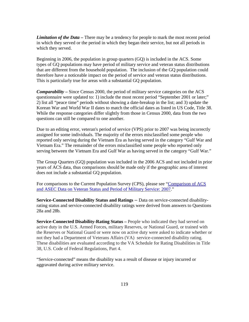*Limitation of the Data* **–** There may be a tendency for people to mark the most recent period in which they served or the period in which they began their service, but not all periods in which they served.

Beginning in 2006, the population in group quarters (GQ) is included in the ACS. Some types of GQ populations may have period of military service and veteran status distributions that are different from the household population. The inclusion of the GQ population could therefore have a noticeable impact on the period of service and veteran status distributions. This is particularly true for areas with a substantial GQ population.

*Comparability* **–** Since Census 2000, the period of military service categories on the ACS questionnaire were updated to: 1) include the most recent period "September 2001 or later;" 2) list all "peace time" periods without showing a date-breakup in the list; and 3) update the Korean War and World War II dates to match the official dates as listed in US Code, Title 38. While the response categories differ slightly from those in Census 2000, data from the two questions can still be compared to one another.

Due to an editing error, veteran's period of service (VPS) prior to 2007 was being incorrectly assigned for some individuals. The majority of the errors misclassified some people who reported only serving during the Vietnam Era as having served in the category "Gulf War and Vietnam Era." The remainder of the errors misclassified some people who reported only serving between the Vietnam Era and Gulf War as having served in the category "Gulf War."

The Group Quarters (GQ) population was included in the 2006 ACS and not included in prior years of ACS data, thus comparisons should be made only if the geographic area of interest does not include a substantial GQ population.

For comparisons to the Current Population Survey (CPS), please see ["Comparison of ACS](http://www.census.gov/hhes/www/laborfor/veterans/comparison_report.pdf) and ASEC [Data on Veteran Status and Period of Military Service: 2007.](http://www.census.gov/hhes/www/laborfor/veterans/comparison_report.pdf)"

**Service-Connected Disability Status and Ratings** *–* Data on service-connected disabilityrating status and service-connected disability ratings were derived from answers to Questions 28a and 28b.

**Service-Connected Disability-Rating Status –** People who indicated they had served on active duty in the U.S. Armed Forces, military Reserves, or National Guard, or trained with the Reserves or National Guard or were now on active duty were asked to indicate whether or not they had a Department of Veterans Affairs (VA) service-connected disability rating. These disabilities are evaluated according to the VA Schedule for Rating Disabilities in Title 38, U.S. Code of Federal Regulations, Part 4.

"Service-connected" means the disability was a result of disease or injury incurred or aggravated during active military service.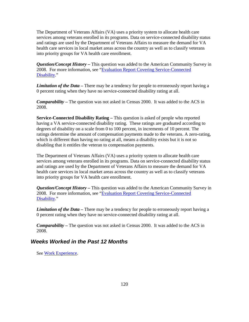The Department of Veterans Affairs (VA) uses a priority system to allocate health care services among veterans enrolled in its programs. Data on service-connected disability status and ratings are used by the Department of Veterans Affairs to measure the demand for VA health care services in local market areas across the country as well as to classify veterans into priority groups for VA health care enrollment.

*Question/Concept History –* This question was added to the American Community Survey in 2008. For more information, see ["Evaluation Report Covering Service-Connected](http://www.census.gov/acs)  [Disability.](http://www.census.gov/acs)"

*Limitation of the Data* – There may be a tendency for people to erroneously report having a 0 percent rating when they have no service-connected disability rating at all.

*Comparability* **–** The question was not asked in Census 2000. It was added to the ACS in 2008.

**Service-Connected Disability Rating –** This question is asked of people who reported having a VA service-connected disability rating. These ratings are graduated according to degrees of disability on a scale from 0 to 100 percent, in increments of 10 percent. The ratings determine the amount of compensation payments made to the veterans. A zero-rating, which is different than having no rating at all, means a disability exists but it is not so disabling that it entitles the veteran to compensation payments.

The Department of Veterans Affairs (VA) uses a priority system to allocate health care services among veterans enrolled in its programs. Data on service-connected disability status and ratings are used by the Department of Veterans Affairs to measure the demand for VA health care services in local market areas across the country as well as to classify veterans into priority groups for VA health care enrollment.

*Question/Concept History –* This question was added to the American Community Survey in 2008. For more information, see ["Evaluation Report Covering Service-Connected](http://www.census.gov/acs)  [Disability.](http://www.census.gov/acs)"

*Limitation of the Data –* There may be a tendency for people to erroneously report having a 0 percent rating when they have no service-connected disability rating at all.

*Comparability* **–** The question was not asked in Census 2000. It was added to the ACS in 2008.

# *Weeks Worked in the Past 12 Months*

See [Work Experience.](#page-120-0)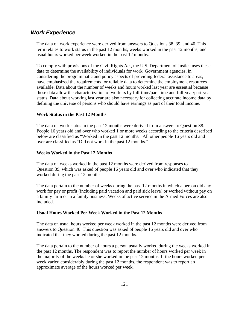## <span id="page-120-0"></span>*Work Experience*

The data on work experience were derived from answers to Questions 38, 39, and 40. This term relates to work status in the past 12 months, weeks worked in the past 12 months, and usual hours worked per week worked in the past 12 months.

To comply with provisions of the Civil Rights Act, the U.S. Department of Justice uses these data to determine the availability of individuals for work. Government agencies, in considering the programmatic and policy aspects of providing federal assistance to areas, have emphasized the requirements for reliable data to determine the employment resources available. Data about the number of weeks and hours worked last year are essential because these data allow the characterization of workers by full-time/part-time and full-year/part-year status. Data about working last year are also necessary for collecting accurate income data by defining the universe of persons who should have earnings as part of their total income.

#### **Work Status in the Past 12 Months**

The data on work status in the past 12 months were derived from answers to Question 38. People 16 years old and over who worked 1 or more weeks according to the criteria described below are classified as "Worked in the past 12 months." All other people 16 years old and over are classified as "Did not work in the past 12 months."

#### **Weeks Worked in the Past 12 Months**

The data on weeks worked in the past 12 months were derived from responses to Question 39, which was asked of people 16 years old and over who indicated that they worked during the past 12 months.

The data pertain to the number of weeks during the past 12 months in which a person did any work for pay or profit (including paid vacation and paid sick leave) or worked without pay on a family farm or in a family business. Weeks of active service in the Armed Forces are also included.

#### **Usual Hours Worked Per Week Worked in the Past 12 Months**

The data on usual hours worked per week worked in the past 12 months were derived from answers to Question 40. This question was asked of people 16 years old and over who indicated that they worked during the past 12 months.

The data pertain to the number of hours a person usually worked during the weeks worked in the past 12 months. The respondent was to report the number of hours worked per week in the majority of the weeks he or she worked in the past 12 months. If the hours worked per week varied considerably during the past 12 months, the respondent was to report an approximate average of the hours worked per week.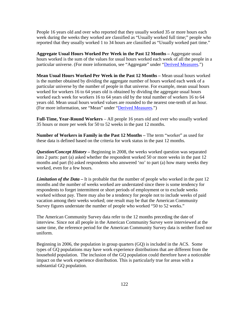People 16 years old and over who reported that they usually worked 35 or more hours each week during the weeks they worked are classified as "Usually worked full time;" people who reported that they usually worked 1 to 34 hours are classified as "Usually worked part time."

**Aggregate Usual Hours Worked Per Week in the Past 12 Months –** Aggregate usual hours worked is the sum of the values for usual hours worked each week of all the people in a particular universe. (For more information, see "Aggregate" under ["Derived Measures.](#page-124-0)")

**Mean Usual Hours Worked Per Week in the Past 12 Months –** Mean usual hours worked is the number obtained by dividing the aggregate number of hours worked each week of a particular universe by the number of people in that universe. For example, mean usual hours worked for workers 16 to 64 years old is obtained by dividing the aggregate usual hours worked each week for workers 16 to 64 years old by the total number of workers 16 to 64 years old. Mean usual hours worked values are rounded to the nearest one-tenth of an hour. (For more information, see "Mean" under ["Derived Measures.](#page-124-0)")

**Full-Time, Year-Round Workers** – All people 16 years old and over who usually worked 35 hours or more per week for 50 to 52 weeks in the past 12 months.

**Number of Workers in Family in the Past 12 Months –** The term "worker" as used for these data is defined based on the criteria for work status in the past 12 months.

*Question/Concept History –* Beginning in 2008, the weeks worked question was separated into 2 parts: part (a) asked whether the respondent worked 50 or more weeks in the past 12 months and part (b) asked respondents who answered 'no' to part (a) how many weeks they worked, even for a few hours.

*Limitation of the Data* – It is probable that the number of people who worked in the past 12 months and the number of weeks worked are understated since there is some tendency for respondents to forget intermittent or short periods of employment or to exclude weeks worked without pay. There may also be a tendency for people not to include weeks of paid vacation among their weeks worked; one result may be that the American Community Survey figures understate the number of people who worked "50 to 52 weeks."

The American Community Survey data refer to the 12 months preceding the date of interview. Since not all people in the American Community Survey were interviewed at the same time, the reference period for the American Community Survey data is neither fixed nor uniform.

Beginning in 2006, the population in group quarters (GQ) is included in the ACS. Some types of GQ populations may have work experience distributions that are different from the household population. The inclusion of the GQ population could therefore have a noticeable impact on the work experience distribution. This is particularly true for areas with a substantial GQ population.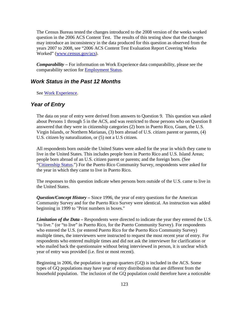The Census Bureau tested the changes introduced to the 2008 version of the weeks worked question in the 2006 ACS Content Test. The results of this testing show that the changes may introduce an inconsistency in the data produced for this question as observed from the years 2007 to 2008, see "2006 ACS Content Test Evaluation Report Covering Weeks Worked" (www.census.gov/acs).

*Comparability* **–** For information on Work Experience data comparability, please see the comparability section for [Employment Status.](#page-59-0)

# *Work Status in the Past 12 Months*

See [Work Experience.](#page-120-0)

#### *Year of Entry*

The data on year of entry were derived from answers to Question 9. This question was asked about Persons 1 through 5 in the ACS, and was restricted to those persons who on Question 8 answered that they were in citizenship categories (2) born in Puerto Rico, Guam, the U.S. Virgin Islands, or Northern Marianas, (3) born abroad of U.S. citizen parent or parents, (4) U.S. citizen by naturalization, or (5) not a U.S citizen.

All respondents born outside the United States were asked for the year in which they came to live in the United States. This includes people born in Puerto Rico and U.S. Island Areas; people born abroad of an U.S. citizen parent or parents; and the foreign born. (See ["Citizenship Status.](#page-50-0)") For the Puerto Rico Community Survey, respondents were asked for the year in which they came to live in Puerto Rico.

The responses to this question indicate when persons born outside of the U.S. came to live in the United States.

*Question/Concept History –* Since 1996, the year of entry questions for the American Community Survey and for the Puerto Rico Survey were identical. An instruction was added beginning in 1999 to "Print numbers in boxes."

*Limitation of the Data* – Respondents were directed to indicate the year they entered the U.S. "to live." (or "to live" in Puerto Rico, for the Puerto Community Survey). For respondents who entered the U.S. (or entered Puerto Rico for the Puerto Rico Community Survey) multiple times, the interviewers were instructed to request the most recent year of entry. For respondents who entered multiple times and did not ask the interviewer for clarification or who mailed back the questionnaire without being interviewed in person, it is unclear which year of entry was provided (i.e. first or most recent).

Beginning in 2006, the population in group quarters (GQ) is included in the ACS. Some types of GQ populations may have year of entry distributions that are different from the household population. The inclusion of the GQ population could therefore have a noticeable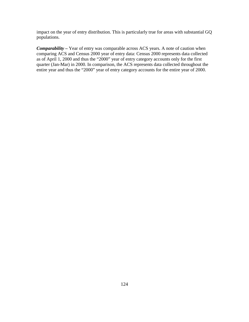impact on the year of entry distribution. This is particularly true for areas with substantial GQ populations.

*Comparability –* Year of entry was comparable across ACS years. A note of caution when comparing ACS and Census 2000 year of entry data: Census 2000 represents data collected as of April 1, 2000 and thus the "2000" year of entry category accounts only for the first quarter (Jan-Mar) in 2000. In comparison, the ACS represents data collected throughout the entire year and thus the "2000" year of entry category accounts for the entire year of 2000.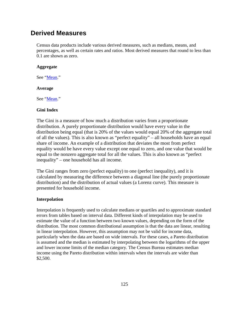# <span id="page-124-0"></span>**Derived Measures**

Census data products include various derived measures, such as medians, means, and percentages, as well as certain rates and ratios. Most derived measures that round to less than 0.1 are shown as zero.

#### **Aggregate**

See ["Mean.](#page-125-0)"

#### **Average**

See ["Mean.](#page-125-0)"

#### **Gini Index**

The Gini is a measure of how much a distribution varies from a proportionate distribution. A purely proportionate distribution would have every value in the distribution being equal (that is 20% of the values would equal 20% of the aggregate total of all the values). This is also known as "perfect equality" – all households have an equal share of income. An example of a distribution that deviates the most from perfect equality would be have every value except one equal to zero, and one value that would be equal to the nonzero aggregate total for all the values. This is also known as "perfect inequality" – one household has all income.

The Gini ranges from zero (perfect equality) to one (perfect inequality), and it is calculated by measuring the difference between a diagonal line (the purely proportionate distribution) and the distribution of actual values (a Lorenz curve). This measure is presented for household income.

#### **Interpolation**

Interpolation is frequently used to calculate medians or quartiles and to approximate standard errors from tables based on interval data. Different kinds of interpolation may be used to estimate the value of a function between two known values, depending on the form of the distribution. The most common distributional assumption is that the data are linear, resulting in linear interpolation. However, this assumption may not be valid for income data, particularly when the data are based on wide intervals. For these cases, a Pareto distribution is assumed and the median is estimated by interpolating between the logarithms of the upper and lower income limits of the median category. The Census Bureau estimates median income using the Pareto distribution within intervals when the intervals are wider than \$2,500.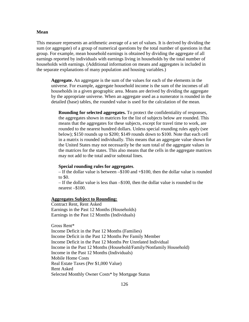#### <span id="page-125-0"></span>**Mean**

This measure represents an arithmetic average of a set of values. It is derived by dividing the sum (or aggregate) of a group of numerical questions by the total number of questions in that group. For example, mean household earnings is obtained by dividing the aggregate of all earnings reported by individuals with earnings living in households by the total number of households with earnings. (Additional information on means and aggregates is included in the separate explanations of many population and housing variables.)

**Aggregate.** An aggregate is the sum of the values for each of the elements in the universe. For example, aggregate household income is the sum of the incomes of all households in a given geographic area. Means are derived by dividing the aggregate by the appropriate universe. When an aggregate used as a numerator is rounded in the detailed (base) tables, the rounded value is used for the calculation of the mean.

**Rounding for selected aggregates.** To protect the confidentiality of responses, the aggregates shown in matrices for the list of subjects below are rounded. This means that the aggregates for these subjects, except for travel time to work, are rounded to the nearest hundred dollars. Unless special rounding rules apply (see below); \$150 rounds up to \$200; \$149 rounds down to \$100. Note that each cell in a matrix is rounded individually. This means that an aggregate value shown for the United States may not necessarily be the sum total of the aggregate values in the matrices for the states. This also means that the cells in the aggregate matrices may not add to the total and/or subtotal lines.

#### **Special rounding rules for aggregates**.

– If the dollar value is between  $-\$100$  and  $+\$100$ , then the dollar value is rounded to \$0.

 $-$  If the dollar value is less than  $-$ \$100, then the dollar value is rounded to the nearest –\$100.

#### **Aggregates Subject to Rounding:**

Contract Rent, Rent Asked Earnings in the Past 12 Months (Households) Earnings in the Past 12 Months (Individuals)

Gross Rent\*

Income Deficit in the Past 12 Months (Families) Income Deficit in the Past 12 Months Per Family Member Income Deficit in the Past 12 Months Per Unrelated Individual Income in the Past 12 Months (Household/Family/Nonfamily Household) Income in the Past 12 Months (Individuals) Mobile Home Costs Real Estate Taxes (Per \$1,000 Value) Rent Asked Selected Monthly Owner Costs\* by Mortgage Status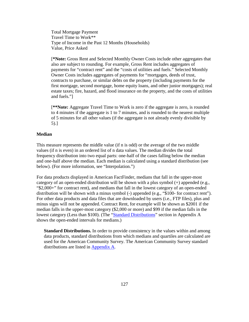Total Mortgage Payment Travel Time to Work\*\* Type of Income in the Past 12 Months (Households) Value, Price Asked

[**\*Note:** Gross Rent and Selected Monthly Owner Costs include other aggregates that also are subject to rounding. For example, Gross Rent includes aggregates of payments for "contract rent" and the "costs of utilities and fuels." Selected Monthly Owner Costs includes aggregates of payments for "mortgages, deeds of trust, contracts to purchase, or similar debts on the property (including payments for the first mortgage, second mortgage, home equity loans, and other junior mortgages); real estate taxes; fire, hazard, and flood insurance on the property, and the costs of utilities and fuels."]

[**\*\*Note:** Aggregate Travel Time to Work is zero if the aggregate is zero, is rounded to 4 minutes if the aggregate is 1 to 7 minutes, and is rounded to the nearest multiple of 5 minutes for all other values (if the aggregate is not already evenly divisible by 5).]

#### **Median**

This measure represents the middle value (if n is odd) or the average of the two middle values (if n is even) in an ordered list of n data values. The median divides the total frequency distribution into two equal parts: one-half of the cases falling below the median and one-half above the median. Each median is calculated using a standard distribution (see below). (For more information, see "Interpolation.")

For data products displayed in American FactFinder, medians that fall in the upper-most category of an open-ended distribution will be shown with a plus symbol  $(+)$  appended  $(e.g.,)$ "\$2,000+" for contract rent), and medians that fall in the lowest category of an open-ended distribution will be shown with a minus symbol (-) appended (e.g., "\$100- for contract rent"). For other data products and data files that are downloaded by users (i.e., FTP files), plus and minus signs will not be appended. Contract Rent, for example will be shown as \$2001 if the median falls in the upper-most category (\$2,000 or more) and \$99 if the median falls in the lowest category (Less than \$100). (The ["Standard Distributions"](#page-138-0) section in Appendix A shows the open-ended intervals for medians.)

**Standard Distributions.** In order to provide consistency in the values within and among data products, standard distributions from which medians and quartiles are calculated are used for the American Community Survey. The American Community Survey standard distributions are listed in [Appendix A.](#page-131-0)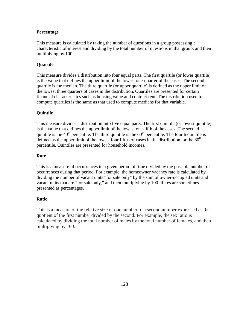#### **Percentage**

This measure is calculated by taking the number of questions in a group possessing a characteristic of interest and dividing by the total number of questions in that group, and then multiplying by 100.

#### **Quartile**

This measure divides a distribution into four equal parts. The first quartile (or lower quartile) is the value that defines the upper limit of the lowest one-quarter of the cases. The second quartile is the median. The third quartile (or upper quartile) is defined as the upper limit of the lowest three quarters of cases in the distribution. Quartiles are presented for certain financial characteristics such as housing value and contract rent. The distribution used to compute quartiles is the same as that used to compute medians for that variable.

#### **Quintile**

This measure divides a distribution into five equal parts. The first quintile (or lowest quintile) is the value that defines the upper limit of the lowest one-fifth of the cases. The second quintile is the  $40<sup>th</sup>$  percentile. The third quintile is the  $60<sup>th</sup>$  percentile. The fourth quintile is defined as the upper limit of the lowest four fifths of cases in the distribution, or the  $80<sup>th</sup>$ percentile. Quintiles are presented for household incomes.

#### **Rate**

This is a measure of occurrences in a given period of time divided by the possible number of occurrences during that period. For example, the homeowner vacancy rate is calculated by dividing the number of vacant units "for sale only" by the sum of owner-occupied units and vacant units that are "for sale only," and then multiplying by 100. Rates are sometimes presented as percentages.

#### **Ratio**

This is a measure of the relative size of one number to a second number expressed as the quotient of the first number divided by the second. For example, the sex ratio is calculated by dividing the total number of males by the total number of females, and then multiplying by 100.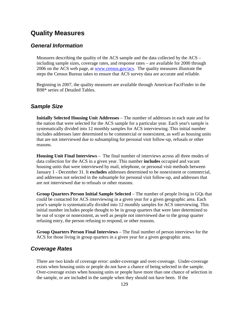# **Quality Measures**

# *General Information*

Measures describing the quality of the ACS sample and the data collected by the ACS – including sample sizes, coverage rates, and response rates – are available for 2000 through 2006 on the ACS web page, at www.census.gov/acs. The quality measures illustrate the steps the Census Bureau takes to ensure that ACS survey data are accurate and reliable.

Beginning in 2007, the quality measures are available through American FactFinder in the B98\* series of Detailed Tables.

#### *Sample Size*

**Initially Selected Housing Unit Addresses** – The number of addresses in each state and for the nation that were selected for the ACS sample for a particular year. Each year's sample is systematically divided into 12 monthly samples for ACS interviewing. This initial number includes addresses later determined to be commercial or nonexistent, as well as housing units that are not interviewed due to subsampling for personal visit follow-up, refusals or other reasons.

**Housing Unit Final Interviews** – The final number of interviews across all three modes of data collection for the ACS in a given year. This number **includes** occupied and vacant housing units that were interviewed by mail, telephone, or personal visit methods between January 1 - December 31. It **excludes** addresses determined to be nonexistent or commercial, and addresses not selected in the subsample for personal visit follow-up, and addresses that are not interviewed due to refusals or other reasons.

**Group Quarters Person Initial Sample Selected** – The number of people living in GQs that could be contacted for ACS interviewing in a given year for a given geographic area. Each year's sample is systematically divided into 12 monthly samples for ACS interviewing. This initial number includes people thought to be in group quarters that were later determined to be out of scope or nonexistent, as well as people not interviewed due to the group quarter refusing entry, the person refusing to respond, or other reasons.

**Group Quarters Person Final Interviews** – The final number of person interviews for the ACS for those living in group quarters in a given year for a given geographic area.

## *Coverage Rates*

There are two kinds of coverage error: under-coverage and over-coverage. Under-coverage exists when housing units or people do not have a chance of being selected in the sample. Over-coverage exists when housing units or people have more than one chance of selection in the sample, or are included in the sample when they should not have been. If the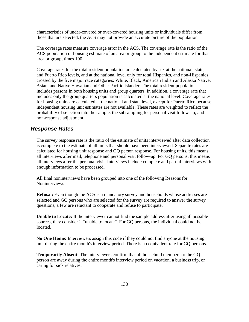characteristics of under-covered or over-covered housing units or individuals differ from those that are selected, the ACS may not provide an accurate picture of the population.

The coverage rates measure coverage error in the ACS. The coverage rate is the ratio of the ACS population or housing estimate of an area or group to the independent estimate for that area or group, times 100.

Coverage rates for the total resident population are calculated by sex at the national, state, and Puerto Rico levels, and at the national level only for total Hispanics, and non-Hispanics crossed by the five major race categories: White, Black, American Indian and Alaska Native, Asian, and Native Hawaiian and Other Pacific Islander. The total resident population includes persons in both housing units and group quarters. In addition, a coverage rate that includes only the group quarters population is calculated at the national level. Coverage rates for housing units are calculated at the national and state level, except for Puerto Rico because independent housing unit estimates are not available. These rates are weighted to reflect the probability of selection into the sample, the subsampling for personal visit follow-up, and non-response adjustment.

## *Response Rates*

The survey response rate is the ratio of the estimate of units interviewed after data collection is complete to the estimate of all units that should have been interviewed. Separate rates are calculated for housing unit response and GQ person response. For housing units, this means all interviews after mail, telephone and personal visit follow-up. For GQ persons, this means all interviews after the personal visit. Interviews include complete and partial interviews with enough information to be processed.

All final noninterviews have been grouped into one of the following Reasons for Noninterviews:

**Refusal:** Even though the ACS is a mandatory survey and households whose addresses are selected and GQ persons who are selected for the survey are required to answer the survey questions, a few are reluctant to cooperate and refuse to participate.

**Unable to Locate:** If the interviewer cannot find the sample address after using all possible sources, they consider it "unable to locate". For GQ persons, the individual could not be located.

**No One Home:** Interviewers assign this code if they could not find anyone at the housing unit during the entire month's interview period. There is no equivalent rate for GQ persons.

**Temporarily Absent:** The interviewers confirm that all household members or the GQ person are away during the entire month's interview period on vacation, a business trip, or caring for sick relatives.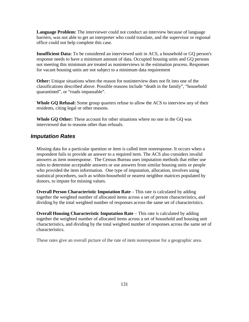**Language Problem:** The interviewer could not conduct an interview because of language barriers, was not able to get an interpreter who could translate, and the supervisor or regional office could not help complete this case.

**Insufficient Data:** To be considered an interviewed unit in ACS, a household or GQ person's response needs to have a minimum amount of data. Occupied housing units and GQ persons not meeting this minimum are treated as noninterviews in the estimation process. Responses for vacant housing units are not subject to a minimum data requirement

**Other:** Unique situations when the reason for noninterview does not fit into one of the classifications described above. Possible reasons include "death in the family", "household quarantined", or "roads impassable".

**Whole GQ Refusal:** Some group quarters refuse to allow the ACS to interview any of their residents, citing legal or other reasons.

**Whole GQ Other:** These account for other situations where no one in the GQ was interviewed due to reasons other than refusals.

## *Imputation Rates*

Missing data for a particular question or item is called item nonresponse. It occurs when a respondent fails to provide an answer to a required item. The ACS also considers invalid answers as item nonresponse. The Census Bureau uses imputation methods that either use rules to determine acceptable answers or use answers from similar housing units or people who provided the item information. One type of imputation, allocation, involves using statistical procedures, such as within-household or nearest neighbor matrices populated by donors, to impute for missing values.

**Overall Person Characteristic Imputation Rate** – This rate is calculated by adding together the weighted number of allocated items across a set of person characteristics, and dividing by the total weighted number of responses across the same set of characteristics.

**Overall Housing Characteristic Imputation Rate** – This rate is calculated by adding together the weighted number of allocated items across a set of household and housing unit characteristics, and dividing by the total weighted number of responses across the same set of characteristics.

These rates give an overall picture of the rate of item nonresponse for a geographic area.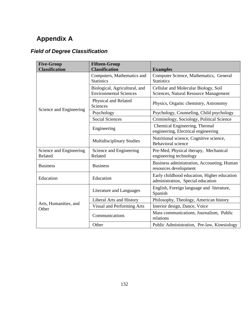# <span id="page-131-0"></span>**Appendix A**

# *Field of Degree Classification*

| <b>Five-Group</b>                  | <b>Fifteen-Group</b>                                           |                                                                                  |  |  |  |  |
|------------------------------------|----------------------------------------------------------------|----------------------------------------------------------------------------------|--|--|--|--|
| <b>Classification</b>              | <b>Classification</b>                                          | <b>Examples</b>                                                                  |  |  |  |  |
|                                    | Computers, Mathematics and<br><b>Statistics</b>                | Computer Science, Mathematics, General<br><b>Statistics</b>                      |  |  |  |  |
|                                    | Biological, Agricultural, and<br><b>Environmental Sciences</b> | Cellular and Molecular Biology, Soil<br>Sciences, Natural Resource Management    |  |  |  |  |
|                                    | Physical and Related<br>Sciences                               | Physics, Organic chemistry, Astronomy                                            |  |  |  |  |
| Science and Engineering            | Psychology                                                     | Psychology, Counseling, Child psychology                                         |  |  |  |  |
|                                    | <b>Social Sciences</b>                                         | Criminology, Sociology, Political Science                                        |  |  |  |  |
|                                    | Engineering                                                    | Chemical Engineering, Thermal<br>engineering, Electrical engineering             |  |  |  |  |
|                                    | <b>Multidisciplinary Studies</b>                               | Nutritional science, Cognitive science,<br><b>Behavioral science</b>             |  |  |  |  |
| Science and Engineering<br>Related | Science and Engineering<br>Related                             | Pre-Med, Physical therapy, Mechanical<br>engineering technology                  |  |  |  |  |
| <b>Business</b>                    | <b>Business</b>                                                | Business administration, Accounting, Human<br>resources development              |  |  |  |  |
| Education                          | Education                                                      | Early childhood education, Higher education<br>administration, Special education |  |  |  |  |
|                                    | Literature and Languages                                       | English, Foreign language and literature,<br>Spanish                             |  |  |  |  |
|                                    | Liberal Arts and History                                       | Philosophy, Theology, American history                                           |  |  |  |  |
| Arts, Humanities, and<br>Other     | Visual and Performing Arts                                     | Interior design, Dance, Voice                                                    |  |  |  |  |
|                                    | Communications                                                 | Mass communications, Journalism, Public<br>relations                             |  |  |  |  |
|                                    | Other                                                          | Public Administration, Pre-law, Kinesiology                                      |  |  |  |  |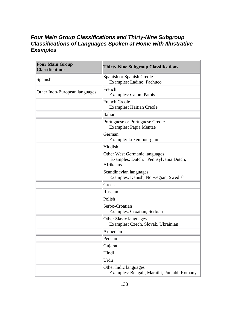# *Four Main Group Classifications and Thirty-Nine Subgroup Classifications of Languages Spoken at Home with Illustrative Examples*

| <b>Four Main Group</b><br><b>Classifications</b> | <b>Thirty-Nine Subgroup Classifications</b><br>Spanish or Spanish Creole<br>Examples: Ladino, Pachuco |  |
|--------------------------------------------------|-------------------------------------------------------------------------------------------------------|--|
| Spanish                                          |                                                                                                       |  |
| Other Indo-European languages                    | French<br>Examples: Cajun, Patois                                                                     |  |
|                                                  | <b>French Creole</b><br><b>Examples: Haitian Creole</b>                                               |  |
|                                                  | Italian                                                                                               |  |
|                                                  | Portuguese or Portuguese Creole<br>Examples: Papia Mentae                                             |  |
|                                                  | German<br>Example: Luxembourgian                                                                      |  |
|                                                  | Yiddish                                                                                               |  |
|                                                  | Other West Germanic languages<br>Examples: Dutch, Pennsylvania Dutch,<br>Afrikaans                    |  |
|                                                  | Scandinavian languages<br>Examples: Danish, Norwegian, Swedish                                        |  |
|                                                  | Greek                                                                                                 |  |
|                                                  | Russian                                                                                               |  |
|                                                  | Polish                                                                                                |  |
|                                                  | Serbo-Croatian<br>Examples: Croatian, Serbian                                                         |  |
|                                                  | Other Slavic languages<br>Examples: Czech, Slovak, Ukrainian                                          |  |
|                                                  | Armenian                                                                                              |  |
|                                                  | Persian                                                                                               |  |
|                                                  | Gujarati                                                                                              |  |
|                                                  | Hindi                                                                                                 |  |
|                                                  | Urdu                                                                                                  |  |
|                                                  | Other Indic languages<br>Examples: Bengali, Marathi, Punjabi, Romany                                  |  |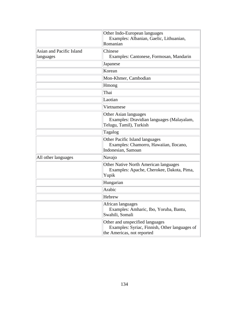|                                       | Other Indo-European languages<br>Examples: Albanian, Gaelic, Lithuanian,<br>Romanian                           |
|---------------------------------------|----------------------------------------------------------------------------------------------------------------|
| Asian and Pacific Island<br>languages | Chinese<br>Examples: Cantonese, Formosan, Mandarin                                                             |
|                                       | Japanese                                                                                                       |
|                                       | Korean                                                                                                         |
|                                       | Mon-Khmer, Cambodian                                                                                           |
|                                       | Hmong                                                                                                          |
|                                       | Thai                                                                                                           |
|                                       | Laotian                                                                                                        |
|                                       | Vietnamese                                                                                                     |
|                                       | Other Asian languages<br>Examples: Dravidian languages (Malayalam,<br>Telugu, Tamil), Turkish                  |
|                                       | Tagalog                                                                                                        |
|                                       | Other Pacific Island languages<br>Examples: Chamorro, Hawaiian, Ilocano,<br>Indonesian, Samoan                 |
| All other languages                   | Navajo                                                                                                         |
|                                       | Other Native North American languages<br>Examples: Apache, Cherokee, Dakota, Pima,<br>Yupik                    |
|                                       | Hungarian                                                                                                      |
|                                       | Arabic                                                                                                         |
|                                       | Hebrew                                                                                                         |
|                                       | African languages<br>Examples: Amharic, Ibo, Yoruba, Bantu,<br>Swahili, Somali                                 |
|                                       | Other and unspecified languages<br>Examples: Syriac, Finnish, Other languages of<br>the Americas, not reported |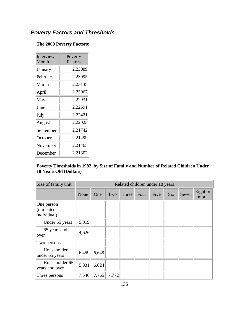# *Poverty Factors and Thresholds*

# **The 2009 Poverty Factors:**

| Interview | Poverty |  |  |  |  |
|-----------|---------|--|--|--|--|
| Month     | Factors |  |  |  |  |
| January   | 2.23089 |  |  |  |  |
| February  | 2.23095 |  |  |  |  |
| March     | 2.23138 |  |  |  |  |
| April     | 2.23067 |  |  |  |  |
| May       | 2.22931 |  |  |  |  |
| June      | 2.22691 |  |  |  |  |
| July      | 2.22421 |  |  |  |  |
| August    | 2.22023 |  |  |  |  |
| September | 2.21742 |  |  |  |  |
| October   | 2.21499 |  |  |  |  |
| November  | 2.21465 |  |  |  |  |
| December  | 2.21802 |  |  |  |  |

# **Poverty Thresholds in 1982, by Size of Family and Number of Related Children Under 18 Years Old (Dollars)**

| Size of family unit                     |       | Related children under 18 years |       |       |      |      |            |       |                  |
|-----------------------------------------|-------|---------------------------------|-------|-------|------|------|------------|-------|------------------|
|                                         | None  | One                             | Two   | Three | Four | Five | <b>Six</b> | Seven | Eight or<br>more |
| One person<br>(unrelated<br>individual) |       |                                 |       |       |      |      |            |       |                  |
| Under 65 years                          | 5,019 |                                 |       |       |      |      |            |       |                  |
| 65 years and<br>over                    | 4,626 |                                 |       |       |      |      |            |       |                  |
| Two persons                             |       |                                 |       |       |      |      |            |       |                  |
| Householder<br>under 65 years           | 6,459 | 6,649                           |       |       |      |      |            |       |                  |
| Householder 65<br>years and over        | 5,831 | 6,624                           |       |       |      |      |            |       |                  |
| Three persons                           | 7,546 | 7,765                           | 7,772 |       |      |      |            |       |                  |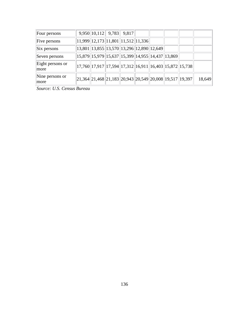| Four persons             |  | $9,950$   10,112   9,783   9,817                                                                                    |  |                                                                                                                       |        |
|--------------------------|--|---------------------------------------------------------------------------------------------------------------------|--|-----------------------------------------------------------------------------------------------------------------------|--------|
| Five persons             |  | $\vert 11,999 \vert \vert 12,173 \vert \vert 11,801 \vert \vert 11,512 \vert \vert 11,336 \vert$                    |  |                                                                                                                       |        |
| Six persons              |  | $\vert 13,801\vert \vert 13,855\vert \vert 13,570\vert \vert 13,296\vert \vert 12,890\vert \vert 12,649\vert \vert$ |  |                                                                                                                       |        |
| Seven persons            |  | 15,879 15,979 15,637 15,399 14,955 14,437 13,869                                                                    |  |                                                                                                                       |        |
| Eight persons or<br>more |  |                                                                                                                     |  | $\left  17,760 \right  17,917 \left  17,594 \right  17,312 \left  16,911 \right  16,403 \left  15,872 \right  15,738$ |        |
| Nine persons or<br>more  |  |                                                                                                                     |  | $ 21,364 21,468 21,183 20,943 20,549 20,008 19,517 19,397 $                                                           | 18,649 |

*Source: U.S. Census Bureau*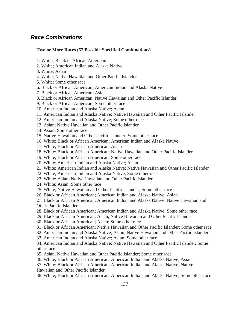## *Race Combinations*

#### **Two or More Races (57 Possible Specified Combinations)**

- 1. White; Black or African American
- 2. White; American Indian and Alaska Native
- 3. White; Asian
- 4. White; Native Hawaiian and Other Pacific Islander
- 5. White; Some other race
- 6. Black or African American; American Indian and Alaska Native
- 7. Black or African American; Asian
- 8. Black or African American; Native Hawaiian and Other Pacific Islander
- 9. Black or African American; Some other race
- 10. American Indian and Alaska Native; Asian
- 11. American Indian and Alaska Native; Native Hawaiian and Other Pacific Islander
- 12. American Indian and Alaska Native; Some other race
- 13. Asian; Native Hawaiian and Other Pacific Islander
- 14. Asian; Some other race
- 15. Native Hawaiian and Other Pacific Islander; Some other race
- 16. White; Black or African American; American Indian and Alaska Native
- 17. White; Black or African American; Asian
- 18. White; Black or African American; Native Hawaiian and Other Pacific Islander
- 19. White; Black or African American; Some other race
- 20. White; American Indian and Alaska Native; Asian
- 21. White; American Indian and Alaska Native; Native Hawaiian and Other Pacific Islander
- 22. White; American Indian and Alaska Native; Some other race
- 23. White; Asian; Native Hawaiian and Other Pacific Islander
- 24. White; Asian; Some other race
- 25. White; Native Hawaiian and Other Pacific Islander; Some other race
- 26. Black or African American; American Indian and Alaska Native; Asian

27. Black or African American; American Indian and Alaska Native; Native Hawaiian and Other Pacific Islander

- 28. Black or African American; American Indian and Alaska Native; Some other race
- 29. Black or African American; Asian; Native Hawaiian and Other Pacific Islander
- 30. Black or African American; Asian; Some other race
- 31. Black or African American; Native Hawaiian and Other Pacific Islander; Some other race
- 32. American Indian and Alaska Native; Asian; Native Hawaiian and Other Pacific Islander
- 33. American Indian and Alaska Native; Asian; Some other race
- 34. American Indian and Alaska Native; Native Hawaiian and Other Pacific Islander; Some other race
- 35. Asian; Native Hawaiian and Other Pacific Islander; Some other race
- 36. White; Black or African American; American Indian and Alaska Native; Asian
- 37. White; Black or African American; American Indian and Alaska Native; Native
- Hawaiian and Other Pacific Islander

38. White; Black or African American; American Indian and Alaska Native; Some other race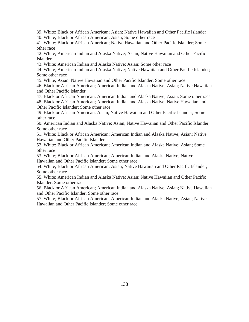39. White; Black or African American; Asian; Native Hawaiian and Other Pacific Islander

40. White; Black or African American; Asian; Some other race

41. White; Black or African American; Native Hawaiian and Other Pacific Islander; Some other race

42. White; American Indian and Alaska Native; Asian; Native Hawaiian and Other Pacific Islander

43. White; American Indian and Alaska Native; Asian; Some other race

44. White; American Indian and Alaska Native; Native Hawaiian and Other Pacific Islander; Some other race

45. White; Asian; Native Hawaiian and Other Pacific Islander; Some other race

46. Black or African American; American Indian and Alaska Native; Asian; Native Hawaiian and Other Pacific Islander

47. Black or African American; American Indian and Alaska Native; Asian; Some other race 48. Black or African American; American Indian and Alaska Native; Native Hawaiian and Other Pacific Islander; Some other race

49. Black or African American; Asian; Native Hawaiian and Other Pacific Islander; Some other race

50. American Indian and Alaska Native; Asian; Native Hawaiian and Other Pacific Islander; Some other race

51. White; Black or African American; American Indian and Alaska Native; Asian; Native Hawaiian and Other Pacific Islander

52. White; Black or African American; American Indian and Alaska Native; Asian; Some other race

53. White; Black or African American; American Indian and Alaska Native; Native Hawaiian and Other Pacific Islander; Some other race

54. White; Black or African American; Asian; Native Hawaiian and Other Pacific Islander; Some other race

55. White; American Indian and Alaska Native; Asian; Native Hawaiian and Other Pacific Islander; Some other race

56. Black or African American; American Indian and Alaska Native; Asian; Native Hawaiian and Other Pacific Islander; Some other race

57. White; Black or African American; American Indian and Alaska Native; Asian; Native Hawaiian and Other Pacific Islander; Some other race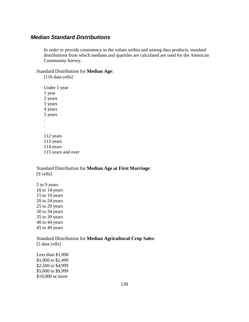# <span id="page-138-0"></span>*Median Standard Distributions*

In order to provide consistency in the values within and among data products, standard distributions from which medians and quartiles are calculated are used for the American Community Survey.

#### Standard Distribution for **Median Age**:

[116 data cells]

Under 1 year 1 year 2 years 3 years 4 years 5 years . . . 112 years 113 years 114 years 115 years and over

Standard Distribution for **Median Age at First Marriage**: [9 cells]

5 to 9 years 10 to 14 years 15 to 19 years 20 to 24 years 25 to 29 years 30 to 34 years 35 to 39 years 40 to 44 years 45 to 49 years

Standard Distribution for **Median Agricultural Crop Sales**: [5 data cells]

Less than \$1,000 \$1,000 to \$2,499 \$2,500 to \$4,999 \$5,000 to \$9,999 \$10,000 or more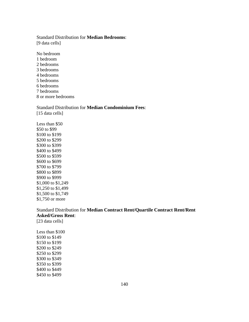#### Standard Distribution for **Median Bedrooms**:

[9 data cells]

No bedroom 1 bedroom 2 bedrooms 3 bedrooms 4 bedrooms 5 bedrooms 6 bedrooms 7 bedrooms 8 or more bedrooms

#### Standard Distribution for **Median Condominium Fees**: [15 data cells]

Less than \$50 \$50 to \$99 \$100 to \$199 \$200 to \$299 \$300 to \$399 \$400 to \$499 \$500 to \$599 \$600 to \$699 \$700 to \$799 \$800 to \$899 \$900 to \$999 \$1,000 to \$1,249 \$1,250 to \$1,499 \$1,500 to \$1,749 \$1,750 or more

# Standard Distribution for **Median Contract Rent/Quartile Contract Rent/Rent Asked/Gross Rent**:

[23 data cells]

Less than \$100 \$100 to \$149 \$150 to \$199 \$200 to \$249 \$250 to \$299 \$300 to \$349 \$350 to \$399 \$400 to \$449 \$450 to \$499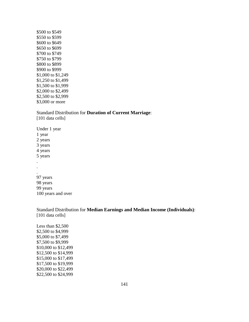| \$500 to \$549     |
|--------------------|
| \$550 to \$599     |
| \$600 to \$649     |
| \$650 to \$699     |
| \$700 to \$749     |
| \$750 to \$799     |
| \$800 to \$899     |
| \$900 to \$999     |
| \$1,000 to \$1,249 |
| \$1,250 to \$1,499 |
| \$1,500 to \$1,999 |
| \$2,000 to \$2,499 |
| \$2,500 to \$2,999 |
| \$3,000 or more    |

## Standard Distribution for **Duration of Current Marriage**: [101 data cells]

Under 1 year 1 year 2 years 3 years 4 years 5 years . . . 97 years 98 years 99 years 100 years and over

Standard Distribution for **Median Earnings and Median Income (Individuals)**: [101 data cells]

Less than \$2,500 \$2,500 to \$4,999 \$5,000 to \$7,499 \$7,500 to \$9,999 \$10,000 to \$12,499 \$12,500 to \$14,999 \$15,000 to \$17,499 \$17,500 to \$19,999 \$20,000 to \$22,499 \$22,500 to \$24,999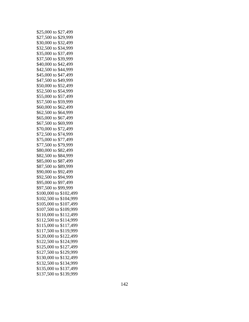| \$25,000 to \$27,499   |
|------------------------|
| \$27,500 to \$29,999   |
| \$30,000 to \$32,499   |
| \$32,500 to \$34,999   |
| \$35,000 to \$37,499   |
| \$37,500 to \$39,999   |
| \$40,000 to \$42,499   |
| \$42,500 to \$44,999   |
| \$45,000 to \$47,499   |
| \$47,500 to \$49,999   |
| \$50,000 to \$52,499   |
| \$52,500 to \$54,999   |
| \$55,000 to \$57,499   |
| \$57,500 to \$59,999   |
| \$60,000 to \$62,499   |
| \$62,500 to \$64,999   |
|                        |
| \$65,000 to \$67,499   |
| \$67,500 to \$69,999   |
| \$70,000 to \$72,499   |
| \$72,500 to \$74,999   |
| \$75,000 to \$77,499   |
| \$77,500 to \$79,999   |
| \$80,000 to \$82,499   |
| \$82,500 to \$84,999   |
| \$85,000 to \$87,499   |
| \$87,500 to \$89,999   |
| \$90,000 to \$92,499   |
| \$92,500 to \$94,999   |
| \$95,000 to \$97,499   |
| \$97,500 to \$99,999   |
| \$100,000 to \$102,499 |
| \$102,500 to \$104,999 |
| \$105,000 to \$107,499 |
| \$107,500 to \$109,999 |
| \$110,000 to \$112,499 |
| \$112,500 to \$114,999 |
| \$115,000 to \$117,499 |
| \$117,500 to \$119,999 |
| \$120,000 to \$122,499 |
| \$122,500 to \$124,999 |
| \$125,000 to \$127,499 |
| \$127,500 to \$129,999 |
| \$130,000 to \$132,499 |
| \$132,500 to \$134,999 |
| \$135,000 to \$137,499 |
| \$137,500 to \$139,999 |
|                        |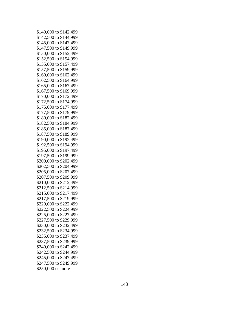| \$140,000 to \$142,499 |
|------------------------|
| \$142,500 to \$144,999 |
| \$145,000 to \$147,499 |
| \$147,500 to \$149,999 |
|                        |
| \$150,000 to \$152,499 |
| \$152,500 to \$154,999 |
| \$155,000 to \$157,499 |
| \$157,500 to \$159,999 |
| \$160,000 to \$162,499 |
| \$162,500 to \$164,999 |
| \$165,000 to \$167,499 |
| \$167,500 to \$169,999 |
|                        |
| \$170,000 to \$172,499 |
| \$172,500 to \$174,999 |
| \$175,000 to \$177,499 |
| \$177,500 to \$179,999 |
| \$180,000 to \$182,499 |
| \$182,500 to \$184,999 |
| \$185,000 to \$187,499 |
| \$187,500 to \$189,999 |
| \$190,000 to \$192,499 |
| \$192,500 to \$194,999 |
|                        |
| \$195,000 to \$197,499 |
| \$197,500 to \$199,999 |
| \$200,000 to \$202,499 |
| \$202,500 to \$204,999 |
| \$205,000 to \$207,499 |
| \$207,500 to \$209,999 |
| \$210,000 to \$212,499 |
| \$212,500 to \$214,999 |
| \$215,000 to \$217,499 |
|                        |
| \$217,500 to \$219,999 |
| \$220,000 to \$222,499 |
| \$222,500 to \$224,999 |
| \$225,000 to \$227,499 |
| \$227,500 to \$229,999 |
| \$230,000 to \$232,499 |
| \$232,500 to \$234,999 |
| \$235,000 to \$237,499 |
| \$237,500 to \$239,999 |
|                        |
| \$240,000 to \$242,499 |
| \$242,500 to \$244,999 |
| \$245,000 to \$247,499 |
| \$247,500 to \$249,999 |
| \$250,000 or more      |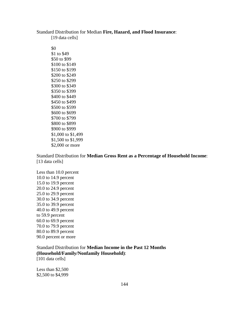Standard Distribution for Median **Fire, Hazard, and Flood Insurance**:

[19 data cells]

\$0 \$1 to \$49 \$50 to \$99 \$100 to \$149 \$150 to \$199 \$200 to \$249 \$250 to \$299 \$300 to \$349 \$350 to \$399 \$400 to \$449 \$450 to \$499 \$500 to \$599 \$600 to \$699 \$700 to \$799 \$800 to \$899 \$900 to \$999 \$1,000 to \$1,499 \$1,500 to \$1,999 \$2,000 or more

Standard Distribution for **Median Gross Rent as a Percentage of Household Income**: [13 data cells]

Less than 10.0 percent 10.0 to 14.9 percent 15.0 to 19.9 percent 20.0 to 24.9 percent 25.0 to 29.9 percent 30.0 to 34.9 percent 35.0 to 39.9 percent 40.0 to 49.9 percent to 59.9 percent 60.0 to 69.9 percent 70.0 to 79.9 percent 80.0 to 89.9 percent 90.0 percent or more

Standard Distribution for **Median Income in the Past 12 Months (Household/Family/Nonfamily Household)**: [101 data cells]

Less than \$2,500 \$2,500 to \$4,999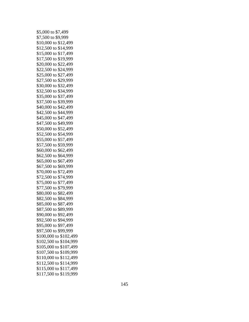| \$5,000 to \$7,499     |
|------------------------|
| \$7,500 to \$9,999     |
| \$10,000 to \$12,499   |
| \$12,500 to \$14,999   |
| \$15,000 to \$17,499   |
| \$17,500 to \$19,999   |
| \$20,000 to \$22,499   |
| \$22,500 to \$24,999   |
| \$25,000 to \$27,499   |
| \$27,500 to \$29,999   |
| \$30,000 to \$32,499   |
| \$32,500 to \$34,999   |
| \$35,000 to \$37,499   |
| \$37,500 to \$39,999   |
| \$40,000 to \$42,499   |
| \$42,500 to \$44,999   |
|                        |
| \$45,000 to \$47,499   |
| \$47,500 to \$49,999   |
| \$50,000 to \$52,499   |
| \$52,500 to \$54,999   |
| \$55,000 to \$57,499   |
| \$57,500 to \$59,999   |
| \$60,000 to \$62,499   |
| \$62,500 to \$64,999   |
| \$65,000 to \$67,499   |
| \$67,500 to \$69,999   |
| \$70,000 to \$72,499   |
| \$72,500 to \$74,999   |
| \$75,000 to \$77,499   |
| \$77,500 to \$79,999   |
| \$80,000 to \$82,499   |
| \$82,500 to \$84,999   |
| \$85,000 to \$87,499   |
| \$87,500 to \$89,999   |
| \$90,000 to \$92,499   |
| \$92,500 to \$94,999   |
| \$95,000 to \$97,499   |
| \$97,500 to \$99,999   |
| \$100,000 to \$102,499 |
| \$102,500 to \$104,999 |
| \$105,000 to \$107,499 |
| \$107,500 to \$109,999 |
| \$110,000 to \$112,499 |
| \$112,500 to \$114,999 |
| \$115,000 to \$117,499 |
| \$117,500 to \$119,999 |
|                        |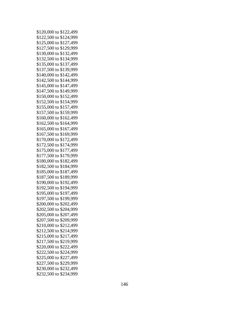| \$120,000 to \$122,499 |
|------------------------|
| \$122,500 to \$124,999 |
| \$125,000 to \$127,499 |
| \$127,500 to \$129,999 |
| \$130,000 to \$132,499 |
| \$132,500 to \$134,999 |
| \$135,000 to \$137,499 |
| \$137,500 to \$139,999 |
| \$140,000 to \$142,499 |
| \$142,500 to \$144,999 |
| \$145,000 to \$147,499 |
| \$147,500 to \$149,999 |
| \$150,000 to \$152,499 |
| \$152,500 to \$154,999 |
| \$155,000 to \$157,499 |
| \$157,500 to \$159,999 |
| \$160,000 to \$162,499 |
| \$162,500 to \$164,999 |
| \$165,000 to \$167,499 |
| \$167,500 to \$169,999 |
| \$170,000 to \$172,499 |
| \$172,500 to \$174,999 |
| \$175,000 to \$177,499 |
| \$177,500 to \$179,999 |
| \$180,000 to \$182,499 |
| \$182,500 to \$184,999 |
| \$185,000 to \$187,499 |
| \$187,500 to \$189,999 |
| \$190,000 to \$192,499 |
| \$192,500 to \$194,999 |
| \$195,000 to \$197,499 |
| \$197,500 to \$199,999 |
| \$200,000 to \$202,499 |
| \$202,500 to \$204,999 |
| \$205,000 to \$207,499 |
| \$207,500 to \$209,999 |
| \$210,000 to \$212,499 |
| \$212,500 to \$214,999 |
| \$215,000 to \$217,499 |
| \$217,500 to \$219,999 |
| \$220,000 to \$222,499 |
| \$222,500 to \$224,999 |
| \$225,000 to \$227,499 |
| \$227,500 to \$229,999 |
| \$230,000 to \$232,499 |
| \$232,500 to \$234,999 |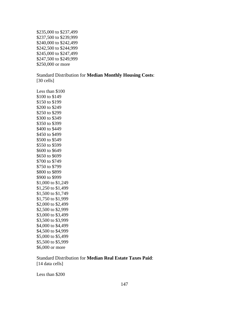\$235,000 to \$237,499 \$237,500 to \$239,999 \$240,000 to \$242,499 \$242,500 to \$244,999 \$245,000 to \$247,499 \$247,500 to \$249,999 \$250,000 or more

Standard Distribution for **Median Monthly Housing Costs**: [30 cells]

Less than \$100 \$100 to \$149 \$150 to \$199 \$200 to \$249 \$250 to \$299 \$300 to \$349 \$350 to \$399 \$400 to \$449 \$450 to \$499 \$500 to \$549 \$550 to \$599 \$600 to \$649 \$650 to \$699 \$700 to \$749 \$750 to \$799 \$800 to \$899 \$900 to \$999 \$1,000 to \$1,249 \$1,250 to \$1,499 \$1,500 to \$1,749 \$1,750 to \$1,999 \$2,000 to \$2,499 \$2,500 to \$2,999 \$3,000 to \$3,499 \$3,500 to \$3,999 \$4,000 to \$4,499 \$4,500 to \$4,999 \$5,000 to \$5,499 \$5,500 to \$5,999 \$6,000 or more

Standard Distribution for **Median Real Estate Taxes Paid**: [14 data cells]

Less than \$200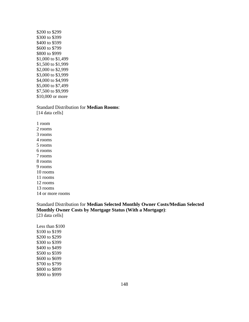\$200 to \$299 \$300 to \$399 \$400 to \$599 \$600 to \$799 \$800 to \$999 \$1,000 to \$1,499 \$1,500 to \$1,999 \$2,000 to \$2,999 \$3,000 to \$3,999 \$4,000 to \$4,999 \$5,000 to \$7,499 \$7,500 to \$9,999 \$10,000 or more

Standard Distribution for **Median Rooms**: [14 data cells]

1 room 2 rooms 3 rooms 4 rooms 5 rooms 6 rooms 7 rooms 8 rooms 9 rooms 10 rooms 11 rooms 12 rooms 13 rooms 14 or more rooms

#### Standard Distribution for **Median Selected Monthly Owner Costs/Median Selected Monthly Owner Costs by Mortgage Status (With a Mortgage)**:

[23 data cells]

Less than \$100 \$100 to \$199 \$200 to \$299 \$300 to \$399 \$400 to \$499 \$500 to \$599 \$600 to \$699 \$700 to \$799 \$800 to \$899 \$900 to \$999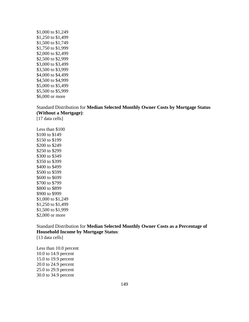\$1,000 to \$1,249 \$1,250 to \$1,499 \$1,500 to \$1,749 \$1,750 to \$1,999 \$2,000 to \$2,499 \$2,500 to \$2,999 \$3,000 to \$3,499 \$3,500 to \$3,999 \$4,000 to \$4,499 \$4,500 to \$4,999 \$5,000 to \$5,499 \$5,500 to \$5,999 \$6,000 or more

## Standard Distribution for **Median Selected Monthly Owner Costs by Mortgage Status (Without a Mortgage)**:

[17 data cells]

Less than \$100 \$100 to \$149 \$150 to \$199 \$200 to \$249 \$250 to \$299 \$300 to \$349 \$350 to \$399 \$400 to \$499 \$500 to \$599 \$600 to \$699 \$700 to \$799 \$800 to \$899 \$900 to \$999 \$1,000 to \$1,249 \$1,250 to \$1,499 \$1,500 to \$1,999 \$2,000 or more

#### Standard Distribution for **Median Selected Monthly Owner Costs as a Percentage of Household Income by Mortgage Status**:

[13 data cells]

Less than 10.0 percent 10.0 to 14.9 percent 15.0 to 19.9 percent 20.0 to 24.9 percent 25.0 to 29.9 percent 30.0 to 34.9 percent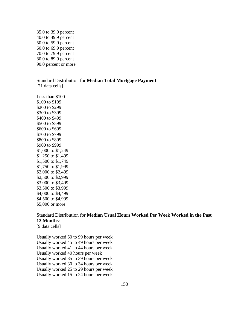35.0 to 39.9 percent 40.0 to 49.9 percent 50.0 to 59.9 percent 60.0 to 69.9 percent 70.0 to 79.9 percent 80.0 to 89.9 percent 90.0 percent or more

Standard Distribution for **Median Total Mortgage Payment**: [21 data cells]

Less than \$100 \$100 to \$199 \$200 to \$299 \$300 to \$399 \$400 to \$499 \$500 to \$599 \$600 to \$699 \$700 to \$799 \$800 to \$899 \$900 to \$999 \$1,000 to \$1,249 \$1,250 to \$1,499 \$1,500 to \$1,749 \$1,750 to \$1,999 \$2,000 to \$2,499 \$2,500 to \$2,999 \$3,000 to \$3,499 \$3,500 to \$3,999 \$4,000 to \$4,499 \$4,500 to \$4,999 \$5,000 or more

### Standard Distribution for **Median Usual Hours Worked Per Week Worked in the Past 12 Months**:

[9 data cells]

Usually worked 50 to 99 hours per week Usually worked 45 to 49 hours per week Usually worked 41 to 44 hours per week Usually worked 40 hours per week Usually worked 35 to 39 hours per week Usually worked 30 to 34 hours per week Usually worked 25 to 29 hours per week Usually worked 15 to 24 hours per week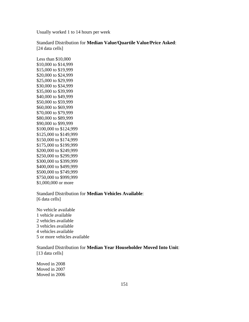Usually worked 1 to 14 hours per week

Standard Distribution for **Median Value/Quartile Value/Price Asked**: [24 data cells]

Less than \$10,000 \$10,000 to \$14,999 \$15,000 to \$19,999 \$20,000 to \$24,999 \$25,000 to \$29,999 \$30,000 to \$34,999 \$35,000 to \$39,999 \$40,000 to \$49,999 \$50,000 to \$59,999 \$60,000 to \$69,999 \$70,000 to \$79,999 \$80,000 to \$89,999 \$90,000 to \$99,999 \$100,000 to \$124,999 \$125,000 to \$149,999 \$150,000 to \$174,999 \$175,000 to \$199,999 \$200,000 to \$249,999 \$250,000 to \$299,999 \$300,000 to \$399,999 \$400,000 to \$499,999 \$500,000 to \$749,999 \$750,000 to \$999,999 \$1,000,000 or more

Standard Distribution for **Median Vehicles Available**: [6 data cells]

No vehicle available 1 vehicle available 2 vehicles available 3 vehicles available 4 vehicles available 5 or more vehicles available

Standard Distribution for **Median Year Householder Moved Into Unit**: [13 data cells]

Moved in 2008 Moved in 2007 Moved in 2006